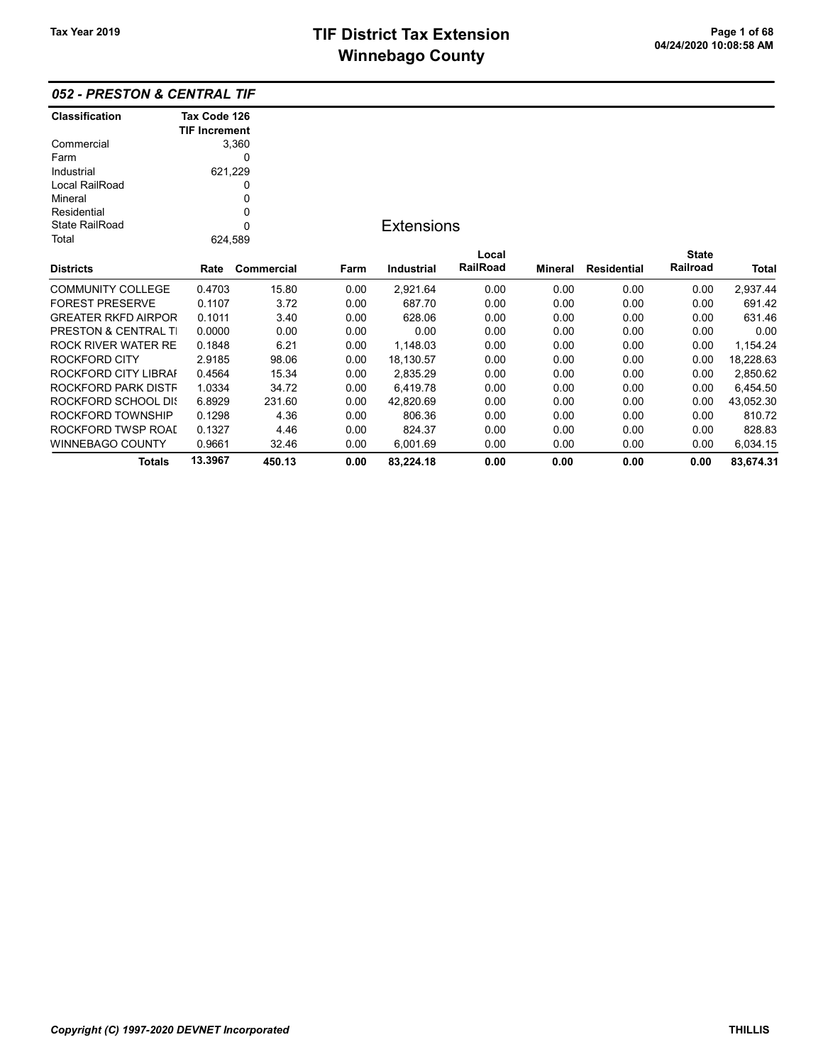|  | 052 - PRESTON & CENTRAL TIF |  |  |
|--|-----------------------------|--|--|
|--|-----------------------------|--|--|

| <b>Classification</b>      | Tax Code 126         |            |      |                   |          |         |                    |              |              |
|----------------------------|----------------------|------------|------|-------------------|----------|---------|--------------------|--------------|--------------|
|                            | <b>TIF Increment</b> |            |      |                   |          |         |                    |              |              |
| Commercial                 |                      | 3,360      |      |                   |          |         |                    |              |              |
| Farm                       |                      | 0          |      |                   |          |         |                    |              |              |
| Industrial                 | 621,229              |            |      |                   |          |         |                    |              |              |
| Local RailRoad             |                      | 0          |      |                   |          |         |                    |              |              |
| Mineral                    |                      | 0          |      |                   |          |         |                    |              |              |
| Residential                |                      | 0          |      |                   |          |         |                    |              |              |
| <b>State RailRoad</b>      |                      | $\Omega$   |      | <b>Extensions</b> |          |         |                    |              |              |
| Total                      | 624,589              |            |      |                   |          |         |                    |              |              |
|                            |                      |            |      |                   | Local    |         |                    | <b>State</b> |              |
| <b>Districts</b>           | Rate                 | Commercial | Farm | <b>Industrial</b> | RailRoad | Mineral | <b>Residential</b> | Railroad     | <b>Total</b> |
| <b>COMMUNITY COLLEGE</b>   | 0.4703               | 15.80      | 0.00 | 2,921.64          | 0.00     | 0.00    | 0.00               | 0.00         | 2,937.44     |
| <b>FOREST PRESERVE</b>     | 0.1107               | 3.72       | 0.00 | 687.70            | 0.00     | 0.00    | 0.00               | 0.00         | 691.42       |
| <b>GREATER RKFD AIRPOR</b> | 0.1011               | 3.40       | 0.00 | 628.06            | 0.00     | 0.00    | 0.00               | 0.00         | 631.46       |
| PRESTON & CENTRAL TI       | 0.0000               | 0.00       | 0.00 | 0.00              | 0.00     | 0.00    | 0.00               | 0.00         | 0.00         |
| ROCK RIVER WATER RE        | 0.1848               | 6.21       | 0.00 | 1,148.03          | 0.00     | 0.00    | 0.00               | 0.00         | 1,154.24     |
| ROCKFORD CITY              | 2.9185               | 98.06      | 0.00 | 18,130.57         | 0.00     | 0.00    | 0.00               | 0.00         | 18,228.63    |
| ROCKFORD CITY LIBRAI       | 0.4564               | 15.34      | 0.00 | 2,835.29          | 0.00     | 0.00    | 0.00               | 0.00         | 2,850.62     |
| ROCKFORD PARK DISTF        | 1.0334               | 34.72      | 0.00 | 6,419.78          | 0.00     | 0.00    | 0.00               | 0.00         | 6,454.50     |
| ROCKFORD SCHOOL DIS        | 6.8929               | 231.60     | 0.00 | 42,820.69         | 0.00     | 0.00    | 0.00               | 0.00         | 43,052.30    |
| ROCKFORD TOWNSHIP          | 0.1298               | 4.36       | 0.00 | 806.36            | 0.00     | 0.00    | 0.00               | 0.00         | 810.72       |
| ROCKFORD TWSP ROAI         | 0.1327               | 4.46       | 0.00 | 824.37            | 0.00     | 0.00    | 0.00               | 0.00         | 828.83       |
| <b>WINNEBAGO COUNTY</b>    | 0.9661               | 32.46      | 0.00 | 6,001.69          | 0.00     | 0.00    | 0.00               | 0.00         | 6,034.15     |
| Totals                     | 13.3967              | 450.13     | 0.00 | 83,224.18         | 0.00     | 0.00    | 0.00               | 0.00         | 83,674.31    |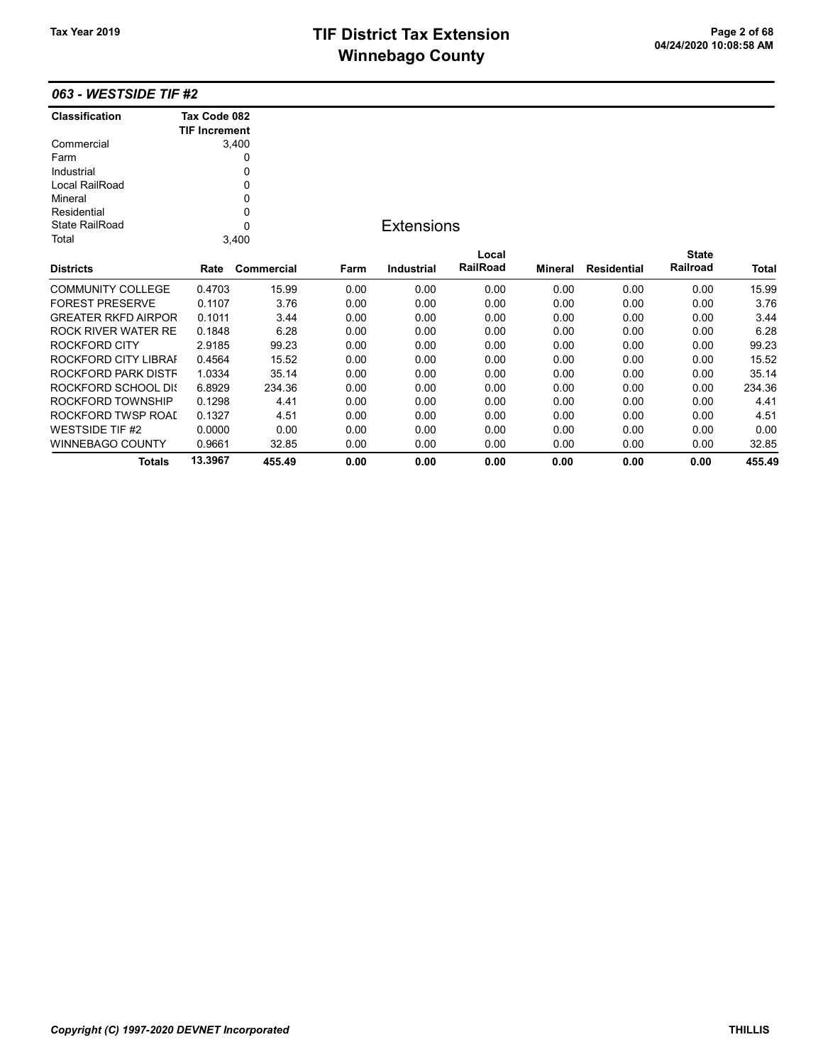## TIF District Tax Extension<br>
M's sada and Canada Canada Canada Canada Canada Canada Canada Canada Canada Canada Canada Canada Canada Canad<br>
M's sada and Canada Canada Canada Canada Canada Canada Canada Canada Canada Canada **Winnebago County**

Totals 13.3967 455.49 0.00 0.00 0.00 0.00 0.00 0.00 455.49

### 063 - WESTSIDE TIF #2

| <b>Classification</b>      | Tax Code 082         |             |      |                   |          |         |                    |              |              |
|----------------------------|----------------------|-------------|------|-------------------|----------|---------|--------------------|--------------|--------------|
|                            | <b>TIF Increment</b> |             |      |                   |          |         |                    |              |              |
| Commercial                 |                      | 3,400       |      |                   |          |         |                    |              |              |
| Farm                       |                      | 0           |      |                   |          |         |                    |              |              |
| Industrial                 |                      | 0           |      |                   |          |         |                    |              |              |
| Local RailRoad             |                      | 0           |      |                   |          |         |                    |              |              |
| Mineral                    |                      | 0           |      |                   |          |         |                    |              |              |
| Residential                |                      | 0           |      |                   |          |         |                    |              |              |
| <b>State RailRoad</b>      |                      | $\mathbf 0$ |      | <b>Extensions</b> |          |         |                    |              |              |
| Total                      |                      | 3,400       |      |                   |          |         |                    |              |              |
|                            |                      |             |      |                   | Local    |         |                    | <b>State</b> |              |
| <b>Districts</b>           | Rate                 | Commercial  | Farm | <b>Industrial</b> | RailRoad | Mineral | <b>Residential</b> | Railroad     | <b>Total</b> |
| <b>COMMUNITY COLLEGE</b>   | 0.4703               | 15.99       | 0.00 | 0.00              | 0.00     | 0.00    | 0.00               | 0.00         | 15.99        |
| <b>FOREST PRESERVE</b>     | 0.1107               | 3.76        | 0.00 | 0.00              | 0.00     | 0.00    | 0.00               | 0.00         | 3.76         |
| <b>GREATER RKFD AIRPOR</b> | 0.1011               | 3.44        | 0.00 | 0.00              | 0.00     | 0.00    | 0.00               | 0.00         | 3.44         |
| ROCK RIVER WATER RE        | 0.1848               | 6.28        | 0.00 | 0.00              | 0.00     | 0.00    | 0.00               | 0.00         | 6.28         |
| <b>ROCKFORD CITY</b>       | 2.9185               | 99.23       | 0.00 | 0.00              | 0.00     | 0.00    | 0.00               | 0.00         | 99.23        |
| ROCKFORD CITY LIBRAI       | 0.4564               | 15.52       | 0.00 | 0.00              | 0.00     | 0.00    | 0.00               | 0.00         | 15.52        |
| ROCKFORD PARK DISTF        | 1.0334               | 35.14       | 0.00 | 0.00              | 0.00     | 0.00    | 0.00               | 0.00         | 35.14        |
| ROCKFORD SCHOOL DIS        | 6.8929               | 234.36      | 0.00 | 0.00              | 0.00     | 0.00    | 0.00               | 0.00         | 234.36       |
| ROCKFORD TOWNSHIP          | 0.1298               | 4.41        | 0.00 | 0.00              | 0.00     | 0.00    | 0.00               | 0.00         | 4.41         |
| ROCKFORD TWSP ROAI         | 0.1327               | 4.51        | 0.00 | 0.00              | 0.00     | 0.00    | 0.00               | 0.00         | 4.51         |
| <b>WESTSIDE TIF #2</b>     | 0.0000               | 0.00        | 0.00 | 0.00              | 0.00     | 0.00    | 0.00               | 0.00         | 0.00         |
| WINNEBAGO COUNTY           | 0.9661               | 32.85       | 0.00 | 0.00              | 0.00     | 0.00    | 0.00               | 0.00         | 32.85        |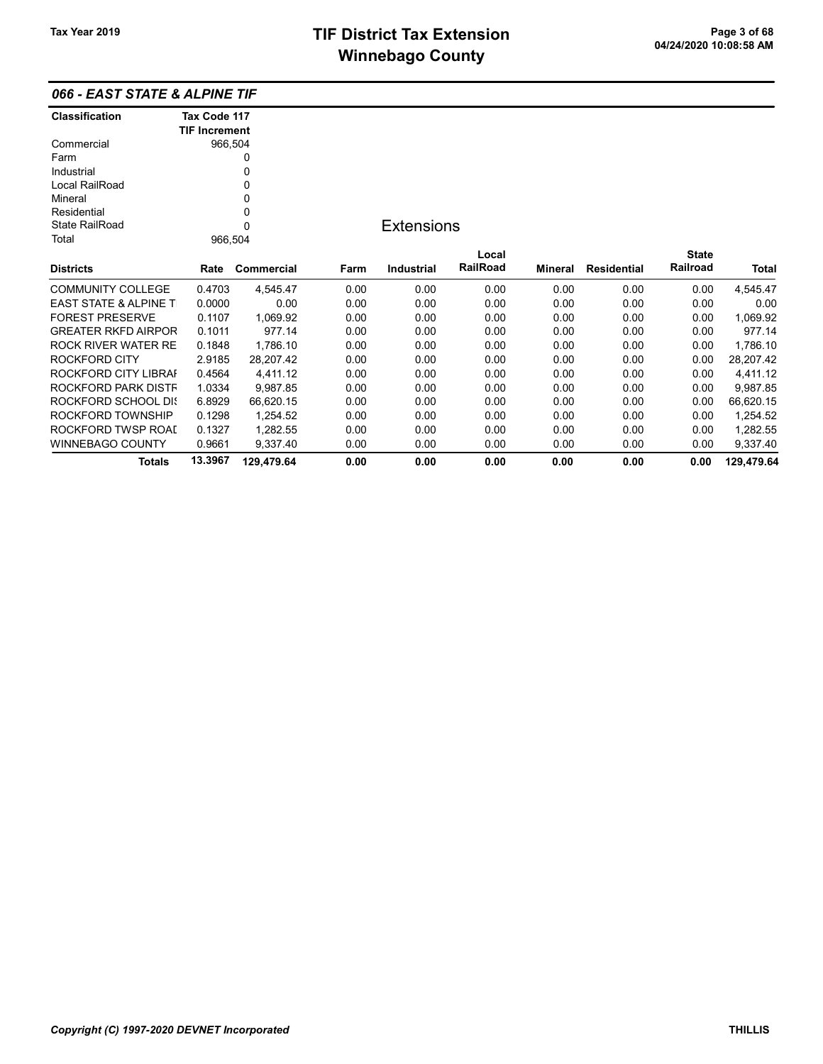| 066 - EAST STATE & ALPINE TIF |  |
|-------------------------------|--|
|-------------------------------|--|

| <b>Classification</b>            | Tax Code 117         |            |      |                   |          |                |                    |              |            |
|----------------------------------|----------------------|------------|------|-------------------|----------|----------------|--------------------|--------------|------------|
|                                  | <b>TIF Increment</b> |            |      |                   |          |                |                    |              |            |
| Commercial                       | 966,504              |            |      |                   |          |                |                    |              |            |
| Farm                             |                      | 0          |      |                   |          |                |                    |              |            |
| Industrial                       |                      | 0          |      |                   |          |                |                    |              |            |
| Local RailRoad                   |                      | 0          |      |                   |          |                |                    |              |            |
| Mineral                          |                      | 0          |      |                   |          |                |                    |              |            |
| Residential                      |                      | 0          |      |                   |          |                |                    |              |            |
| State RailRoad                   |                      | $\Omega$   |      | <b>Extensions</b> |          |                |                    |              |            |
| Total                            | 966,504              |            |      |                   |          |                |                    |              |            |
|                                  |                      |            |      |                   | Local    |                |                    | <b>State</b> |            |
| <b>Districts</b>                 | Rate                 | Commercial | Farm | <b>Industrial</b> | RailRoad | <b>Mineral</b> | <b>Residential</b> | Railroad     | Total      |
| <b>COMMUNITY COLLEGE</b>         | 0.4703               | 4,545.47   | 0.00 | 0.00              | 0.00     | 0.00           | 0.00               | 0.00         | 4,545.47   |
| <b>EAST STATE &amp; ALPINE T</b> | 0.0000               | 0.00       | 0.00 | 0.00              | 0.00     | 0.00           | 0.00               | 0.00         | 0.00       |
| <b>FOREST PRESERVE</b>           | 0.1107               | 1,069.92   | 0.00 | 0.00              | 0.00     | 0.00           | 0.00               | 0.00         | 1,069.92   |
| <b>GREATER RKFD AIRPOR</b>       | 0.1011               | 977.14     | 0.00 | 0.00              | 0.00     | 0.00           | 0.00               | 0.00         | 977.14     |
| ROCK RIVER WATER RE              | 0.1848               | 1,786.10   | 0.00 | 0.00              | 0.00     | 0.00           | 0.00               | 0.00         | 1,786.10   |
| ROCKFORD CITY                    | 2.9185               | 28,207.42  | 0.00 | 0.00              | 0.00     | 0.00           | 0.00               | 0.00         | 28,207.42  |
| ROCKFORD CITY LIBRAI             | 0.4564               | 4,411.12   | 0.00 | 0.00              | 0.00     | 0.00           | 0.00               | 0.00         | 4,411.12   |
| ROCKFORD PARK DISTF              | 1.0334               | 9,987.85   | 0.00 | 0.00              | 0.00     | 0.00           | 0.00               | 0.00         | 9,987.85   |
| ROCKFORD SCHOOL DIS              | 6.8929               | 66,620.15  | 0.00 | 0.00              | 0.00     | 0.00           | 0.00               | 0.00         | 66,620.15  |
| ROCKFORD TOWNSHIP                | 0.1298               | 1,254.52   | 0.00 | 0.00              | 0.00     | 0.00           | 0.00               | 0.00         | 1,254.52   |
| ROCKFORD TWSP ROAI               | 0.1327               | 1,282.55   | 0.00 | 0.00              | 0.00     | 0.00           | 0.00               | 0.00         | 1,282.55   |
| <b>WINNEBAGO COUNTY</b>          | 0.9661               | 9,337.40   | 0.00 | 0.00              | 0.00     | 0.00           | 0.00               | 0.00         | 9,337.40   |
| <b>Totals</b>                    | 13.3967              | 129.479.64 | 0.00 | 0.00              | 0.00     | 0.00           | 0.00               | 0.00         | 129.479.64 |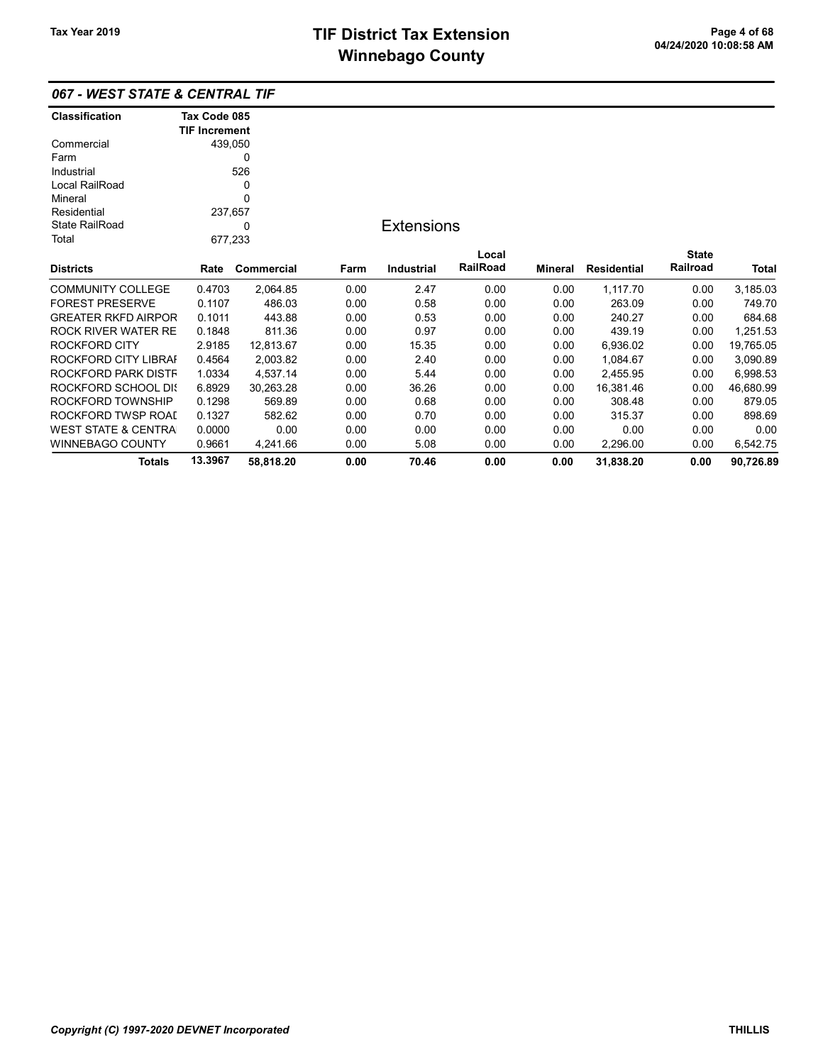|                | 067 - WEST STATE & CENTRAL TIF |
|----------------|--------------------------------|
| Classification | Tax Code 085                   |

|                                | <b>TIF Increment</b> |            |      |                   |                 |         |                    |              |           |
|--------------------------------|----------------------|------------|------|-------------------|-----------------|---------|--------------------|--------------|-----------|
| Commercial                     | 439,050              |            |      |                   |                 |         |                    |              |           |
| Farm                           |                      | 0          |      |                   |                 |         |                    |              |           |
| Industrial                     |                      | 526        |      |                   |                 |         |                    |              |           |
| Local RailRoad                 |                      | 0          |      |                   |                 |         |                    |              |           |
| Mineral                        | 0                    |            |      |                   |                 |         |                    |              |           |
| Residential                    | 237,657              |            |      |                   |                 |         |                    |              |           |
| <b>State RailRoad</b>          |                      | 0          |      | <b>Extensions</b> |                 |         |                    |              |           |
| Total                          | 677,233              |            |      |                   |                 |         |                    |              |           |
|                                |                      |            |      |                   | Local           |         |                    | <b>State</b> |           |
| <b>Districts</b>               | Rate                 | Commercial | Farm | <b>Industrial</b> | <b>RailRoad</b> | Mineral | <b>Residential</b> | Railroad     | Total     |
| <b>COMMUNITY COLLEGE</b>       | 0.4703               | 2,064.85   | 0.00 | 2.47              | 0.00            | 0.00    | 1,117.70           | 0.00         | 3,185.03  |
| <b>FOREST PRESERVE</b>         | 0.1107               | 486.03     | 0.00 | 0.58              | 0.00            | 0.00    | 263.09             | 0.00         | 749.70    |
| <b>GREATER RKFD AIRPOR</b>     | 0.1011               | 443.88     | 0.00 | 0.53              | 0.00            | 0.00    | 240.27             | 0.00         | 684.68    |
| ROCK RIVER WATER RE            | 0.1848               | 811.36     | 0.00 | 0.97              | 0.00            | 0.00    | 439.19             | 0.00         | 1,251.53  |
| <b>ROCKFORD CITY</b>           | 2.9185               | 12,813.67  | 0.00 | 15.35             | 0.00            | 0.00    | 6,936.02           | 0.00         | 19,765.05 |
| ROCKFORD CITY LIBRAI           | 0.4564               | 2,003.82   | 0.00 | 2.40              | 0.00            | 0.00    | 1,084.67           | 0.00         | 3,090.89  |
| ROCKFORD PARK DISTF            | 1.0334               | 4,537.14   | 0.00 | 5.44              | 0.00            | 0.00    | 2,455.95           | 0.00         | 6,998.53  |
| ROCKFORD SCHOOL DIS            | 6.8929               | 30,263.28  | 0.00 | 36.26             | 0.00            | 0.00    | 16,381.46          | 0.00         | 46,680.99 |
| ROCKFORD TOWNSHIP              | 0.1298               | 569.89     | 0.00 | 0.68              | 0.00            | 0.00    | 308.48             | 0.00         | 879.05    |
| ROCKFORD TWSP ROAI             | 0.1327               | 582.62     | 0.00 | 0.70              | 0.00            | 0.00    | 315.37             | 0.00         | 898.69    |
| <b>WEST STATE &amp; CENTRA</b> | 0.0000               | 0.00       | 0.00 | 0.00              | 0.00            | 0.00    | 0.00               | 0.00         | 0.00      |
| WINNEBAGO COUNTY               | 0.9661               | 4,241.66   | 0.00 | 5.08              | 0.00            | 0.00    | 2,296.00           | 0.00         | 6,542.75  |
| <b>Totals</b>                  | 13.3967              | 58,818.20  | 0.00 | 70.46             | 0.00            | 0.00    | 31,838.20          | 0.00         | 90,726.89 |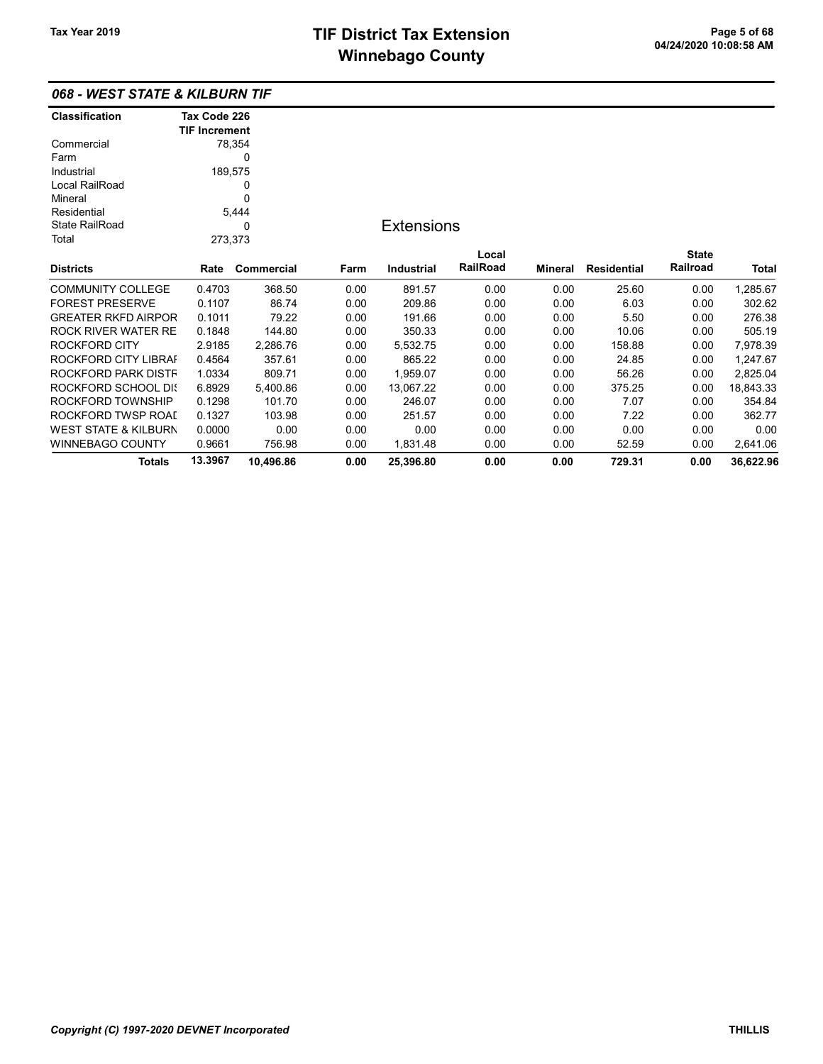| 068 - WEST STATE & KILBURN TIF |
|--------------------------------|
|--------------------------------|

| <b>Classification</b>      | Tax Code 226         |            |      |                   |          |                |                    |              |           |
|----------------------------|----------------------|------------|------|-------------------|----------|----------------|--------------------|--------------|-----------|
|                            | <b>TIF Increment</b> |            |      |                   |          |                |                    |              |           |
| Commercial                 |                      | 78,354     |      |                   |          |                |                    |              |           |
| Farm                       |                      | 0          |      |                   |          |                |                    |              |           |
| Industrial                 | 189,575              |            |      |                   |          |                |                    |              |           |
| Local RailRoad             |                      | 0          |      |                   |          |                |                    |              |           |
| Mineral                    |                      | 0          |      |                   |          |                |                    |              |           |
| Residential                |                      | 5,444      |      |                   |          |                |                    |              |           |
| <b>State RailRoad</b>      |                      | 0          |      | <b>Extensions</b> |          |                |                    |              |           |
| Total                      | 273,373              |            |      |                   |          |                |                    |              |           |
|                            |                      |            |      |                   | Local    |                |                    | <b>State</b> |           |
| Districts                  | Rate                 | Commercial | Farm | <b>Industrial</b> | RailRoad | <b>Mineral</b> | <b>Residential</b> | Railroad     | Total     |
| COMMUNITY COLLEGE          | 0.4703               | 368.50     | 0.00 | 891.57            | 0.00     | 0.00           | 25.60              | 0.00         | 1,285.67  |
| <b>FOREST PRESERVE</b>     | 0.1107               | 86.74      | 0.00 | 209.86            | 0.00     | 0.00           | 6.03               | 0.00         | 302.62    |
| <b>GREATER RKFD AIRPOR</b> | 0.1011               | 79.22      | 0.00 | 191.66            | 0.00     | 0.00           | 5.50               | 0.00         | 276.38    |
| ROCK RIVER WATER RE        | 0.1848               | 144.80     | 0.00 | 350.33            | 0.00     | 0.00           | 10.06              | 0.00         | 505.19    |
| ROCKFORD CITY              | 2.9185               | 2,286.76   | 0.00 | 5,532.75          | 0.00     | 0.00           | 158.88             | 0.00         | 7,978.39  |
| ROCKFORD CITY LIBRAI       | 0.4564               | 357.61     | 0.00 | 865.22            | 0.00     | 0.00           | 24.85              | 0.00         | 1,247.67  |
| ROCKFORD PARK DISTF        | 1.0334               | 809.71     | 0.00 | 1,959.07          | 0.00     | 0.00           | 56.26              | 0.00         | 2,825.04  |
| ROCKFORD SCHOOL DI{        | 6.8929               | 5,400.86   | 0.00 | 13,067.22         | 0.00     | 0.00           | 375.25             | 0.00         | 18,843.33 |
| ROCKFORD TOWNSHIP          | 0.1298               | 101.70     | 0.00 | 246.07            | 0.00     | 0.00           | 7.07               | 0.00         | 354.84    |
| ROCKFORD TWSP ROAI         | 0.1327               | 103.98     | 0.00 | 251.57            | 0.00     | 0.00           | 7.22               | 0.00         | 362.77    |
| WEST STATE & KILBURN       | 0.0000               | 0.00       | 0.00 | 0.00              | 0.00     | 0.00           | 0.00               | 0.00         | 0.00      |
| WINNEBAGO COUNTY           | 0.9661               | 756.98     | 0.00 | 1,831.48          | 0.00     | 0.00           | 52.59              | 0.00         | 2,641.06  |
| <b>Totals</b>              | 13.3967              | 10,496.86  | 0.00 | 25,396.80         | 0.00     | 0.00           | 729.31             | 0.00         | 36,622.96 |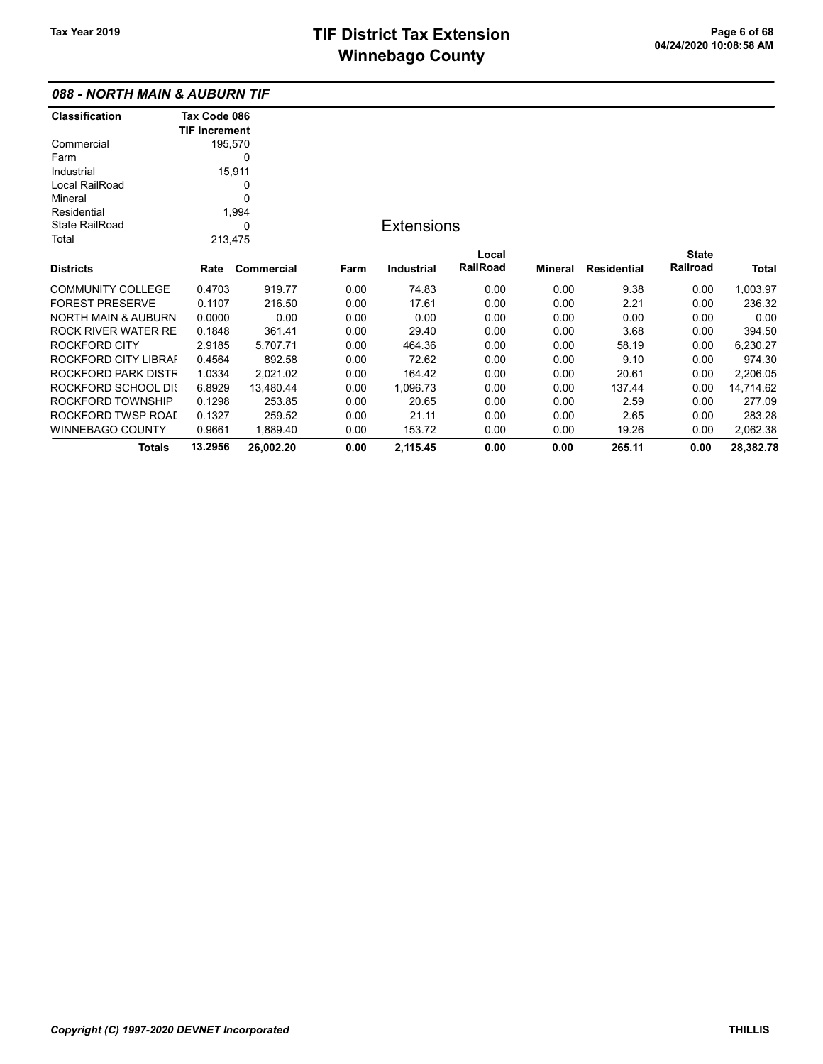## 088 - NORTH MAIN & AUBURN TIF

| <b>Classification</b>      | Tax Code 086         |            |      |                   |          |         |                    |              |           |
|----------------------------|----------------------|------------|------|-------------------|----------|---------|--------------------|--------------|-----------|
|                            | <b>TIF Increment</b> |            |      |                   |          |         |                    |              |           |
| Commercial                 |                      | 195,570    |      |                   |          |         |                    |              |           |
| Farm                       |                      | 0          |      |                   |          |         |                    |              |           |
| Industrial                 |                      | 15,911     |      |                   |          |         |                    |              |           |
| Local RailRoad             |                      | 0          |      |                   |          |         |                    |              |           |
| Mineral                    |                      | 0          |      |                   |          |         |                    |              |           |
| Residential                |                      | 1,994      |      |                   |          |         |                    |              |           |
| <b>State RailRoad</b>      |                      | 0          |      | <b>Extensions</b> |          |         |                    |              |           |
| Total                      | 213,475              |            |      |                   |          |         |                    |              |           |
|                            |                      |            |      |                   | Local    |         |                    | <b>State</b> |           |
| <b>Districts</b>           | Rate                 | Commercial | Farm | Industrial        | RailRoad | Mineral | <b>Residential</b> | Railroad     | Total     |
| <b>COMMUNITY COLLEGE</b>   | 0.4703               | 919.77     | 0.00 | 74.83             | 0.00     | 0.00    | 9.38               | 0.00         | 1,003.97  |
| <b>FOREST PRESERVE</b>     | 0.1107               | 216.50     | 0.00 | 17.61             | 0.00     | 0.00    | 2.21               | 0.00         | 236.32    |
| NORTH MAIN & AUBURN        | 0.0000               | 0.00       | 0.00 | 0.00              | 0.00     | 0.00    | 0.00               | 0.00         | 0.00      |
| <b>ROCK RIVER WATER RE</b> | 0.1848               | 361.41     | 0.00 | 29.40             | 0.00     | 0.00    | 3.68               | 0.00         | 394.50    |
| <b>ROCKFORD CITY</b>       | 2.9185               | 5,707.71   | 0.00 | 464.36            | 0.00     | 0.00    | 58.19              | 0.00         | 6,230.27  |
| ROCKFORD CITY LIBRAI       | 0.4564               | 892.58     | 0.00 | 72.62             | 0.00     | 0.00    | 9.10               | 0.00         | 974.30    |
| ROCKFORD PARK DISTF        | 1.0334               | 2,021.02   | 0.00 | 164.42            | 0.00     | 0.00    | 20.61              | 0.00         | 2,206.05  |
| ROCKFORD SCHOOL DIS        | 6.8929               | 13,480.44  | 0.00 | 1,096.73          | 0.00     | 0.00    | 137.44             | 0.00         | 14,714.62 |
| ROCKFORD TOWNSHIP          | 0.1298               | 253.85     | 0.00 | 20.65             | 0.00     | 0.00    | 2.59               | 0.00         | 277.09    |
| ROCKFORD TWSP ROAL         | 0.1327               | 259.52     | 0.00 | 21.11             | 0.00     | 0.00    | 2.65               | 0.00         | 283.28    |
| WINNEBAGO COUNTY           | 0.9661               | 1,889.40   | 0.00 | 153.72            | 0.00     | 0.00    | 19.26              | 0.00         | 2,062.38  |
| Totals                     | 13.2956              | 26,002.20  | 0.00 | 2,115.45          | 0.00     | 0.00    | 265.11             | 0.00         | 28,382.78 |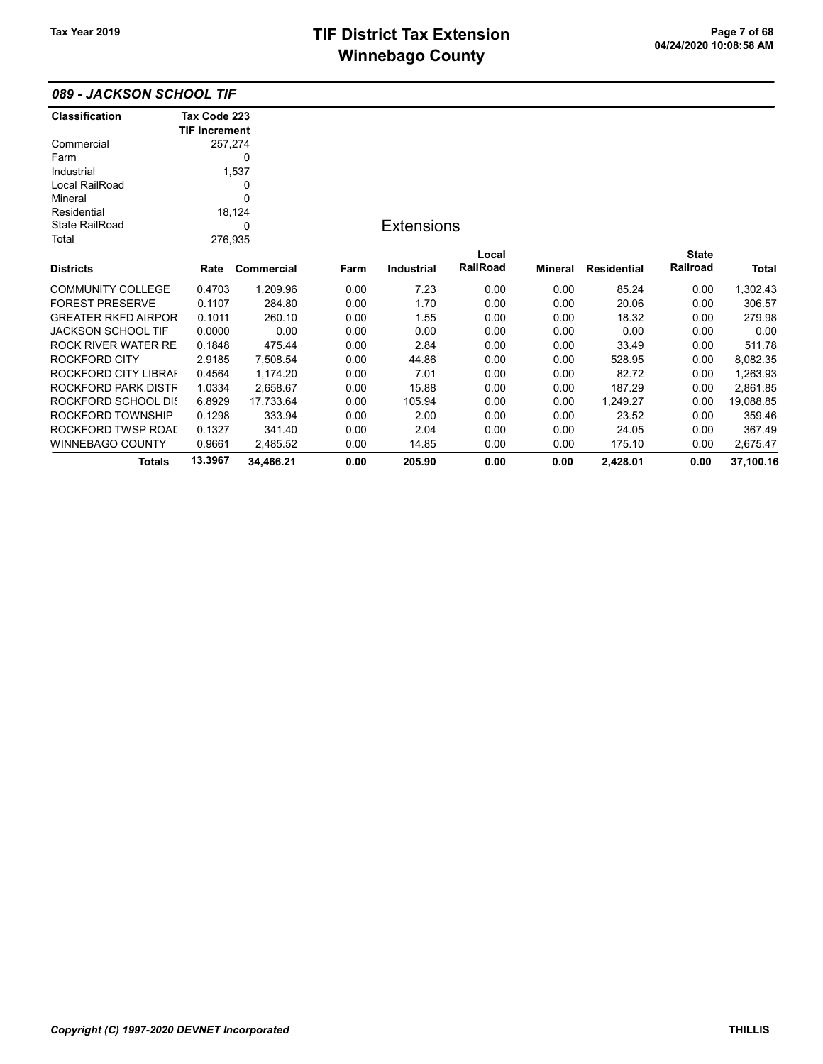| 089 - JACKSON SCHOOL TIF |  |
|--------------------------|--|
|--------------------------|--|

| <b>Classification</b>      | Tax Code 223         |            |      |                   |          |                |                    |              |           |
|----------------------------|----------------------|------------|------|-------------------|----------|----------------|--------------------|--------------|-----------|
|                            | <b>TIF Increment</b> |            |      |                   |          |                |                    |              |           |
| Commercial                 |                      | 257,274    |      |                   |          |                |                    |              |           |
| Farm                       |                      | 0          |      |                   |          |                |                    |              |           |
| Industrial                 |                      | 1,537      |      |                   |          |                |                    |              |           |
| Local RailRoad             |                      | 0          |      |                   |          |                |                    |              |           |
| Mineral                    |                      | 0          |      |                   |          |                |                    |              |           |
| Residential                |                      | 18,124     |      |                   |          |                |                    |              |           |
| <b>State RailRoad</b>      |                      | 0          |      | <b>Extensions</b> |          |                |                    |              |           |
| Total                      |                      | 276,935    |      |                   |          |                |                    |              |           |
|                            |                      |            |      |                   | Local    |                |                    | <b>State</b> |           |
| <b>Districts</b>           | Rate                 | Commercial | Farm | <b>Industrial</b> | RailRoad | <b>Mineral</b> | <b>Residential</b> | Railroad     | Total     |
| <b>COMMUNITY COLLEGE</b>   | 0.4703               | 1,209.96   | 0.00 | 7.23              | 0.00     | 0.00           | 85.24              | 0.00         | 1,302.43  |
| <b>FOREST PRESERVE</b>     | 0.1107               | 284.80     | 0.00 | 1.70              | 0.00     | 0.00           | 20.06              | 0.00         | 306.57    |
| <b>GREATER RKFD AIRPOR</b> | 0.1011               | 260.10     | 0.00 | 1.55              | 0.00     | 0.00           | 18.32              | 0.00         | 279.98    |
| <b>JACKSON SCHOOL TIF</b>  | 0.0000               | 0.00       | 0.00 | 0.00              | 0.00     | 0.00           | 0.00               | 0.00         | 0.00      |
| ROCK RIVER WATER RE        | 0.1848               | 475.44     | 0.00 | 2.84              | 0.00     | 0.00           | 33.49              | 0.00         | 511.78    |
| ROCKFORD CITY              | 2.9185               | 7,508.54   | 0.00 | 44.86             | 0.00     | 0.00           | 528.95             | 0.00         | 8,082.35  |
| ROCKFORD CITY LIBRAI       | 0.4564               | 1,174.20   | 0.00 | 7.01              | 0.00     | 0.00           | 82.72              | 0.00         | 1,263.93  |
| ROCKFORD PARK DISTF        | 1.0334               | 2,658.67   | 0.00 | 15.88             | 0.00     | 0.00           | 187.29             | 0.00         | 2,861.85  |
| ROCKFORD SCHOOL DIS        | 6.8929               | 17,733.64  | 0.00 | 105.94            | 0.00     | 0.00           | 1,249.27           | 0.00         | 19,088.85 |
| ROCKFORD TOWNSHIP          | 0.1298               | 333.94     | 0.00 | 2.00              | 0.00     | 0.00           | 23.52              | 0.00         | 359.46    |
| ROCKFORD TWSP ROAI         | 0.1327               | 341.40     | 0.00 | 2.04              | 0.00     | 0.00           | 24.05              | 0.00         | 367.49    |
| WINNEBAGO COUNTY           | 0.9661               | 2,485.52   | 0.00 | 14.85             | 0.00     | 0.00           | 175.10             | 0.00         | 2,675.47  |
| <b>Totals</b>              | 13.3967              | 34,466.21  | 0.00 | 205.90            | 0.00     | 0.00           | 2,428.01           | 0.00         | 37,100.16 |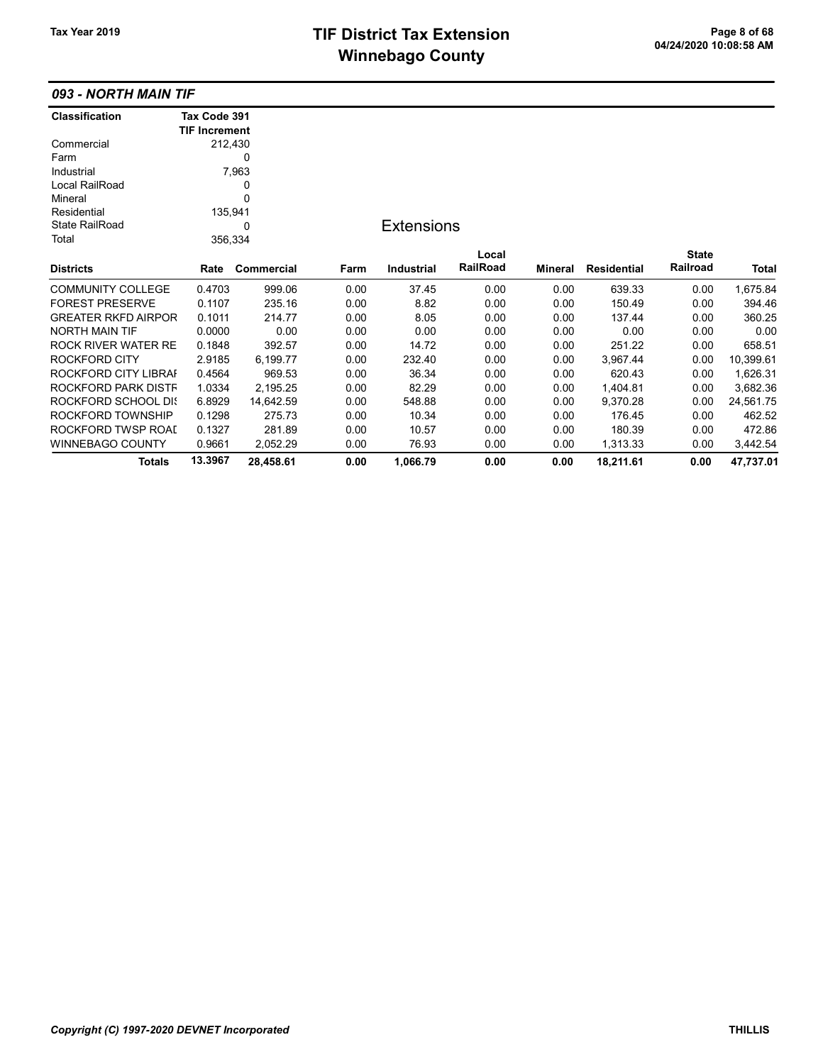## 093 - NORTH MAIN TIF

| <b>Classification</b>      | Tax Code 391         |            |      |                   |          |                |                    |              |           |
|----------------------------|----------------------|------------|------|-------------------|----------|----------------|--------------------|--------------|-----------|
|                            | <b>TIF Increment</b> |            |      |                   |          |                |                    |              |           |
| Commercial                 | 212,430              |            |      |                   |          |                |                    |              |           |
| Farm                       |                      | 0          |      |                   |          |                |                    |              |           |
| Industrial                 |                      | 7,963      |      |                   |          |                |                    |              |           |
| Local RailRoad             |                      | 0          |      |                   |          |                |                    |              |           |
| Mineral                    |                      | 0          |      |                   |          |                |                    |              |           |
| Residential                | 135,941              |            |      |                   |          |                |                    |              |           |
| <b>State RailRoad</b>      |                      | 0          |      | <b>Extensions</b> |          |                |                    |              |           |
| Total                      | 356,334              |            |      |                   |          |                |                    |              |           |
|                            |                      |            |      |                   | Local    |                |                    | <b>State</b> |           |
| <b>Districts</b>           | Rate                 | Commercial | Farm | <b>Industrial</b> | RailRoad | <b>Mineral</b> | <b>Residential</b> | Railroad     | Total     |
| <b>COMMUNITY COLLEGE</b>   | 0.4703               | 999.06     | 0.00 | 37.45             | 0.00     | 0.00           | 639.33             | 0.00         | 1,675.84  |
| <b>FOREST PRESERVE</b>     | 0.1107               | 235.16     | 0.00 | 8.82              | 0.00     | 0.00           | 150.49             | 0.00         | 394.46    |
| <b>GREATER RKFD AIRPOR</b> | 0.1011               | 214.77     | 0.00 | 8.05              | 0.00     | 0.00           | 137.44             | 0.00         | 360.25    |
| <b>NORTH MAIN TIF</b>      | 0.0000               | 0.00       | 0.00 | 0.00              | 0.00     | 0.00           | 0.00               | 0.00         | 0.00      |
| <b>ROCK RIVER WATER RE</b> | 0.1848               | 392.57     | 0.00 | 14.72             | 0.00     | 0.00           | 251.22             | 0.00         | 658.51    |
| <b>ROCKFORD CITY</b>       | 2.9185               | 6,199.77   | 0.00 | 232.40            | 0.00     | 0.00           | 3,967.44           | 0.00         | 10,399.61 |
| ROCKFORD CITY LIBRAI       | 0.4564               | 969.53     | 0.00 | 36.34             | 0.00     | 0.00           | 620.43             | 0.00         | 1,626.31  |
| ROCKFORD PARK DISTF        | 1.0334               | 2,195.25   | 0.00 | 82.29             | 0.00     | 0.00           | 1,404.81           | 0.00         | 3,682.36  |
| ROCKFORD SCHOOL DIS        | 6.8929               | 14,642.59  | 0.00 | 548.88            | 0.00     | 0.00           | 9,370.28           | 0.00         | 24,561.75 |
| ROCKFORD TOWNSHIP          | 0.1298               | 275.73     | 0.00 | 10.34             | 0.00     | 0.00           | 176.45             | 0.00         | 462.52    |
| ROCKFORD TWSP ROAL         | 0.1327               | 281.89     | 0.00 | 10.57             | 0.00     | 0.00           | 180.39             | 0.00         | 472.86    |
| WINNEBAGO COUNTY           | 0.9661               | 2,052.29   | 0.00 | 76.93             | 0.00     | 0.00           | 1,313.33           | 0.00         | 3,442.54  |
| <b>Totals</b>              | 13.3967              | 28,458.61  | 0.00 | 1,066.79          | 0.00     | 0.00           | 18,211.61          | 0.00         | 47,737.01 |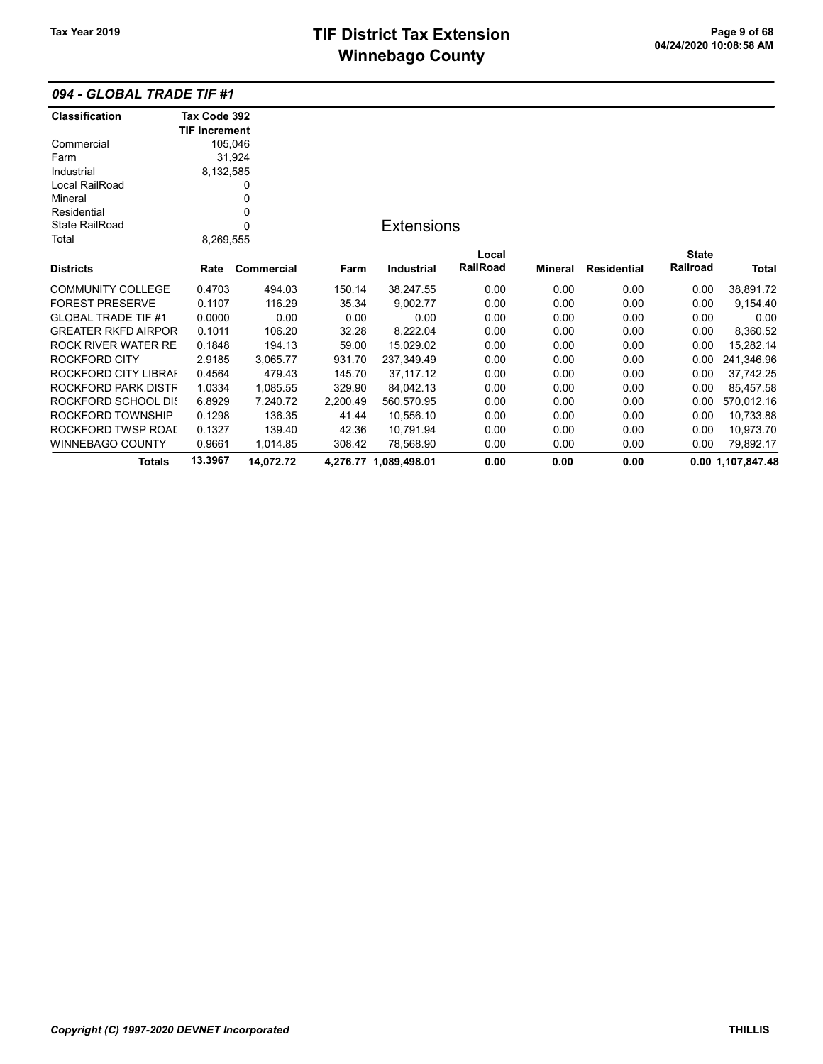## 094 - GLOBAL TRADE TIF #1

| <b>Classification</b>      | Tax Code 392         |             |          |                       |          |         |                    |              |                   |
|----------------------------|----------------------|-------------|----------|-----------------------|----------|---------|--------------------|--------------|-------------------|
|                            | <b>TIF Increment</b> |             |          |                       |          |         |                    |              |                   |
| Commercial                 |                      | 105,046     |          |                       |          |         |                    |              |                   |
| Farm                       |                      | 31,924      |          |                       |          |         |                    |              |                   |
| Industrial                 | 8,132,585            |             |          |                       |          |         |                    |              |                   |
| Local RailRoad             |                      | 0           |          |                       |          |         |                    |              |                   |
| Mineral                    |                      | 0           |          |                       |          |         |                    |              |                   |
| Residential                |                      | 0           |          |                       |          |         |                    |              |                   |
| <b>State RailRoad</b>      |                      | $\mathbf 0$ |          | <b>Extensions</b>     |          |         |                    |              |                   |
| Total                      | 8,269,555            |             |          |                       |          |         |                    |              |                   |
|                            |                      |             |          |                       | Local    |         |                    | <b>State</b> |                   |
| <b>Districts</b>           | Rate                 | Commercial  | Farm     | Industrial            | RailRoad | Mineral | <b>Residential</b> | Railroad     | Total             |
| <b>COMMUNITY COLLEGE</b>   | 0.4703               | 494.03      | 150.14   | 38,247.55             | 0.00     | 0.00    | 0.00               | 0.00         | 38,891.72         |
| <b>FOREST PRESERVE</b>     | 0.1107               | 116.29      | 35.34    | 9,002.77              | 0.00     | 0.00    | 0.00               | 0.00         | 9,154.40          |
| <b>GLOBAL TRADE TIF #1</b> | 0.0000               | 0.00        | 0.00     | 0.00                  | 0.00     | 0.00    | 0.00               | 0.00         | 0.00              |
| <b>GREATER RKFD AIRPOR</b> | 0.1011               | 106.20      | 32.28    | 8,222.04              | 0.00     | 0.00    | 0.00               | 0.00         | 8,360.52          |
| <b>ROCK RIVER WATER RE</b> | 0.1848               | 194.13      | 59.00    | 15,029.02             | 0.00     | 0.00    | 0.00               | 0.00         | 15,282.14         |
| <b>ROCKFORD CITY</b>       | 2.9185               | 3,065.77    | 931.70   | 237,349.49            | 0.00     | 0.00    | 0.00               | 0.00         | 241,346.96        |
| ROCKFORD CITY LIBRAI       | 0.4564               | 479.43      | 145.70   | 37, 117.12            | 0.00     | 0.00    | 0.00               | 0.00         | 37,742.25         |
| ROCKFORD PARK DISTF        | 1.0334               | 1,085.55    | 329.90   | 84,042.13             | 0.00     | 0.00    | 0.00               | 0.00         | 85,457.58         |
| ROCKFORD SCHOOL DIS        | 6.8929               | 7,240.72    | 2,200.49 | 560,570.95            | 0.00     | 0.00    | 0.00               | 0.00         | 570,012.16        |
| ROCKFORD TOWNSHIP          | 0.1298               | 136.35      | 41.44    | 10.556.10             | 0.00     | 0.00    | 0.00               | 0.00         | 10,733.88         |
| ROCKFORD TWSP ROAI         | 0.1327               | 139.40      | 42.36    | 10.791.94             | 0.00     | 0.00    | 0.00               | 0.00         | 10,973.70         |
| WINNEBAGO COUNTY           | 0.9661               | 1,014.85    | 308.42   | 78,568.90             | 0.00     | 0.00    | 0.00               | 0.00         | 79,892.17         |
| <b>Totals</b>              | 13.3967              | 14,072.72   |          | 4,276.77 1,089,498.01 | 0.00     | 0.00    | 0.00               |              | 0.00 1,107,847.48 |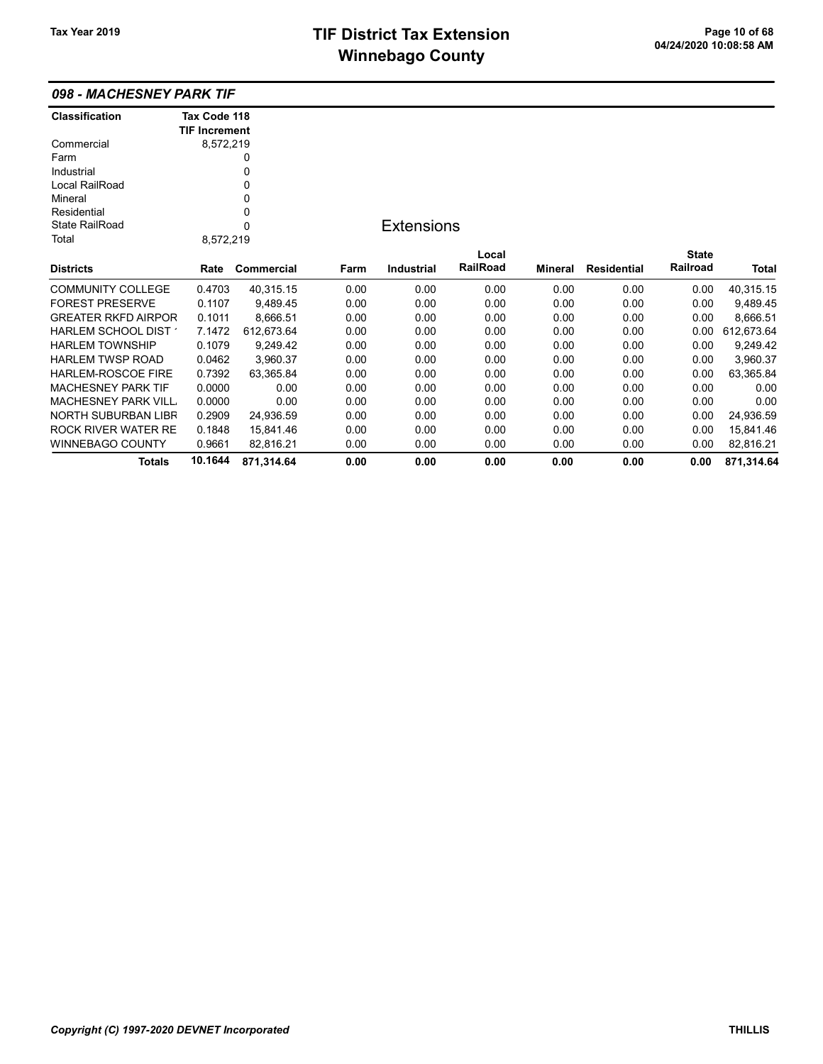|  |  | 098 - MACHESNEY PARK TIF |
|--|--|--------------------------|
|--|--|--------------------------|

| Classification             | Tax Code 118         |            |      |                   |          |                |                    |              |            |
|----------------------------|----------------------|------------|------|-------------------|----------|----------------|--------------------|--------------|------------|
|                            | <b>TIF Increment</b> |            |      |                   |          |                |                    |              |            |
| Commercial                 | 8,572,219            |            |      |                   |          |                |                    |              |            |
| Farm                       |                      | 0          |      |                   |          |                |                    |              |            |
| Industrial                 |                      | 0          |      |                   |          |                |                    |              |            |
| Local RailRoad             |                      | 0          |      |                   |          |                |                    |              |            |
| Mineral                    |                      | 0          |      |                   |          |                |                    |              |            |
| Residential                |                      | 0          |      |                   |          |                |                    |              |            |
| <b>State RailRoad</b>      |                      | $\Omega$   |      | <b>Extensions</b> |          |                |                    |              |            |
| Total                      | 8,572,219            |            |      |                   |          |                |                    |              |            |
|                            |                      |            |      |                   | Local    |                |                    | <b>State</b> |            |
| <b>Districts</b>           | Rate                 | Commercial | Farm | <b>Industrial</b> | RailRoad | <b>Mineral</b> | <b>Residential</b> | Railroad     | Total      |
| <b>COMMUNITY COLLEGE</b>   | 0.4703               | 40,315.15  | 0.00 | 0.00              | 0.00     | 0.00           | 0.00               | 0.00         | 40,315.15  |
| <b>FOREST PRESERVE</b>     | 0.1107               | 9,489.45   | 0.00 | 0.00              | 0.00     | 0.00           | 0.00               | 0.00         | 9,489.45   |
| <b>GREATER RKFD AIRPOR</b> | 0.1011               | 8,666.51   | 0.00 | 0.00              | 0.00     | 0.00           | 0.00               | 0.00         | 8,666.51   |
| HARLEM SCHOOL DIST         | 7.1472               | 612,673.64 | 0.00 | 0.00              | 0.00     | 0.00           | 0.00               | 0.00         | 612,673.64 |
| <b>HARLEM TOWNSHIP</b>     | 0.1079               | 9,249.42   | 0.00 | 0.00              | 0.00     | 0.00           | 0.00               | 0.00         | 9,249.42   |
| <b>HARLEM TWSP ROAD</b>    | 0.0462               | 3,960.37   | 0.00 | 0.00              | 0.00     | 0.00           | 0.00               | 0.00         | 3,960.37   |
| <b>HARLEM-ROSCOE FIRE</b>  | 0.7392               | 63,365.84  | 0.00 | 0.00              | 0.00     | 0.00           | 0.00               | 0.00         | 63,365.84  |
| <b>MACHESNEY PARK TIF</b>  | 0.0000               | 0.00       | 0.00 | 0.00              | 0.00     | 0.00           | 0.00               | 0.00         | 0.00       |
| <b>MACHESNEY PARK VILL</b> | 0.0000               | 0.00       | 0.00 | 0.00              | 0.00     | 0.00           | 0.00               | 0.00         | 0.00       |
| NORTH SUBURBAN LIBR        | 0.2909               | 24,936.59  | 0.00 | 0.00              | 0.00     | 0.00           | 0.00               | 0.00         | 24,936.59  |
| ROCK RIVER WATER RE        | 0.1848               | 15,841.46  | 0.00 | 0.00              | 0.00     | 0.00           | 0.00               | 0.00         | 15,841.46  |
| WINNEBAGO COUNTY           | 0.9661               | 82,816.21  | 0.00 | 0.00              | 0.00     | 0.00           | 0.00               | 0.00         | 82,816.21  |
| Totals                     | 10.1644              | 871,314.64 | 0.00 | 0.00              | 0.00     | 0.00           | 0.00               | 0.00         | 871,314.64 |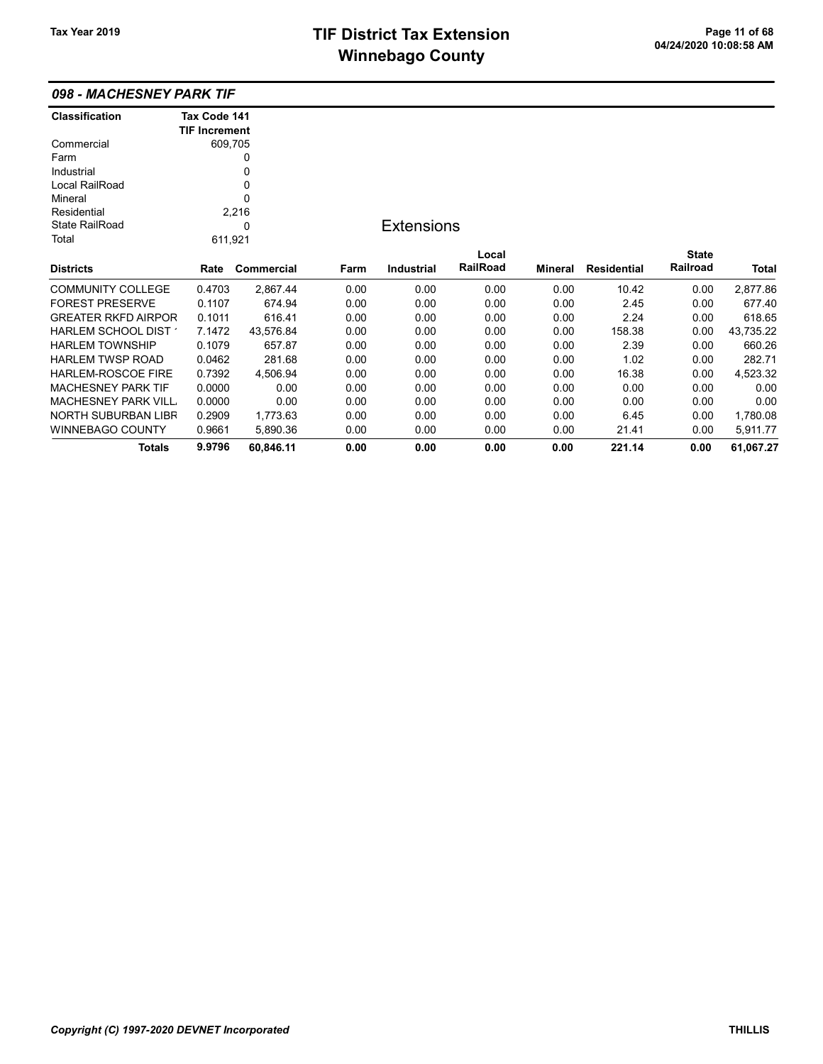## TIF District Tax Extension<br>
Mission 2009 11:08:58 AM **Winnebago County**

| 098 - MACHESNEY PARK TIF |  |
|--------------------------|--|
|--------------------------|--|

| <b>Classification</b>      | Tax Code 141         |            |      |                   |          |                |                    |              |           |
|----------------------------|----------------------|------------|------|-------------------|----------|----------------|--------------------|--------------|-----------|
|                            | <b>TIF Increment</b> |            |      |                   |          |                |                    |              |           |
| Commercial                 |                      | 609,705    |      |                   |          |                |                    |              |           |
| Farm                       |                      | 0          |      |                   |          |                |                    |              |           |
| Industrial                 |                      | 0          |      |                   |          |                |                    |              |           |
| Local RailRoad             |                      | 0          |      |                   |          |                |                    |              |           |
| Mineral                    |                      | 0          |      |                   |          |                |                    |              |           |
| Residential                |                      | 2,216      |      |                   |          |                |                    |              |           |
| State RailRoad             |                      | 0          |      | <b>Extensions</b> |          |                |                    |              |           |
| Total                      |                      | 611,921    |      |                   |          |                |                    |              |           |
|                            |                      |            |      |                   | Local    |                |                    | <b>State</b> |           |
| <b>Districts</b>           | Rate                 | Commercial | Farm | Industrial        | RailRoad | <b>Mineral</b> | <b>Residential</b> | Railroad     | Total     |
| <b>COMMUNITY COLLEGE</b>   | 0.4703               | 2,867.44   | 0.00 | 0.00              | 0.00     | 0.00           | 10.42              | 0.00         | 2,877.86  |
| <b>FOREST PRESERVE</b>     | 0.1107               | 674.94     | 0.00 | 0.00              | 0.00     | 0.00           | 2.45               | 0.00         | 677.40    |
| <b>GREATER RKFD AIRPOR</b> | 0.1011               | 616.41     | 0.00 | 0.00              | 0.00     | 0.00           | 2.24               | 0.00         | 618.65    |
| HARLEM SCHOOL DIST         | 7.1472               | 43,576.84  | 0.00 | 0.00              | 0.00     | 0.00           | 158.38             | 0.00         | 43,735.22 |
| <b>HARLEM TOWNSHIP</b>     | 0.1079               | 657.87     | 0.00 | 0.00              | 0.00     | 0.00           | 2.39               | 0.00         | 660.26    |
| <b>HARLEM TWSP ROAD</b>    | 0.0462               | 281.68     | 0.00 | 0.00              | 0.00     | 0.00           | 1.02               | 0.00         | 282.71    |
| HARLEM-ROSCOE FIRE         | 0.7392               | 4,506.94   | 0.00 | 0.00              | 0.00     | 0.00           | 16.38              | 0.00         | 4,523.32  |
| <b>MACHESNEY PARK TIF</b>  | 0.0000               | 0.00       | 0.00 | 0.00              | 0.00     | 0.00           | 0.00               | 0.00         | 0.00      |
| <b>MACHESNEY PARK VILL</b> | 0.0000               | 0.00       | 0.00 | 0.00              | 0.00     | 0.00           | 0.00               | 0.00         | 0.00      |
| <b>NORTH SUBURBAN LIBR</b> | 0.2909               | 1,773.63   | 0.00 | 0.00              | 0.00     | 0.00           | 6.45               | 0.00         | 1,780.08  |
| <b>WINNEBAGO COUNTY</b>    | 0.9661               | 5.890.36   | 0.00 | 0.00              | 0.00     | 0.00           | 21.41              | 0.00         | 5,911.77  |
| Totals                     | 9.9796               | 60,846.11  | 0.00 | 0.00              | 0.00     | 0.00           | 221.14             | 0.00         | 61,067.27 |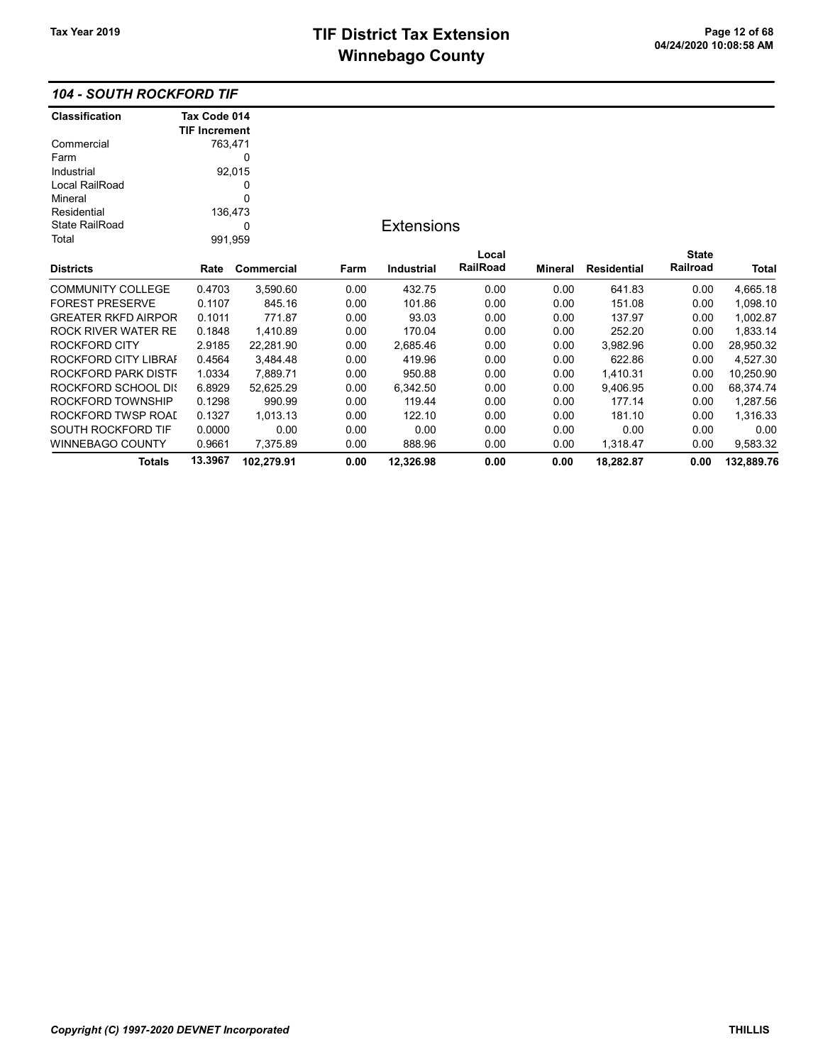### 104 - SOUTH ROCKFORD TIF

| <b>Classification</b>      | Tax Code 014         |            |      |                   |          |         |                    |              |            |
|----------------------------|----------------------|------------|------|-------------------|----------|---------|--------------------|--------------|------------|
|                            | <b>TIF Increment</b> |            |      |                   |          |         |                    |              |            |
| Commercial                 | 763,471              |            |      |                   |          |         |                    |              |            |
| Farm                       |                      | 0          |      |                   |          |         |                    |              |            |
| Industrial                 |                      | 92,015     |      |                   |          |         |                    |              |            |
| Local RailRoad             |                      | 0          |      |                   |          |         |                    |              |            |
| Mineral                    |                      | 0          |      |                   |          |         |                    |              |            |
| Residential                | 136,473              |            |      |                   |          |         |                    |              |            |
| <b>State RailRoad</b>      |                      | 0          |      | <b>Extensions</b> |          |         |                    |              |            |
| Total                      | 991,959              |            |      |                   |          |         |                    |              |            |
|                            |                      |            |      |                   | Local    |         |                    | <b>State</b> |            |
| <b>Districts</b>           | Rate                 | Commercial | Farm | <b>Industrial</b> | RailRoad | Mineral | <b>Residential</b> | Railroad     | Total      |
| <b>COMMUNITY COLLEGE</b>   | 0.4703               | 3,590.60   | 0.00 | 432.75            | 0.00     | 0.00    | 641.83             | 0.00         | 4,665.18   |
| <b>FOREST PRESERVE</b>     | 0.1107               | 845.16     | 0.00 | 101.86            | 0.00     | 0.00    | 151.08             | 0.00         | 1,098.10   |
| <b>GREATER RKFD AIRPOR</b> | 0.1011               | 771.87     | 0.00 | 93.03             | 0.00     | 0.00    | 137.97             | 0.00         | 1,002.87   |
| <b>ROCK RIVER WATER RE</b> | 0.1848               | 1,410.89   | 0.00 | 170.04            | 0.00     | 0.00    | 252.20             | 0.00         | 1,833.14   |
| ROCKFORD CITY              | 2.9185               | 22,281.90  | 0.00 | 2,685.46          | 0.00     | 0.00    | 3,982.96           | 0.00         | 28,950.32  |
| ROCKFORD CITY LIBRAI       | 0.4564               | 3,484.48   | 0.00 | 419.96            | 0.00     | 0.00    | 622.86             | 0.00         | 4,527.30   |
| ROCKFORD PARK DISTF        | 1.0334               | 7,889.71   | 0.00 | 950.88            | 0.00     | 0.00    | 1,410.31           | 0.00         | 10,250.90  |
| <b>ROCKFORD SCHOOL DIS</b> | 6.8929               | 52,625.29  | 0.00 | 6,342.50          | 0.00     | 0.00    | 9,406.95           | 0.00         | 68,374.74  |
| ROCKFORD TOWNSHIP          | 0.1298               | 990.99     | 0.00 | 119.44            | 0.00     | 0.00    | 177.14             | 0.00         | 1,287.56   |
| ROCKFORD TWSP ROAI         | 0.1327               | 1,013.13   | 0.00 | 122.10            | 0.00     | 0.00    | 181.10             | 0.00         | 1,316.33   |
| SOUTH ROCKFORD TIF         | 0.0000               | 0.00       | 0.00 | 0.00              | 0.00     | 0.00    | 0.00               | 0.00         | 0.00       |
| WINNEBAGO COUNTY           | 0.9661               | 7,375.89   | 0.00 | 888.96            | 0.00     | 0.00    | 1,318.47           | 0.00         | 9,583.32   |
| <b>Totals</b>              | 13.3967              | 102,279.91 | 0.00 | 12,326.98         | 0.00     | 0.00    | 18,282.87          | 0.00         | 132,889.76 |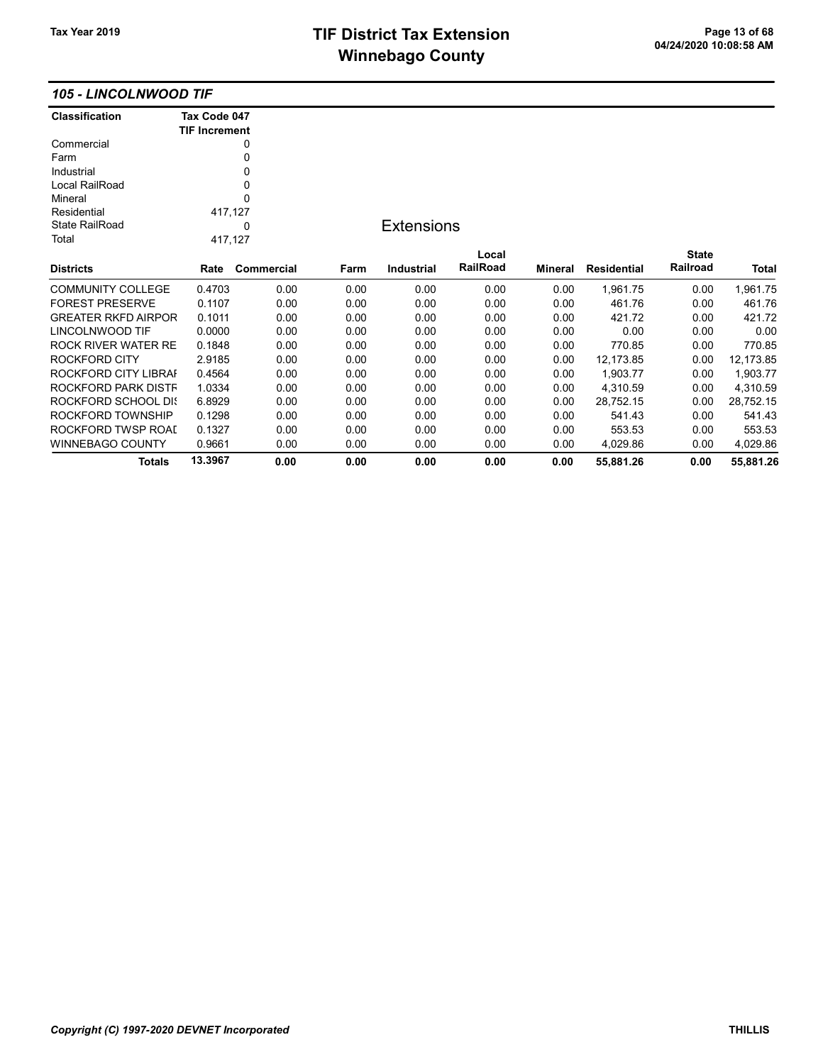#### 105 - LINCOLNWOOD TIF

| <b>Classification</b>      | Tax Code 047<br><b>TIF Increment</b> |            |      |                   |          |                |                    |              |              |
|----------------------------|--------------------------------------|------------|------|-------------------|----------|----------------|--------------------|--------------|--------------|
| Commercial                 |                                      | 0          |      |                   |          |                |                    |              |              |
| Farm                       |                                      | 0          |      |                   |          |                |                    |              |              |
| Industrial                 |                                      | 0          |      |                   |          |                |                    |              |              |
| Local RailRoad             |                                      | 0          |      |                   |          |                |                    |              |              |
| Mineral                    |                                      | 0          |      |                   |          |                |                    |              |              |
| Residential                | 417,127                              |            |      |                   |          |                |                    |              |              |
| <b>State RailRoad</b>      |                                      | 0          |      | <b>Extensions</b> |          |                |                    |              |              |
| Total                      | 417,127                              |            |      |                   |          |                |                    |              |              |
|                            |                                      |            |      |                   | Local    |                |                    | <b>State</b> |              |
| <b>Districts</b>           | Rate                                 | Commercial | Farm | <b>Industrial</b> | RailRoad | <b>Mineral</b> | <b>Residential</b> | Railroad     | <b>Total</b> |
| <b>COMMUNITY COLLEGE</b>   | 0.4703                               | 0.00       | 0.00 | 0.00              | 0.00     | 0.00           | 1,961.75           | 0.00         | 1,961.75     |
| <b>FOREST PRESERVE</b>     | 0.1107                               | 0.00       | 0.00 | 0.00              | 0.00     | 0.00           | 461.76             | 0.00         | 461.76       |
| <b>GREATER RKFD AIRPOR</b> | 0.1011                               | 0.00       | 0.00 | 0.00              | 0.00     | 0.00           | 421.72             | 0.00         | 421.72       |
| LINCOLNWOOD TIF            | 0.0000                               | 0.00       | 0.00 | 0.00              | 0.00     | 0.00           | 0.00               | 0.00         | 0.00         |
| <b>ROCK RIVER WATER RE</b> | 0.1848                               | 0.00       | 0.00 | 0.00              | 0.00     | 0.00           | 770.85             | 0.00         | 770.85       |
| ROCKFORD CITY              | 2.9185                               | 0.00       | 0.00 | 0.00              | 0.00     | 0.00           | 12,173.85          | 0.00         | 12,173.85    |
| ROCKFORD CITY LIBRAI       | 0.4564                               | 0.00       | 0.00 | 0.00              | 0.00     | 0.00           | 1,903.77           | 0.00         | 1,903.77     |
| ROCKFORD PARK DISTF        | 1.0334                               | 0.00       | 0.00 | 0.00              | 0.00     | 0.00           | 4,310.59           | 0.00         | 4,310.59     |
| <b>ROCKFORD SCHOOL DIS</b> | 6.8929                               | 0.00       | 0.00 | 0.00              | 0.00     | 0.00           | 28,752.15          | 0.00         | 28,752.15    |
| ROCKFORD TOWNSHIP          | 0.1298                               | 0.00       | 0.00 | 0.00              | 0.00     | 0.00           | 541.43             | 0.00         | 541.43       |
| ROCKFORD TWSP ROAD         | 0.1327                               | 0.00       | 0.00 | 0.00              | 0.00     | 0.00           | 553.53             | 0.00         | 553.53       |
| <b>WINNEBAGO COUNTY</b>    | 0.9661                               | 0.00       | 0.00 | 0.00              | 0.00     | 0.00           | 4,029.86           | 0.00         | 4,029.86     |
| Totals                     | 13.3967                              | 0.00       | 0.00 | 0.00              | 0.00     | 0.00           | 55,881.26          | 0.00         | 55,881.26    |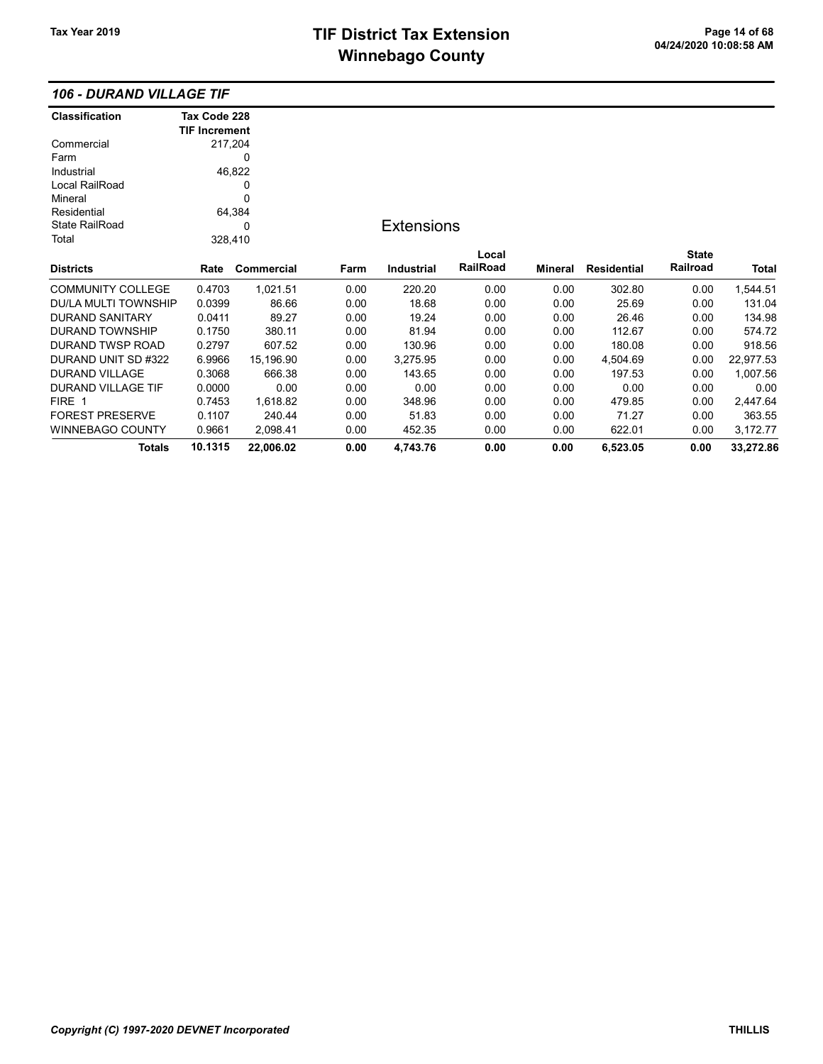### 106 - DURAND VILLAGE TIF

| <b>Classification</b>     | Tax Code 228         |            |      |                   |          |                |                    |              |           |
|---------------------------|----------------------|------------|------|-------------------|----------|----------------|--------------------|--------------|-----------|
|                           | <b>TIF Increment</b> |            |      |                   |          |                |                    |              |           |
| Commercial                |                      | 217,204    |      |                   |          |                |                    |              |           |
| Farm                      |                      | 0          |      |                   |          |                |                    |              |           |
| Industrial                |                      | 46,822     |      |                   |          |                |                    |              |           |
| Local RailRoad            |                      | 0          |      |                   |          |                |                    |              |           |
| Mineral                   |                      | 0          |      |                   |          |                |                    |              |           |
| Residential               |                      | 64,384     |      |                   |          |                |                    |              |           |
| <b>State RailRoad</b>     |                      | 0          |      | <b>Extensions</b> |          |                |                    |              |           |
| Total                     |                      | 328,410    |      |                   |          |                |                    |              |           |
|                           |                      |            |      |                   | Local    |                |                    | <b>State</b> |           |
| <b>Districts</b>          | Rate                 | Commercial | Farm | Industrial        | RailRoad | <b>Mineral</b> | <b>Residential</b> | Railroad     | Total     |
| <b>COMMUNITY COLLEGE</b>  | 0.4703               | 1,021.51   | 0.00 | 220.20            | 0.00     | 0.00           | 302.80             | 0.00         | 1,544.51  |
| DU/LA MULTI TOWNSHIP      | 0.0399               | 86.66      | 0.00 | 18.68             | 0.00     | 0.00           | 25.69              | 0.00         | 131.04    |
| <b>DURAND SANITARY</b>    | 0.0411               | 89.27      | 0.00 | 19.24             | 0.00     | 0.00           | 26.46              | 0.00         | 134.98    |
| <b>DURAND TOWNSHIP</b>    | 0.1750               | 380.11     | 0.00 | 81.94             | 0.00     | 0.00           | 112.67             | 0.00         | 574.72    |
| <b>DURAND TWSP ROAD</b>   | 0.2797               | 607.52     | 0.00 | 130.96            | 0.00     | 0.00           | 180.08             | 0.00         | 918.56    |
| DURAND UNIT SD #322       | 6.9966               | 15,196.90  | 0.00 | 3,275.95          | 0.00     | 0.00           | 4,504.69           | 0.00         | 22,977.53 |
| DURAND VILLAGE            | 0.3068               | 666.38     | 0.00 | 143.65            | 0.00     | 0.00           | 197.53             | 0.00         | 1,007.56  |
| <b>DURAND VILLAGE TIF</b> | 0.0000               | 0.00       | 0.00 | 0.00              | 0.00     | 0.00           | 0.00               | 0.00         | 0.00      |
| FIRE 1                    | 0.7453               | 1,618.82   | 0.00 | 348.96            | 0.00     | 0.00           | 479.85             | 0.00         | 2,447.64  |
| <b>FOREST PRESERVE</b>    | 0.1107               | 240.44     | 0.00 | 51.83             | 0.00     | 0.00           | 71.27              | 0.00         | 363.55    |
| <b>WINNEBAGO COUNTY</b>   | 0.9661               | 2,098.41   | 0.00 | 452.35            | 0.00     | 0.00           | 622.01             | 0.00         | 3,172.77  |
| <b>Totals</b>             | 10.1315              | 22,006.02  | 0.00 | 4,743.76          | 0.00     | 0.00           | 6,523.05           | 0.00         | 33,272.86 |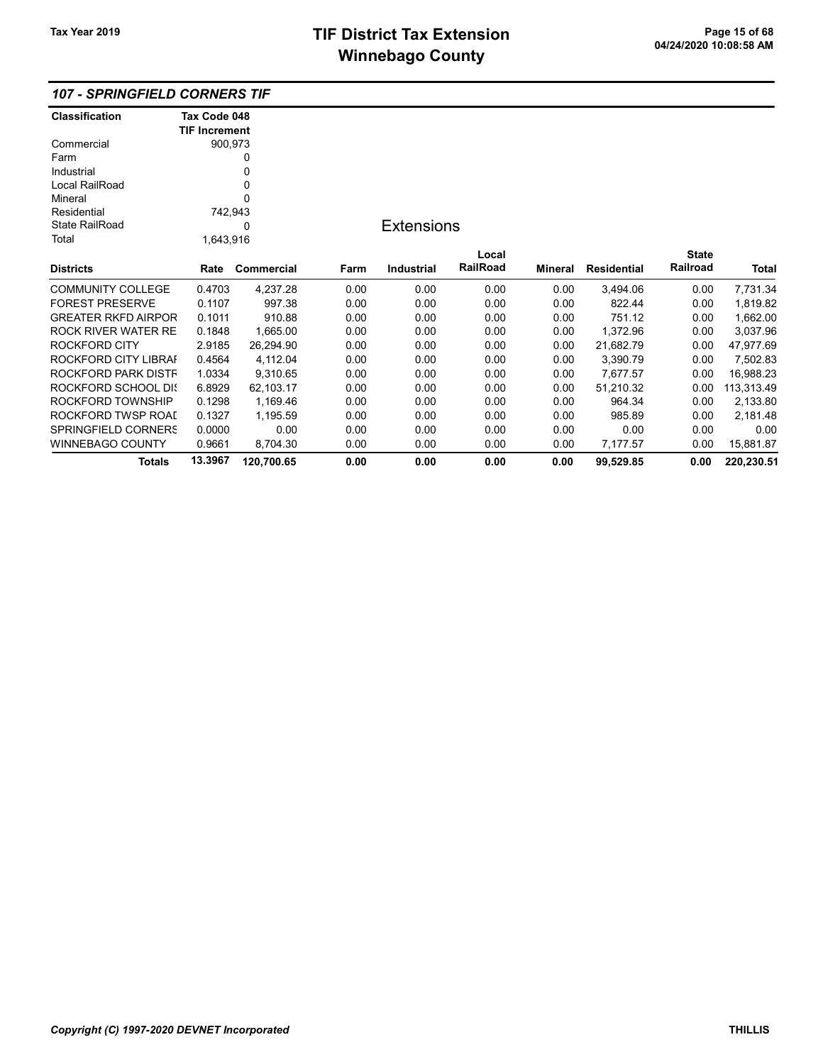| <b>Classification</b>  | Tax Code 048         |                   |      |                   |          |                |                    |              |            |
|------------------------|----------------------|-------------------|------|-------------------|----------|----------------|--------------------|--------------|------------|
|                        | <b>TIF Increment</b> |                   |      |                   |          |                |                    |              |            |
| Commercial             | 900,973              |                   |      |                   |          |                |                    |              |            |
| Farm                   |                      | 0                 |      |                   |          |                |                    |              |            |
| Industrial             |                      | 0                 |      |                   |          |                |                    |              |            |
| Local RailRoad         |                      | 0                 |      |                   |          |                |                    |              |            |
| Mineral                |                      | $\Omega$          |      |                   |          |                |                    |              |            |
| Residential            | 742,943              |                   |      |                   |          |                |                    |              |            |
| <b>State RailRoad</b>  |                      | 0                 |      | <b>Extensions</b> |          |                |                    |              |            |
| Total                  | 1,643,916            |                   |      |                   |          |                |                    |              |            |
|                        |                      |                   |      |                   | Local    |                |                    | <b>State</b> |            |
| Districts              | Rate                 | <b>Commercial</b> | Farm | <b>Industrial</b> | RailRoad | <b>Mineral</b> | <b>Residential</b> | Railroad     | Total      |
| COMMUNITY COLLEGE      | 0.4703               | 4,237.28          | 0.00 | 0.00              | 0.00     | 0.00           | 3,494.06           | 0.00         | 7,731.34   |
| <b>FOREST PRESERVE</b> | 0.1107               | 997.38            | 0.00 | 0.00              | 0.00     | 0.00           | 822.44             | 0.00         | 1,819.82   |
| GREATER RKFD AIRPOR    | 0.1011               | 910.88            | 0.00 | 0.00              | 0.00     | 0.00           | 751.12             | 0.00         | 1,662.00   |
| ROCK RIVER WATER RE    | 0.1848               | 1,665.00          | 0.00 | 0.00              | 0.00     | 0.00           | 1,372.96           | 0.00         | 3,037.96   |
| ROCKFORD CITY          | 2.9185               | 26,294.90         | 0.00 | 0.00              | 0.00     | 0.00           | 21,682.79          | 0.00         | 47,977.69  |
| ROCKFORD CITY LIBRAI   | 0.4564               | 4,112.04          | 0.00 | 0.00              | 0.00     | 0.00           | 3,390.79           | 0.00         | 7,502.83   |
| ROCKFORD PARK DISTF    | 1.0334               | 9,310.65          | 0.00 | 0.00              | 0.00     | 0.00           | 7,677.57           | 0.00         | 16,988.23  |
| ROCKFORD SCHOOL DI{    | 6.8929               | 62,103.17         | 0.00 | 0.00              | 0.00     | 0.00           | 51,210.32          | 0.00         | 113,313.49 |
| ROCKFORD TOWNSHIP      | 0.1298               | 1,169.46          | 0.00 | 0.00              | 0.00     | 0.00           | 964.34             | 0.00         | 2,133.80   |
| ROCKFORD TWSP ROAI     | 0.1327               | 1,195.59          | 0.00 | 0.00              | 0.00     | 0.00           | 985.89             | 0.00         | 2,181.48   |
| SPRINGFIELD CORNERS    | 0.0000               | 0.00              | 0.00 | 0.00              | 0.00     | 0.00           | 0.00               | 0.00         | 0.00       |
| WINNEBAGO COUNTY       | 0.9661               | 8,704.30          | 0.00 | 0.00              | 0.00     | 0.00           | 7,177.57           | 0.00         | 15,881.87  |
| <b>Totals</b>          | 13.3967              | 120,700.65        | 0.00 | 0.00              | 0.00     | 0.00           | 99,529.85          | 0.00         | 220,230.51 |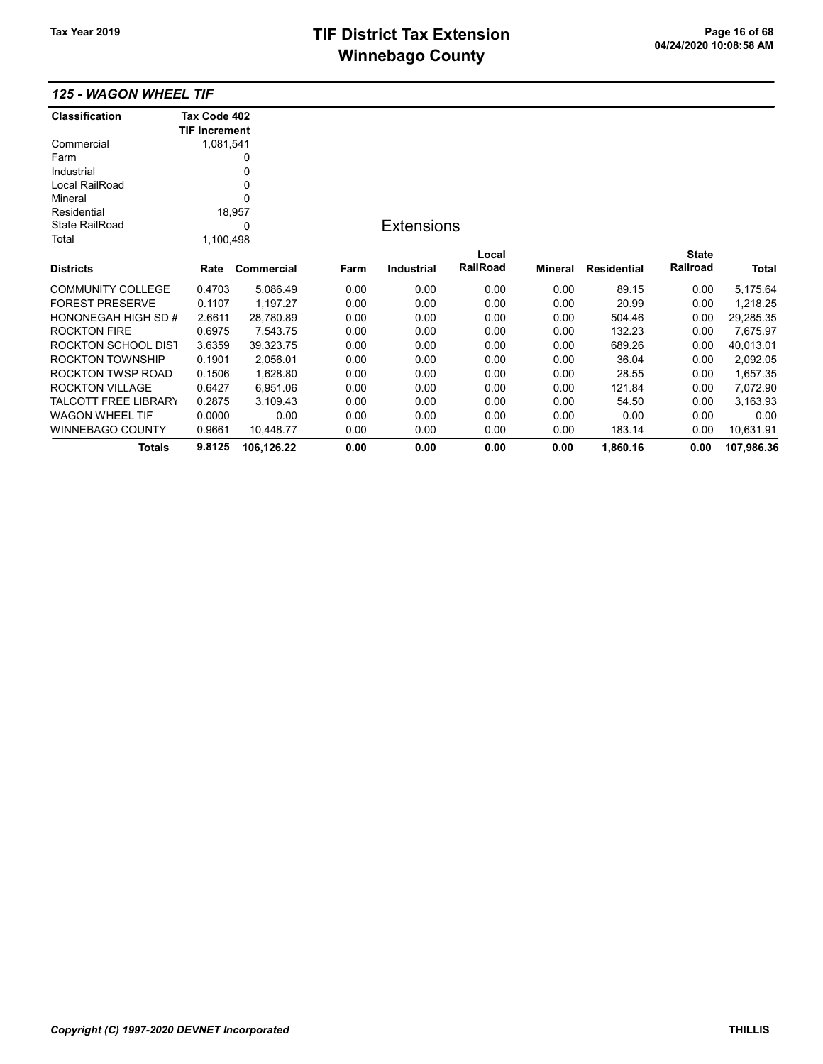# TIF District Tax Extension<br>
M's sales and Office 11 of Canada District Tax Canada Page 16 of 68<br>
M's sales and Office 11 of 124/2020 10:08:58 AM **Winnebago County**

#### 125 - WAGON WHEEL TIF

| <b>Classification</b>       | Tax Code 402         |            |      |                   |          |                |                    |              |            |
|-----------------------------|----------------------|------------|------|-------------------|----------|----------------|--------------------|--------------|------------|
|                             | <b>TIF Increment</b> |            |      |                   |          |                |                    |              |            |
| Commercial                  | 1,081,541            |            |      |                   |          |                |                    |              |            |
| Farm                        |                      | 0          |      |                   |          |                |                    |              |            |
| Industrial                  |                      | 0          |      |                   |          |                |                    |              |            |
| Local RailRoad              |                      | 0          |      |                   |          |                |                    |              |            |
| Mineral                     |                      | 0          |      |                   |          |                |                    |              |            |
| Residential                 |                      | 18,957     |      |                   |          |                |                    |              |            |
| State RailRoad              |                      | 0          |      | <b>Extensions</b> |          |                |                    |              |            |
| Total                       | 1,100,498            |            |      |                   |          |                |                    |              |            |
|                             |                      |            |      |                   | Local    |                |                    | <b>State</b> |            |
| <b>Districts</b>            | Rate                 | Commercial | Farm | <b>Industrial</b> | RailRoad | <b>Mineral</b> | <b>Residential</b> | Railroad     | Total      |
| COMMUNITY COLLEGE           | 0.4703               | 5,086.49   | 0.00 | 0.00              | 0.00     | 0.00           | 89.15              | 0.00         | 5,175.64   |
| <b>FOREST PRESERVE</b>      | 0.1107               | 1,197.27   | 0.00 | 0.00              | 0.00     | 0.00           | 20.99              | 0.00         | 1,218.25   |
| HONONEGAH HIGH SD #         | 2.6611               | 28,780.89  | 0.00 | 0.00              | 0.00     | 0.00           | 504.46             | 0.00         | 29,285.35  |
| <b>ROCKTON FIRE</b>         | 0.6975               | 7,543.75   | 0.00 | 0.00              | 0.00     | 0.00           | 132.23             | 0.00         | 7,675.97   |
| ROCKTON SCHOOL DIST         | 3.6359               | 39,323.75  | 0.00 | 0.00              | 0.00     | 0.00           | 689.26             | 0.00         | 40,013.01  |
| ROCKTON TOWNSHIP            | 0.1901               | 2,056.01   | 0.00 | 0.00              | 0.00     | 0.00           | 36.04              | 0.00         | 2,092.05   |
| ROCKTON TWSP ROAD           | 0.1506               | 1,628.80   | 0.00 | 0.00              | 0.00     | 0.00           | 28.55              | 0.00         | 1,657.35   |
| <b>ROCKTON VILLAGE</b>      | 0.6427               | 6,951.06   | 0.00 | 0.00              | 0.00     | 0.00           | 121.84             | 0.00         | 7,072.90   |
| <b>TALCOTT FREE LIBRARY</b> | 0.2875               | 3,109.43   | 0.00 | 0.00              | 0.00     | 0.00           | 54.50              | 0.00         | 3,163.93   |
| WAGON WHEEL TIF             | 0.0000               | 0.00       | 0.00 | 0.00              | 0.00     | 0.00           | 0.00               | 0.00         | 0.00       |
| WINNEBAGO COUNTY            | 0.9661               | 10,448.77  | 0.00 | 0.00              | 0.00     | 0.00           | 183.14             | 0.00         | 10,631.91  |
| <b>Totals</b>               | 9.8125               | 106,126.22 | 0.00 | 0.00              | 0.00     | 0.00           | 1,860.16           | 0.00         | 107,986.36 |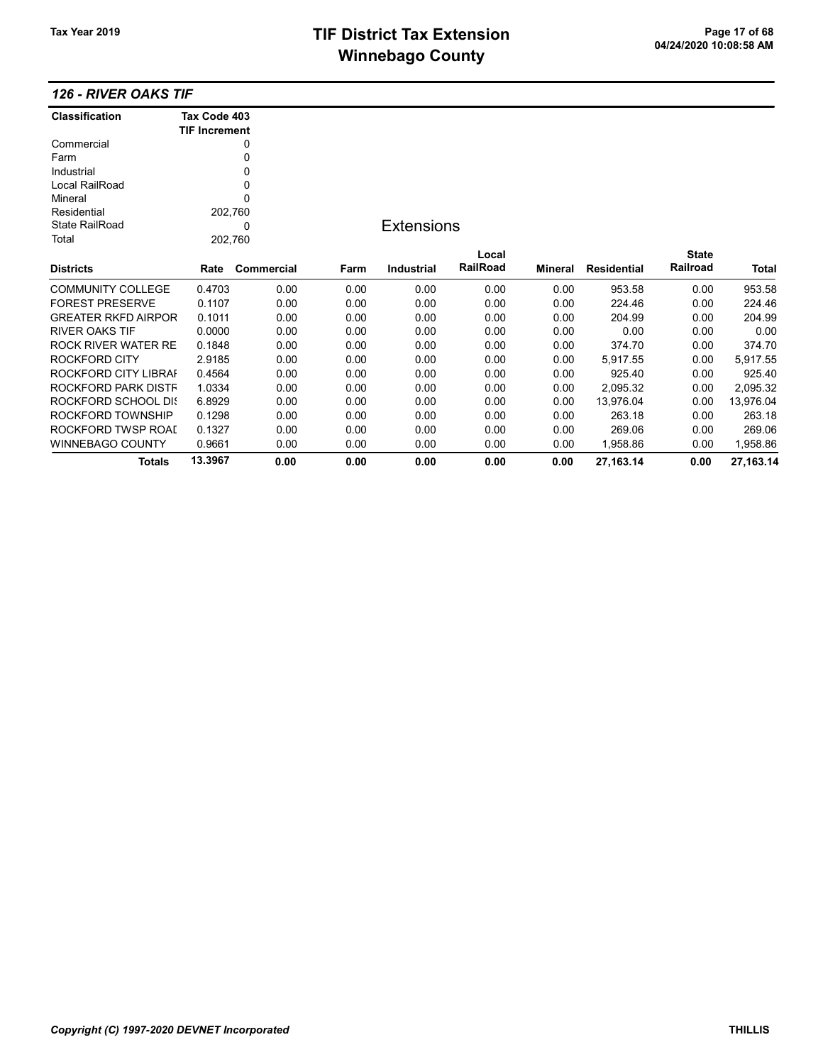#### 126 - RIVER OAKS TIF

| <b>Classification</b>      | Tax Code 403         |            |      |                   |          |                |                    |                 |           |
|----------------------------|----------------------|------------|------|-------------------|----------|----------------|--------------------|-----------------|-----------|
|                            | <b>TIF Increment</b> |            |      |                   |          |                |                    |                 |           |
| Commercial                 |                      | 0          |      |                   |          |                |                    |                 |           |
| Farm                       |                      | 0          |      |                   |          |                |                    |                 |           |
| Industrial                 |                      | 0          |      |                   |          |                |                    |                 |           |
| Local RailRoad             |                      | 0          |      |                   |          |                |                    |                 |           |
| Mineral                    |                      | 0          |      |                   |          |                |                    |                 |           |
| Residential                | 202,760              |            |      |                   |          |                |                    |                 |           |
| <b>State RailRoad</b>      |                      | 0          |      | <b>Extensions</b> |          |                |                    |                 |           |
| Total                      | 202,760              |            |      |                   |          |                |                    |                 |           |
|                            |                      |            |      |                   | Local    |                |                    | <b>State</b>    |           |
| <b>Districts</b>           | Rate                 | Commercial | Farm | <b>Industrial</b> | RailRoad | <b>Mineral</b> | <b>Residential</b> | <b>Railroad</b> | Total     |
| <b>COMMUNITY COLLEGE</b>   | 0.4703               | 0.00       | 0.00 | 0.00              | 0.00     | 0.00           | 953.58             | 0.00            | 953.58    |
| <b>FOREST PRESERVE</b>     | 0.1107               | 0.00       | 0.00 | 0.00              | 0.00     | 0.00           | 224.46             | 0.00            | 224.46    |
| <b>GREATER RKFD AIRPOR</b> | 0.1011               | 0.00       | 0.00 | 0.00              | 0.00     | 0.00           | 204.99             | 0.00            | 204.99    |
| <b>RIVER OAKS TIF</b>      | 0.0000               | 0.00       | 0.00 | 0.00              | 0.00     | 0.00           | 0.00               | 0.00            | 0.00      |
| ROCK RIVER WATER RE        | 0.1848               | 0.00       | 0.00 | 0.00              | 0.00     | 0.00           | 374.70             | 0.00            | 374.70    |
| <b>ROCKFORD CITY</b>       | 2.9185               | 0.00       | 0.00 | 0.00              | 0.00     | 0.00           | 5,917.55           | 0.00            | 5,917.55  |
| ROCKFORD CITY LIBRAI       | 0.4564               | 0.00       | 0.00 | 0.00              | 0.00     | 0.00           | 925.40             | 0.00            | 925.40    |
| ROCKFORD PARK DISTF        | 1.0334               | 0.00       | 0.00 | 0.00              | 0.00     | 0.00           | 2,095.32           | 0.00            | 2,095.32  |
| <b>ROCKFORD SCHOOL DIS</b> | 6.8929               | 0.00       | 0.00 | 0.00              | 0.00     | 0.00           | 13,976.04          | 0.00            | 13,976.04 |
| ROCKFORD TOWNSHIP          | 0.1298               | 0.00       | 0.00 | 0.00              | 0.00     | 0.00           | 263.18             | 0.00            | 263.18    |
| ROCKFORD TWSP ROAI         | 0.1327               | 0.00       | 0.00 | 0.00              | 0.00     | 0.00           | 269.06             | 0.00            | 269.06    |
| <b>WINNEBAGO COUNTY</b>    | 0.9661               | 0.00       | 0.00 | 0.00              | 0.00     | 0.00           | 1.958.86           | 0.00            | 1,958.86  |
| <b>Totals</b>              | 13.3967              | 0.00       | 0.00 | 0.00              | 0.00     | 0.00           | 27,163.14          | 0.00            | 27,163.14 |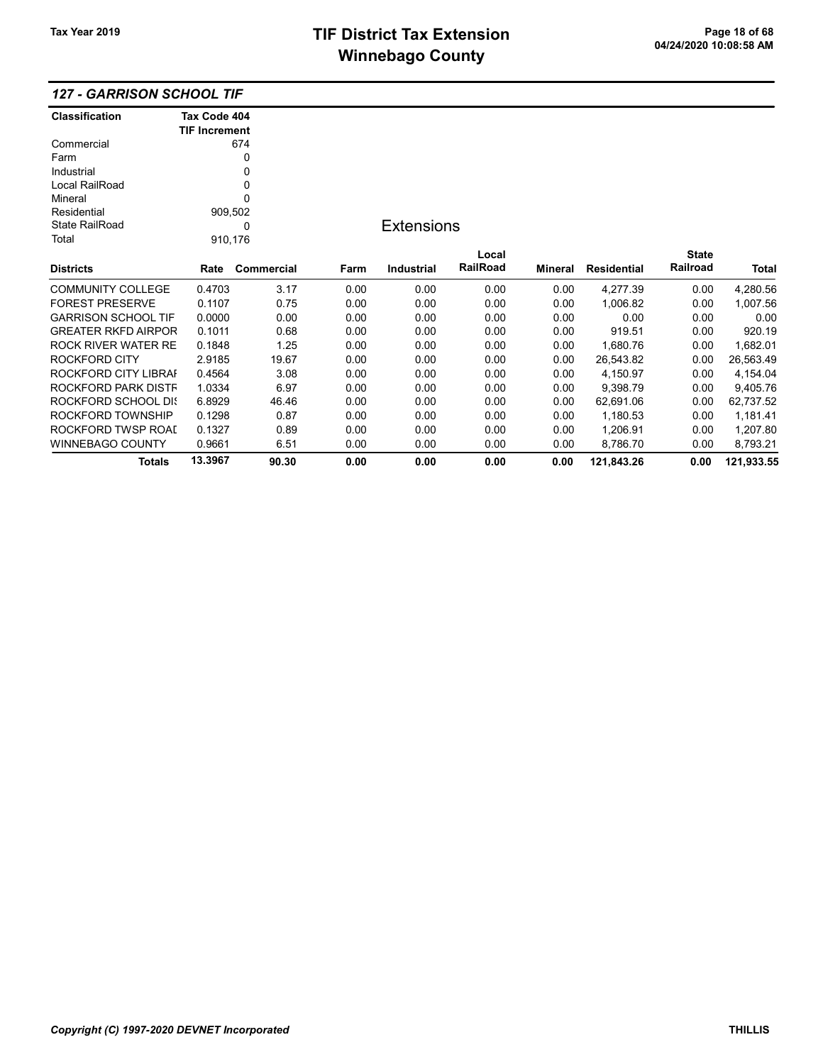Totals 13.3967 90.30 0.00 0.00 0.00 0.00 121,843.26 0.00 121,933.55

|  |  |  | 127 - GARRISON SCHOOL TIF |
|--|--|--|---------------------------|
|--|--|--|---------------------------|

| <b>Classification</b>      | Tax Code 404         |            |      |                   |          |         |             |              |              |
|----------------------------|----------------------|------------|------|-------------------|----------|---------|-------------|--------------|--------------|
|                            | <b>TIF Increment</b> |            |      |                   |          |         |             |              |              |
| Commercial<br>Farm         |                      | 674<br>0   |      |                   |          |         |             |              |              |
| Industrial                 |                      |            |      |                   |          |         |             |              |              |
|                            |                      | 0          |      |                   |          |         |             |              |              |
| Local RailRoad             |                      | 0<br>0     |      |                   |          |         |             |              |              |
| Mineral<br>Residential     |                      |            |      |                   |          |         |             |              |              |
| State RailRoad             | 909,502              | 0          |      | <b>Extensions</b> |          |         |             |              |              |
| Total                      | 910,176              |            |      |                   |          |         |             |              |              |
|                            |                      |            |      |                   | Local    |         |             | <b>State</b> |              |
| <b>Districts</b>           | Rate                 | Commercial | Farm | <b>Industrial</b> | RailRoad | Mineral | Residential | Railroad     | <b>Total</b> |
| <b>COMMUNITY COLLEGE</b>   | 0.4703               | 3.17       | 0.00 | 0.00              | 0.00     | 0.00    | 4,277.39    | 0.00         | 4,280.56     |
| <b>FOREST PRESERVE</b>     | 0.1107               | 0.75       | 0.00 | 0.00              | 0.00     | 0.00    | 1,006.82    | 0.00         | 1,007.56     |
| <b>GARRISON SCHOOL TIF</b> | 0.0000               | 0.00       | 0.00 | 0.00              | 0.00     | 0.00    | 0.00        | 0.00         | 0.00         |
| <b>GREATER RKFD AIRPOR</b> | 0.1011               | 0.68       | 0.00 | 0.00              | 0.00     | 0.00    | 919.51      | 0.00         | 920.19       |
| <b>ROCK RIVER WATER RE</b> | 0.1848               | 1.25       | 0.00 | 0.00              | 0.00     | 0.00    | 1,680.76    | 0.00         | 1,682.01     |
| <b>ROCKFORD CITY</b>       | 2.9185               | 19.67      | 0.00 | 0.00              | 0.00     | 0.00    | 26,543.82   | 0.00         | 26,563.49    |
| ROCKFORD CITY LIBRAI       | 0.4564               | 3.08       | 0.00 | 0.00              | 0.00     | 0.00    | 4,150.97    | 0.00         | 4,154.04     |
| ROCKFORD PARK DISTF        | 1.0334               | 6.97       | 0.00 | 0.00              | 0.00     | 0.00    | 9,398.79    | 0.00         | 9,405.76     |
| ROCKFORD SCHOOL DIS        | 6.8929               | 46.46      | 0.00 | 0.00              | 0.00     | 0.00    | 62,691.06   | 0.00         | 62,737.52    |
| ROCKFORD TOWNSHIP          | 0.1298               | 0.87       | 0.00 | 0.00              | 0.00     | 0.00    | 1,180.53    | 0.00         | 1,181.41     |
| ROCKFORD TWSP ROAI         | 0.1327               | 0.89       | 0.00 | 0.00              | 0.00     | 0.00    | 1,206.91    | 0.00         | 1,207.80     |
| <b>WINNEBAGO COUNTY</b>    | 0.9661               | 6.51       | 0.00 | 0.00              | 0.00     | 0.00    | 8,786.70    | 0.00         | 8,793.21     |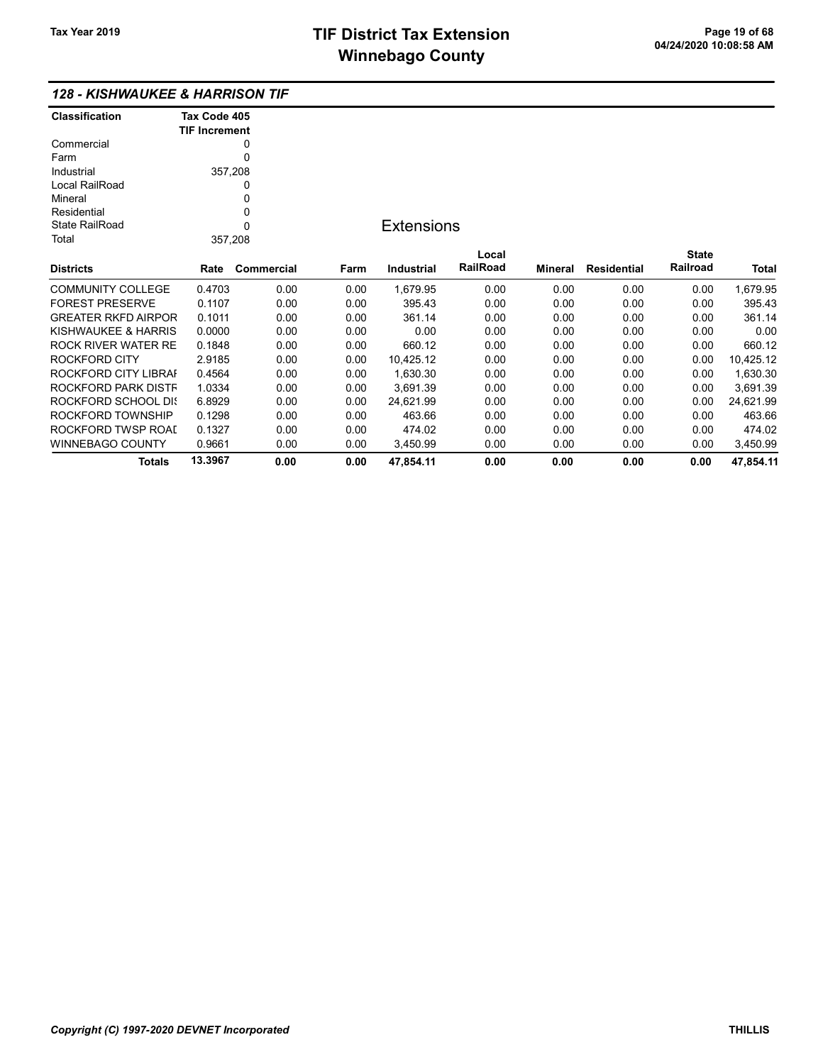#### 128 - KISHWAUKEE & HARRISON TIF

| <b>Classification</b>      | Tax Code 405<br><b>TIF Increment</b> |                   |      |                   |                 |         |                    |              |           |
|----------------------------|--------------------------------------|-------------------|------|-------------------|-----------------|---------|--------------------|--------------|-----------|
| Commercial                 |                                      | 0                 |      |                   |                 |         |                    |              |           |
| Farm                       |                                      | 0                 |      |                   |                 |         |                    |              |           |
| Industrial                 | 357,208                              |                   |      |                   |                 |         |                    |              |           |
| Local RailRoad             |                                      | 0                 |      |                   |                 |         |                    |              |           |
| Mineral                    |                                      | 0                 |      |                   |                 |         |                    |              |           |
| Residential                |                                      | 0                 |      |                   |                 |         |                    |              |           |
| <b>State RailRoad</b>      |                                      | $\Omega$          |      | <b>Extensions</b> |                 |         |                    |              |           |
| Total                      | 357,208                              |                   |      |                   |                 |         |                    |              |           |
|                            |                                      |                   |      |                   | Local           |         |                    | <b>State</b> |           |
| <b>Districts</b>           | Rate                                 | <b>Commercial</b> | Farm | <b>Industrial</b> | <b>RailRoad</b> | Mineral | <b>Residential</b> | Railroad     | Total     |
| <b>COMMUNITY COLLEGE</b>   | 0.4703                               | 0.00              | 0.00 | 1,679.95          | 0.00            | 0.00    | 0.00               | 0.00         | 1,679.95  |
| <b>FOREST PRESERVE</b>     | 0.1107                               | 0.00              | 0.00 | 395.43            | 0.00            | 0.00    | 0.00               | 0.00         | 395.43    |
| <b>GREATER RKFD AIRPOR</b> | 0.1011                               | 0.00              | 0.00 | 361.14            | 0.00            | 0.00    | 0.00               | 0.00         | 361.14    |
| KISHWAUKEE & HARRIS        | 0.0000                               | 0.00              | 0.00 | 0.00              | 0.00            | 0.00    | 0.00               | 0.00         | 0.00      |
| ROCK RIVER WATER RE        | 0.1848                               | 0.00              | 0.00 | 660.12            | 0.00            | 0.00    | 0.00               | 0.00         | 660.12    |
| ROCKFORD CITY              | 2.9185                               | 0.00              | 0.00 | 10,425.12         | 0.00            | 0.00    | 0.00               | 0.00         | 10,425.12 |
| ROCKFORD CITY LIBRAI       | 0.4564                               | 0.00              | 0.00 | 1,630.30          | 0.00            | 0.00    | 0.00               | 0.00         | 1,630.30  |
| ROCKFORD PARK DISTF        | 1.0334                               | 0.00              | 0.00 | 3,691.39          | 0.00            | 0.00    | 0.00               | 0.00         | 3,691.39  |
| ROCKFORD SCHOOL DIS        | 6.8929                               | 0.00              | 0.00 | 24,621.99         | 0.00            | 0.00    | 0.00               | 0.00         | 24,621.99 |
| ROCKFORD TOWNSHIP          | 0.1298                               | 0.00              | 0.00 | 463.66            | 0.00            | 0.00    | 0.00               | 0.00         | 463.66    |
| ROCKFORD TWSP ROAI         | 0.1327                               | 0.00              | 0.00 | 474.02            | 0.00            | 0.00    | 0.00               | 0.00         | 474.02    |
| WINNEBAGO COUNTY           | 0.9661                               | 0.00              | 0.00 | 3,450.99          | 0.00            | 0.00    | 0.00               | 0.00         | 3,450.99  |
| <b>Totals</b>              | 13.3967                              | 0.00              | 0.00 | 47,854.11         | 0.00            | 0.00    | 0.00               | 0.00         | 47.854.11 |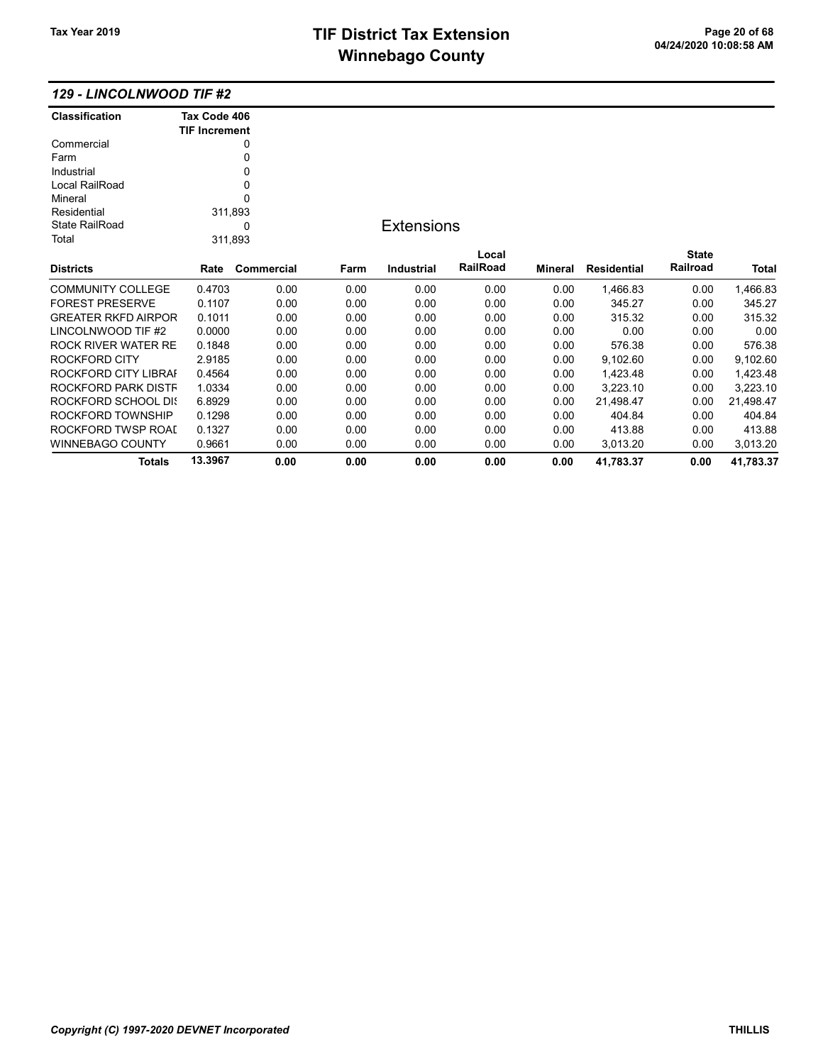| <b>129 - LINCOLNWOOD TIF #2</b> |  |  |
|---------------------------------|--|--|
|---------------------------------|--|--|

| <b>Classification</b>      | Tax Code 406         |            |      |                   |          |         |                    |              |              |
|----------------------------|----------------------|------------|------|-------------------|----------|---------|--------------------|--------------|--------------|
|                            | <b>TIF Increment</b> |            |      |                   |          |         |                    |              |              |
| Commercial                 |                      | 0          |      |                   |          |         |                    |              |              |
| Farm                       |                      | 0          |      |                   |          |         |                    |              |              |
| Industrial                 |                      | 0          |      |                   |          |         |                    |              |              |
| Local RailRoad             |                      | 0          |      |                   |          |         |                    |              |              |
| Mineral                    |                      | 0          |      |                   |          |         |                    |              |              |
| Residential                |                      | 311,893    |      |                   |          |         |                    |              |              |
| <b>State RailRoad</b>      |                      | $\Omega$   |      | <b>Extensions</b> |          |         |                    |              |              |
| Total                      |                      | 311,893    |      |                   |          |         |                    |              |              |
|                            |                      |            |      |                   | Local    |         |                    | <b>State</b> |              |
| <b>Districts</b>           | Rate                 | Commercial | Farm | <b>Industrial</b> | RailRoad | Mineral | <b>Residential</b> | Railroad     | <b>Total</b> |
| <b>COMMUNITY COLLEGE</b>   | 0.4703               | 0.00       | 0.00 | 0.00              | 0.00     | 0.00    | 1,466.83           | 0.00         | 1,466.83     |
| <b>FOREST PRESERVE</b>     | 0.1107               | 0.00       | 0.00 | 0.00              | 0.00     | 0.00    | 345.27             | 0.00         | 345.27       |
| <b>GREATER RKFD AIRPOR</b> | 0.1011               | 0.00       | 0.00 | 0.00              | 0.00     | 0.00    | 315.32             | 0.00         | 315.32       |
| LINCOLNWOOD TIF #2         | 0.0000               | 0.00       | 0.00 | 0.00              | 0.00     | 0.00    | 0.00               | 0.00         | 0.00         |
| <b>ROCK RIVER WATER RE</b> | 0.1848               | 0.00       | 0.00 | 0.00              | 0.00     | 0.00    | 576.38             | 0.00         | 576.38       |
| <b>ROCKFORD CITY</b>       | 2.9185               | 0.00       | 0.00 | 0.00              | 0.00     | 0.00    | 9,102.60           | 0.00         | 9,102.60     |
| ROCKFORD CITY LIBRAI       | 0.4564               | 0.00       | 0.00 | 0.00              | 0.00     | 0.00    | 1,423.48           | 0.00         | 1,423.48     |
| ROCKFORD PARK DISTF        | 1.0334               | 0.00       | 0.00 | 0.00              | 0.00     | 0.00    | 3,223.10           | 0.00         | 3,223.10     |
| <b>ROCKFORD SCHOOL DIS</b> | 6.8929               | 0.00       | 0.00 | 0.00              | 0.00     | 0.00    | 21,498.47          | 0.00         | 21,498.47    |
| ROCKFORD TOWNSHIP          | 0.1298               | 0.00       | 0.00 | 0.00              | 0.00     | 0.00    | 404.84             | 0.00         | 404.84       |
| ROCKFORD TWSP ROAI         | 0.1327               | 0.00       | 0.00 | 0.00              | 0.00     | 0.00    | 413.88             | 0.00         | 413.88       |
| <b>WINNEBAGO COUNTY</b>    | 0.9661               | 0.00       | 0.00 | 0.00              | 0.00     | 0.00    | 3,013.20           | 0.00         | 3,013.20     |
| Totals                     | 13.3967              | 0.00       | 0.00 | 0.00              | 0.00     | 0.00    | 41,783.37          | 0.00         | 41,783.37    |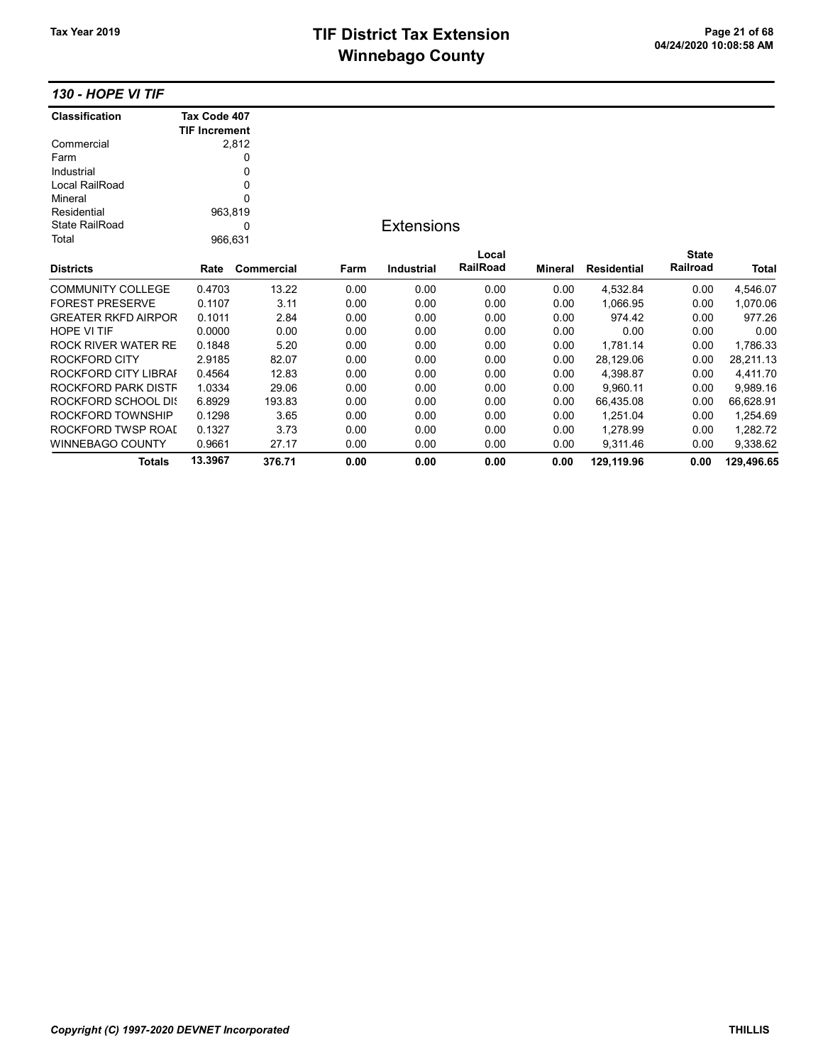## TIF District Tax Extension<br>
Mission 2009/10:08:58 AM **Winnebago County**

130 - HOPE VI TIF

| <b>Classification</b>      | Tax Code 407         |            |      |                   |          |         |                    |              |            |
|----------------------------|----------------------|------------|------|-------------------|----------|---------|--------------------|--------------|------------|
|                            | <b>TIF Increment</b> |            |      |                   |          |         |                    |              |            |
| Commercial                 |                      | 2,812      |      |                   |          |         |                    |              |            |
| Farm                       |                      | 0          |      |                   |          |         |                    |              |            |
| Industrial                 |                      | 0          |      |                   |          |         |                    |              |            |
| Local RailRoad             |                      | 0          |      |                   |          |         |                    |              |            |
| Mineral                    |                      | 0          |      |                   |          |         |                    |              |            |
| Residential                | 963,819              |            |      |                   |          |         |                    |              |            |
| <b>State RailRoad</b>      |                      | 0          |      | <b>Extensions</b> |          |         |                    |              |            |
| Total                      |                      | 966,631    |      |                   |          |         |                    |              |            |
|                            |                      |            |      |                   | Local    |         |                    | <b>State</b> |            |
| <b>Districts</b>           | Rate                 | Commercial | Farm | <b>Industrial</b> | RailRoad | Mineral | <b>Residential</b> | Railroad     | Total      |
| <b>COMMUNITY COLLEGE</b>   | 0.4703               | 13.22      | 0.00 | 0.00              | 0.00     | 0.00    | 4,532.84           | 0.00         | 4,546.07   |
| <b>FOREST PRESERVE</b>     | 0.1107               | 3.11       | 0.00 | 0.00              | 0.00     | 0.00    | 1,066.95           | 0.00         | 1,070.06   |
| <b>GREATER RKFD AIRPOR</b> | 0.1011               | 2.84       | 0.00 | 0.00              | 0.00     | 0.00    | 974.42             | 0.00         | 977.26     |
| HOPE VI TIF                | 0.0000               | 0.00       | 0.00 | 0.00              | 0.00     | 0.00    | 0.00               | 0.00         | 0.00       |
| <b>ROCK RIVER WATER RE</b> | 0.1848               | 5.20       | 0.00 | 0.00              | 0.00     | 0.00    | 1,781.14           | 0.00         | 1,786.33   |
| <b>ROCKFORD CITY</b>       | 2.9185               | 82.07      | 0.00 | 0.00              | 0.00     | 0.00    | 28,129.06          | 0.00         | 28,211.13  |
| ROCKFORD CITY LIBRAI       | 0.4564               | 12.83      | 0.00 | 0.00              | 0.00     | 0.00    | 4,398.87           | 0.00         | 4,411.70   |
| ROCKFORD PARK DISTF        | 1.0334               | 29.06      | 0.00 | 0.00              | 0.00     | 0.00    | 9,960.11           | 0.00         | 9,989.16   |
| ROCKFORD SCHOOL DIS        | 6.8929               | 193.83     | 0.00 | 0.00              | 0.00     | 0.00    | 66,435.08          | 0.00         | 66,628.91  |
| ROCKFORD TOWNSHIP          | 0.1298               | 3.65       | 0.00 | 0.00              | 0.00     | 0.00    | 1,251.04           | 0.00         | 1,254.69   |
| ROCKFORD TWSP ROAL         | 0.1327               | 3.73       | 0.00 | 0.00              | 0.00     | 0.00    | 1,278.99           | 0.00         | 1,282.72   |
| <b>WINNEBAGO COUNTY</b>    | 0.9661               | 27.17      | 0.00 | 0.00              | 0.00     | 0.00    | 9,311.46           | 0.00         | 9,338.62   |
| <b>Totals</b>              | 13.3967              | 376.71     | 0.00 | 0.00              | 0.00     | 0.00    | 129,119.96         | 0.00         | 129,496.65 |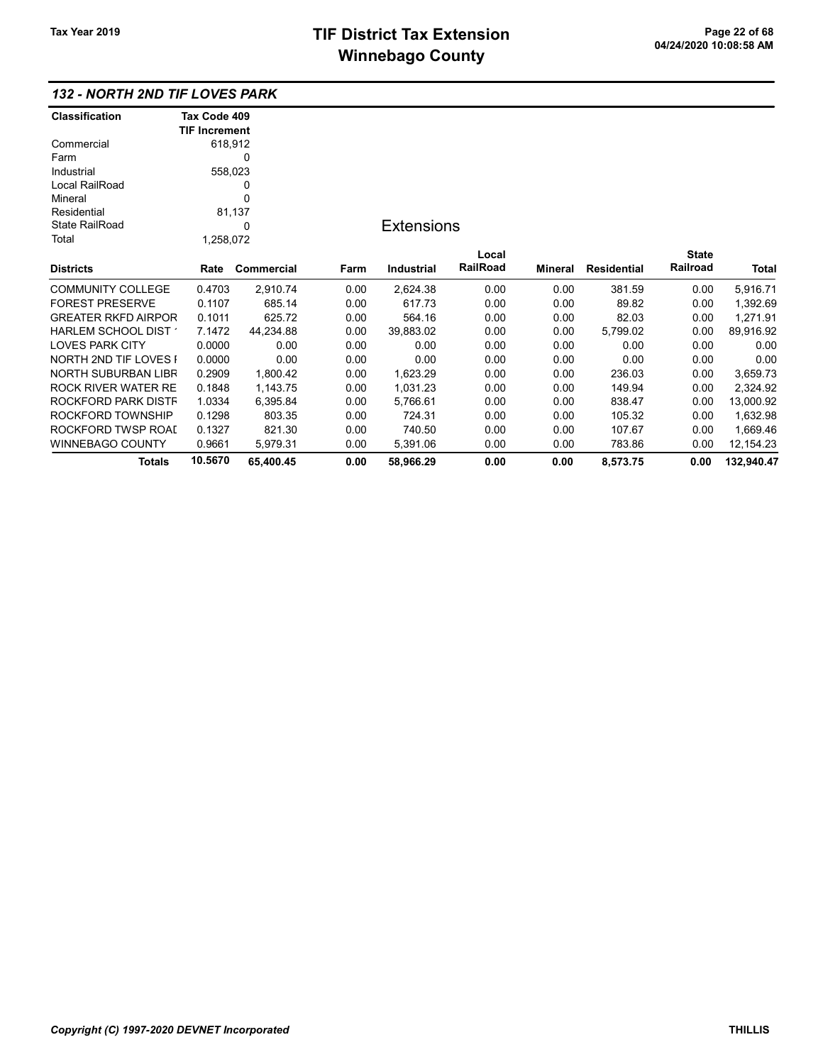## 132 - NORTH 2ND TIF LOVES PARK

| <b>Classification</b>        | Tax Code 409         |            |      |                   |          |         |                    |              |            |
|------------------------------|----------------------|------------|------|-------------------|----------|---------|--------------------|--------------|------------|
|                              | <b>TIF Increment</b> |            |      |                   |          |         |                    |              |            |
| Commercial                   | 618,912              |            |      |                   |          |         |                    |              |            |
| Farm                         |                      | 0          |      |                   |          |         |                    |              |            |
| Industrial                   | 558,023              |            |      |                   |          |         |                    |              |            |
| Local RailRoad               |                      | 0          |      |                   |          |         |                    |              |            |
| Mineral                      |                      | 0          |      |                   |          |         |                    |              |            |
| Residential                  |                      | 81,137     |      |                   |          |         |                    |              |            |
| <b>State RailRoad</b>        |                      | 0          |      | <b>Extensions</b> |          |         |                    |              |            |
| Total                        | 1,258,072            |            |      |                   |          |         |                    |              |            |
|                              |                      |            |      |                   | Local    |         |                    | <b>State</b> |            |
| <b>Districts</b>             | Rate                 | Commercial | Farm | <b>Industrial</b> | RailRoad | Mineral | <b>Residential</b> | Railroad     | Total      |
| <b>COMMUNITY COLLEGE</b>     | 0.4703               | 2,910.74   | 0.00 | 2,624.38          | 0.00     | 0.00    | 381.59             | 0.00         | 5,916.71   |
| <b>FOREST PRESERVE</b>       | 0.1107               | 685.14     | 0.00 | 617.73            | 0.00     | 0.00    | 89.82              | 0.00         | 1,392.69   |
| <b>GREATER RKFD AIRPOR</b>   | 0.1011               | 625.72     | 0.00 | 564.16            | 0.00     | 0.00    | 82.03              | 0.00         | 1,271.91   |
| HARLEM SCHOOL DIST 1         | 7.1472               | 44,234.88  | 0.00 | 39,883.02         | 0.00     | 0.00    | 5,799.02           | 0.00         | 89,916.92  |
| <b>LOVES PARK CITY</b>       | 0.0000               | 0.00       | 0.00 | 0.00              | 0.00     | 0.00    | 0.00               | 0.00         | 0.00       |
| <b>NORTH 2ND TIF LOVES I</b> | 0.0000               | 0.00       | 0.00 | 0.00              | 0.00     | 0.00    | 0.00               | 0.00         | 0.00       |
| NORTH SUBURBAN LIBR          | 0.2909               | 1,800.42   | 0.00 | 1,623.29          | 0.00     | 0.00    | 236.03             | 0.00         | 3,659.73   |
| <b>ROCK RIVER WATER RE</b>   | 0.1848               | 1,143.75   | 0.00 | 1,031.23          | 0.00     | 0.00    | 149.94             | 0.00         | 2,324.92   |
| ROCKFORD PARK DISTF          | 1.0334               | 6,395.84   | 0.00 | 5,766.61          | 0.00     | 0.00    | 838.47             | 0.00         | 13,000.92  |
| ROCKFORD TOWNSHIP            | 0.1298               | 803.35     | 0.00 | 724.31            | 0.00     | 0.00    | 105.32             | 0.00         | 1,632.98   |
| ROCKFORD TWSP ROAI           | 0.1327               | 821.30     | 0.00 | 740.50            | 0.00     | 0.00    | 107.67             | 0.00         | 1,669.46   |
| WINNEBAGO COUNTY             | 0.9661               | 5,979.31   | 0.00 | 5,391.06          | 0.00     | 0.00    | 783.86             | 0.00         | 12,154.23  |
| Totals                       | 10.5670              | 65,400.45  | 0.00 | 58,966.29         | 0.00     | 0.00    | 8,573.75           | 0.00         | 132,940.47 |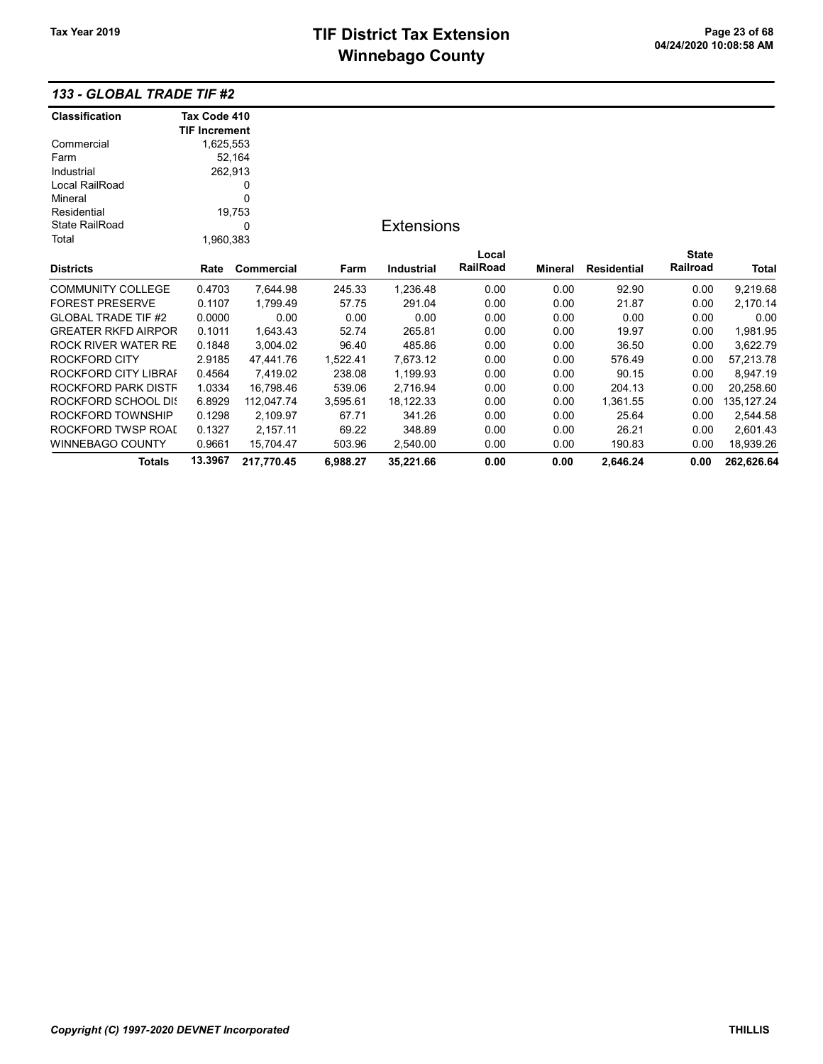## 133 - GLOBAL TRADE TIF #2

| <b>Classification</b>      | Tax Code 410         |            |          |                   |          |                |                    |              |             |
|----------------------------|----------------------|------------|----------|-------------------|----------|----------------|--------------------|--------------|-------------|
|                            | <b>TIF Increment</b> |            |          |                   |          |                |                    |              |             |
| Commercial                 | 1,625,553            |            |          |                   |          |                |                    |              |             |
| Farm                       |                      | 52,164     |          |                   |          |                |                    |              |             |
| Industrial                 | 262,913              |            |          |                   |          |                |                    |              |             |
| Local RailRoad             |                      | 0          |          |                   |          |                |                    |              |             |
| Mineral                    |                      | 0          |          |                   |          |                |                    |              |             |
| Residential                |                      | 19,753     |          |                   |          |                |                    |              |             |
| <b>State RailRoad</b>      |                      | 0          |          | <b>Extensions</b> |          |                |                    |              |             |
| Total                      | 1,960,383            |            |          |                   |          |                |                    |              |             |
|                            |                      |            |          |                   | Local    |                |                    | <b>State</b> |             |
| <b>Districts</b>           | Rate                 | Commercial | Farm     | Industrial        | RailRoad | <b>Mineral</b> | <b>Residential</b> | Railroad     | Total       |
| <b>COMMUNITY COLLEGE</b>   | 0.4703               | 7,644.98   | 245.33   | 1,236.48          | 0.00     | 0.00           | 92.90              | 0.00         | 9,219.68    |
| <b>FOREST PRESERVE</b>     | 0.1107               | 1,799.49   | 57.75    | 291.04            | 0.00     | 0.00           | 21.87              | 0.00         | 2,170.14    |
| <b>GLOBAL TRADE TIF #2</b> | 0.0000               | 0.00       | 0.00     | 0.00              | 0.00     | 0.00           | 0.00               | 0.00         | 0.00        |
| <b>GREATER RKFD AIRPOR</b> | 0.1011               | 1,643.43   | 52.74    | 265.81            | 0.00     | 0.00           | 19.97              | 0.00         | 1,981.95    |
| ROCK RIVER WATER RE        | 0.1848               | 3,004.02   | 96.40    | 485.86            | 0.00     | 0.00           | 36.50              | 0.00         | 3,622.79    |
| ROCKFORD CITY              | 2.9185               | 47,441.76  | 1,522.41 | 7,673.12          | 0.00     | 0.00           | 576.49             | 0.00         | 57,213.78   |
| ROCKFORD CITY LIBRAI       | 0.4564               | 7,419.02   | 238.08   | 1,199.93          | 0.00     | 0.00           | 90.15              | 0.00         | 8,947.19    |
| ROCKFORD PARK DISTF        | 1.0334               | 16,798.46  | 539.06   | 2,716.94          | 0.00     | 0.00           | 204.13             | 0.00         | 20,258.60   |
| ROCKFORD SCHOOL DIS        | 6.8929               | 112,047.74 | 3,595.61 | 18,122.33         | 0.00     | 0.00           | 1,361.55           | 0.00         | 135, 127.24 |
| ROCKFORD TOWNSHIP          | 0.1298               | 2,109.97   | 67.71    | 341.26            | 0.00     | 0.00           | 25.64              | 0.00         | 2,544.58    |
| ROCKFORD TWSP ROAL         | 0.1327               | 2,157.11   | 69.22    | 348.89            | 0.00     | 0.00           | 26.21              | 0.00         | 2,601.43    |
| <b>WINNEBAGO COUNTY</b>    | 0.9661               | 15,704.47  | 503.96   | 2,540.00          | 0.00     | 0.00           | 190.83             | 0.00         | 18,939.26   |
| Totals                     | 13.3967              | 217,770.45 | 6,988.27 | 35,221.66         | 0.00     | 0.00           | 2,646.24           | 0.00         | 262,626.64  |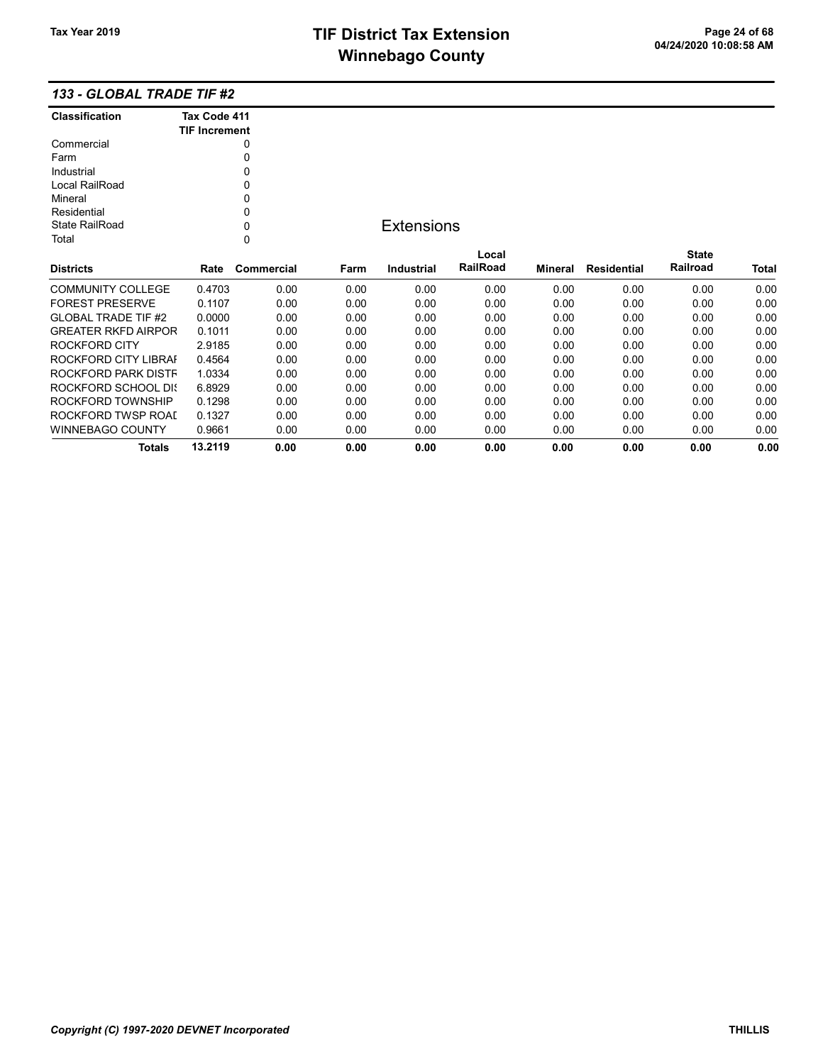### 133 - GLOBAL TRADE TIF #2

| Classification             | Tax Code 411         |            |      |                   |          |         |                    |              |       |
|----------------------------|----------------------|------------|------|-------------------|----------|---------|--------------------|--------------|-------|
|                            | <b>TIF Increment</b> |            |      |                   |          |         |                    |              |       |
| Commercial                 |                      | 0          |      |                   |          |         |                    |              |       |
| Farm                       |                      | 0          |      |                   |          |         |                    |              |       |
| Industrial                 |                      | 0          |      |                   |          |         |                    |              |       |
| Local RailRoad             |                      | 0          |      |                   |          |         |                    |              |       |
| Mineral                    |                      | 0          |      |                   |          |         |                    |              |       |
| Residential                |                      | 0          |      |                   |          |         |                    |              |       |
| <b>State RailRoad</b>      |                      | 0          |      | <b>Extensions</b> |          |         |                    |              |       |
| Total                      |                      | 0          |      |                   |          |         |                    |              |       |
|                            |                      |            |      |                   | Local    |         |                    | <b>State</b> |       |
| <b>Districts</b>           | Rate                 | Commercial | Farm | <b>Industrial</b> | RailRoad | Mineral | <b>Residential</b> | Railroad     | Total |
| <b>COMMUNITY COLLEGE</b>   | 0.4703               | 0.00       | 0.00 | 0.00              | 0.00     | 0.00    | 0.00               | 0.00         | 0.00  |
| <b>FOREST PRESERVE</b>     | 0.1107               | 0.00       | 0.00 | 0.00              | 0.00     | 0.00    | 0.00               | 0.00         | 0.00  |
| <b>GLOBAL TRADE TIF #2</b> | 0.0000               | 0.00       | 0.00 | 0.00              | 0.00     | 0.00    | 0.00               | 0.00         | 0.00  |
| <b>GREATER RKFD AIRPOR</b> | 0.1011               | 0.00       | 0.00 | 0.00              | 0.00     | 0.00    | 0.00               | 0.00         | 0.00  |
| ROCKFORD CITY              | 2.9185               | 0.00       | 0.00 | 0.00              | 0.00     | 0.00    | 0.00               | 0.00         | 0.00  |
| ROCKFORD CITY LIBRAI       | 0.4564               | 0.00       | 0.00 | 0.00              | 0.00     | 0.00    | 0.00               | 0.00         | 0.00  |
| ROCKFORD PARK DISTF        | 1.0334               | 0.00       | 0.00 | 0.00              | 0.00     | 0.00    | 0.00               | 0.00         | 0.00  |
| ROCKFORD SCHOOL DIS        | 6.8929               | 0.00       | 0.00 | 0.00              | 0.00     | 0.00    | 0.00               | 0.00         | 0.00  |
| ROCKFORD TOWNSHIP          | 0.1298               | 0.00       | 0.00 | 0.00              | 0.00     | 0.00    | 0.00               | 0.00         | 0.00  |
| ROCKFORD TWSP ROAI         | 0.1327               | 0.00       | 0.00 | 0.00              | 0.00     | 0.00    | 0.00               | 0.00         | 0.00  |
| <b>WINNEBAGO COUNTY</b>    | 0.9661               | 0.00       | 0.00 | 0.00              | 0.00     | 0.00    | 0.00               | 0.00         | 0.00  |
| Totals                     | 13.2119              | 0.00       | 0.00 | 0.00              | 0.00     | 0.00    | 0.00               | 0.00         | 0.00  |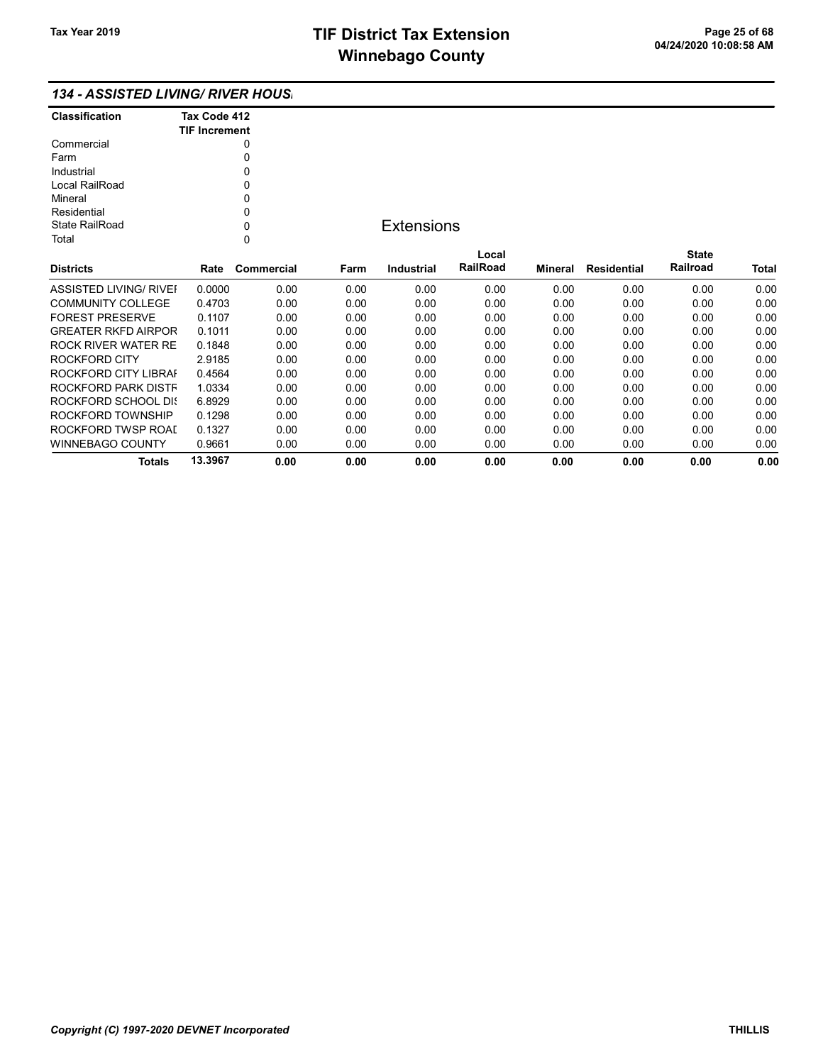## 134 - ASSISTED LIVING/ RIVER HOUSI

| <b>Classification</b> | Tax Code 412<br><b>TIF Increment</b> |
|-----------------------|--------------------------------------|
| Commercial            |                                      |
| Farm                  |                                      |
| Industrial            | ŋ                                    |
| Local RailRoad        | ŋ                                    |
| Mineral               | U                                    |
| Residential           | ŋ                                    |
| State RailRoad        | ŋ                                    |
| Total                 |                                      |

## **Extensions**

| <b>Districts</b>           | Rate    | Commercial | Farm | Industrial | Local<br><b>RailRoad</b> | Mineral | Residential | <b>State</b><br>Railroad | <b>Total</b> |
|----------------------------|---------|------------|------|------------|--------------------------|---------|-------------|--------------------------|--------------|
|                            |         |            |      |            |                          |         |             |                          |              |
| ASSISTED LIVING/ RIVEL     | 0.0000  | 0.00       | 0.00 | 0.00       | 0.00                     | 0.00    | 0.00        | 0.00                     | 0.00         |
| <b>COMMUNITY COLLEGE</b>   | 0.4703  | 0.00       | 0.00 | 0.00       | 0.00                     | 0.00    | 0.00        | 0.00                     | 0.00         |
| <b>FOREST PRESERVE</b>     | 0.1107  | 0.00       | 0.00 | 0.00       | 0.00                     | 0.00    | 0.00        | 0.00                     | 0.00         |
| <b>GREATER RKFD AIRPOR</b> | 0.1011  | 0.00       | 0.00 | 0.00       | 0.00                     | 0.00    | 0.00        | 0.00                     | 0.00         |
| ROCK RIVER WATER RE        | 0.1848  | 0.00       | 0.00 | 0.00       | 0.00                     | 0.00    | 0.00        | 0.00                     | 0.00         |
| ROCKFORD CITY              | 2.9185  | 0.00       | 0.00 | 0.00       | 0.00                     | 0.00    | 0.00        | 0.00                     | 0.00         |
| ROCKFORD CITY LIBRAL       | 0.4564  | 0.00       | 0.00 | 0.00       | 0.00                     | 0.00    | 0.00        | 0.00                     | 0.00         |
| ROCKFORD PARK DISTF        | 1.0334  | 0.00       | 0.00 | 0.00       | 0.00                     | 0.00    | 0.00        | 0.00                     | 0.00         |
| ROCKFORD SCHOOL DIS        | 6.8929  | 0.00       | 0.00 | 0.00       | 0.00                     | 0.00    | 0.00        | 0.00                     | 0.00         |
| ROCKFORD TOWNSHIP          | 0.1298  | 0.00       | 0.00 | 0.00       | 0.00                     | 0.00    | 0.00        | 0.00                     | 0.00         |
| ROCKFORD TWSP ROAL         | 0.1327  | 0.00       | 0.00 | 0.00       | 0.00                     | 0.00    | 0.00        | 0.00                     | 0.00         |
| WINNEBAGO COUNTY           | 0.9661  | 0.00       | 0.00 | 0.00       | 0.00                     | 0.00    | 0.00        | 0.00                     | 0.00         |
| Totals                     | 13.3967 | 0.00       | 0.00 | 0.00       | 0.00                     | 0.00    | 0.00        | 0.00                     | 0.00         |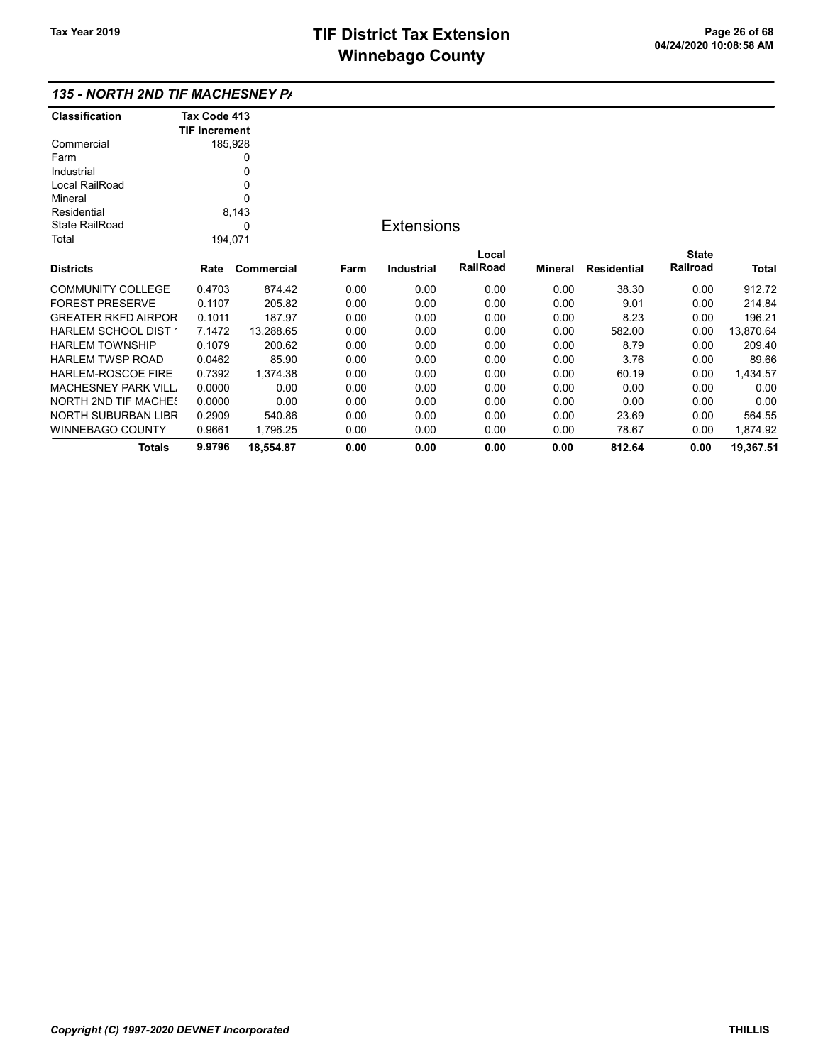| <b>Classification</b>       | Tax Code 413         |            |      |                   |          |         |                    |              |              |
|-----------------------------|----------------------|------------|------|-------------------|----------|---------|--------------------|--------------|--------------|
|                             | <b>TIF Increment</b> |            |      |                   |          |         |                    |              |              |
| Commercial                  |                      | 185,928    |      |                   |          |         |                    |              |              |
| Farm                        |                      | 0          |      |                   |          |         |                    |              |              |
| Industrial                  |                      | 0          |      |                   |          |         |                    |              |              |
| Local RailRoad              |                      | 0          |      |                   |          |         |                    |              |              |
| Mineral                     |                      | 0          |      |                   |          |         |                    |              |              |
| Residential                 | 8,143                |            |      |                   |          |         |                    |              |              |
| <b>State RailRoad</b>       |                      | 0          |      | <b>Extensions</b> |          |         |                    |              |              |
| Total                       | 194,071              |            |      |                   |          |         |                    |              |              |
|                             |                      |            |      |                   | Local    |         |                    | <b>State</b> |              |
| <b>Districts</b>            | Rate                 | Commercial | Farm | Industrial        | RailRoad | Mineral | <b>Residential</b> | Railroad     | <b>Total</b> |
| <b>COMMUNITY COLLEGE</b>    | 0.4703               | 874.42     | 0.00 | 0.00              | 0.00     | 0.00    | 38.30              | 0.00         | 912.72       |
| <b>FOREST PRESERVE</b>      | 0.1107               | 205.82     | 0.00 | 0.00              | 0.00     | 0.00    | 9.01               | 0.00         | 214.84       |
| <b>GREATER RKFD AIRPOR</b>  | 0.1011               | 187.97     | 0.00 | 0.00              | 0.00     | 0.00    | 8.23               | 0.00         | 196.21       |
| HARLEM SCHOOL DIST          | 7.1472               | 13,288.65  | 0.00 | 0.00              | 0.00     | 0.00    | 582.00             | 0.00         | 13,870.64    |
| <b>HARLEM TOWNSHIP</b>      | 0.1079               | 200.62     | 0.00 | 0.00              | 0.00     | 0.00    | 8.79               | 0.00         | 209.40       |
| <b>HARLEM TWSP ROAD</b>     | 0.0462               | 85.90      | 0.00 | 0.00              | 0.00     | 0.00    | 3.76               | 0.00         | 89.66        |
| <b>HARLEM-ROSCOE FIRE</b>   | 0.7392               | 1,374.38   | 0.00 | 0.00              | 0.00     | 0.00    | 60.19              | 0.00         | 1,434.57     |
| <b>MACHESNEY PARK VILL</b>  | 0.0000               | 0.00       | 0.00 | 0.00              | 0.00     | 0.00    | 0.00               | 0.00         | 0.00         |
| <b>NORTH 2ND TIF MACHES</b> | 0.0000               | 0.00       | 0.00 | 0.00              | 0.00     | 0.00    | 0.00               | 0.00         | 0.00         |
| <b>NORTH SUBURBAN LIBR</b>  | 0.2909               | 540.86     | 0.00 | 0.00              | 0.00     | 0.00    | 23.69              | 0.00         | 564.55       |
| WINNEBAGO COUNTY            | 0.9661               | 1,796.25   | 0.00 | 0.00              | 0.00     | 0.00    | 78.67              | 0.00         | 1,874.92     |
| <b>Totals</b>               | 9.9796               | 18,554.87  | 0.00 | 0.00              | 0.00     | 0.00    | 812.64             | 0.00         | 19,367.51    |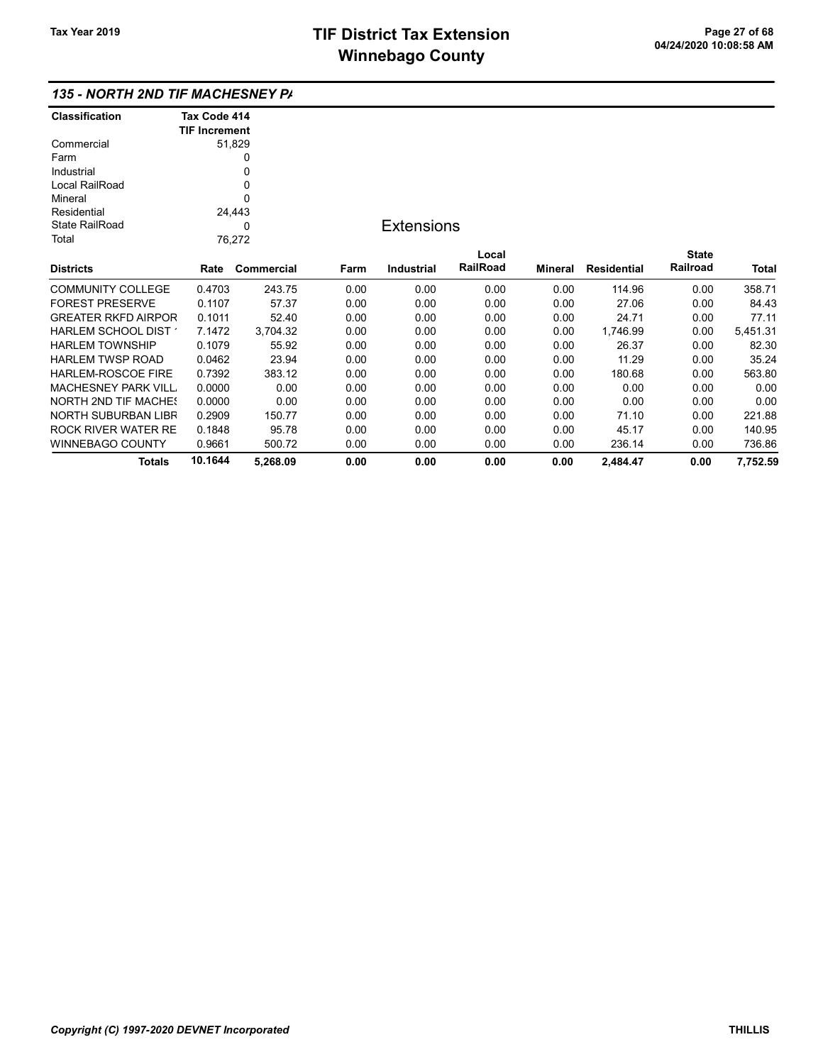| <b>Classification</b>       | Tax Code 414         |            |      |                   |          |                |                    |              |          |
|-----------------------------|----------------------|------------|------|-------------------|----------|----------------|--------------------|--------------|----------|
|                             | <b>TIF Increment</b> |            |      |                   |          |                |                    |              |          |
| Commercial                  |                      | 51,829     |      |                   |          |                |                    |              |          |
| Farm                        |                      | 0          |      |                   |          |                |                    |              |          |
| Industrial                  |                      | 0          |      |                   |          |                |                    |              |          |
| Local RailRoad              |                      | 0          |      |                   |          |                |                    |              |          |
| Mineral                     |                      | 0          |      |                   |          |                |                    |              |          |
| Residential                 |                      | 24,443     |      |                   |          |                |                    |              |          |
| <b>State RailRoad</b>       | 0                    |            |      | <b>Extensions</b> |          |                |                    |              |          |
| Total                       |                      | 76,272     |      |                   |          |                |                    |              |          |
|                             |                      |            |      |                   | Local    |                |                    | <b>State</b> |          |
| <b>Districts</b>            | Rate                 | Commercial | Farm | <b>Industrial</b> | RailRoad | <b>Mineral</b> | <b>Residential</b> | Railroad     | Total    |
| <b>COMMUNITY COLLEGE</b>    | 0.4703               | 243.75     | 0.00 | 0.00              | 0.00     | 0.00           | 114.96             | 0.00         | 358.71   |
| <b>FOREST PRESERVE</b>      | 0.1107               | 57.37      | 0.00 | 0.00              | 0.00     | 0.00           | 27.06              | 0.00         | 84.43    |
| <b>GREATER RKFD AIRPOR</b>  | 0.1011               | 52.40      | 0.00 | 0.00              | 0.00     | 0.00           | 24.71              | 0.00         | 77.11    |
| HARLEM SCHOOL DIST          | 7.1472               | 3,704.32   | 0.00 | 0.00              | 0.00     | 0.00           | 1,746.99           | 0.00         | 5,451.31 |
| <b>HARLEM TOWNSHIP</b>      | 0.1079               | 55.92      | 0.00 | 0.00              | 0.00     | 0.00           | 26.37              | 0.00         | 82.30    |
| <b>HARLEM TWSP ROAD</b>     | 0.0462               | 23.94      | 0.00 | 0.00              | 0.00     | 0.00           | 11.29              | 0.00         | 35.24    |
| <b>HARLEM-ROSCOE FIRE</b>   | 0.7392               | 383.12     | 0.00 | 0.00              | 0.00     | 0.00           | 180.68             | 0.00         | 563.80   |
| <b>MACHESNEY PARK VILL</b>  | 0.0000               | 0.00       | 0.00 | 0.00              | 0.00     | 0.00           | 0.00               | 0.00         | 0.00     |
| <b>NORTH 2ND TIF MACHES</b> | 0.0000               | 0.00       | 0.00 | 0.00              | 0.00     | 0.00           | 0.00               | 0.00         | 0.00     |
| <b>NORTH SUBURBAN LIBR</b>  | 0.2909               | 150.77     | 0.00 | 0.00              | 0.00     | 0.00           | 71.10              | 0.00         | 221.88   |
| <b>ROCK RIVER WATER RE</b>  | 0.1848               | 95.78      | 0.00 | 0.00              | 0.00     | 0.00           | 45.17              | 0.00         | 140.95   |
| WINNEBAGO COUNTY            | 0.9661               | 500.72     | 0.00 | 0.00              | 0.00     | 0.00           | 236.14             | 0.00         | 736.86   |
| <b>Totals</b>               | 10.1644              | 5,268.09   | 0.00 | 0.00              | 0.00     | 0.00           | 2,484.47           | 0.00         | 7,752.59 |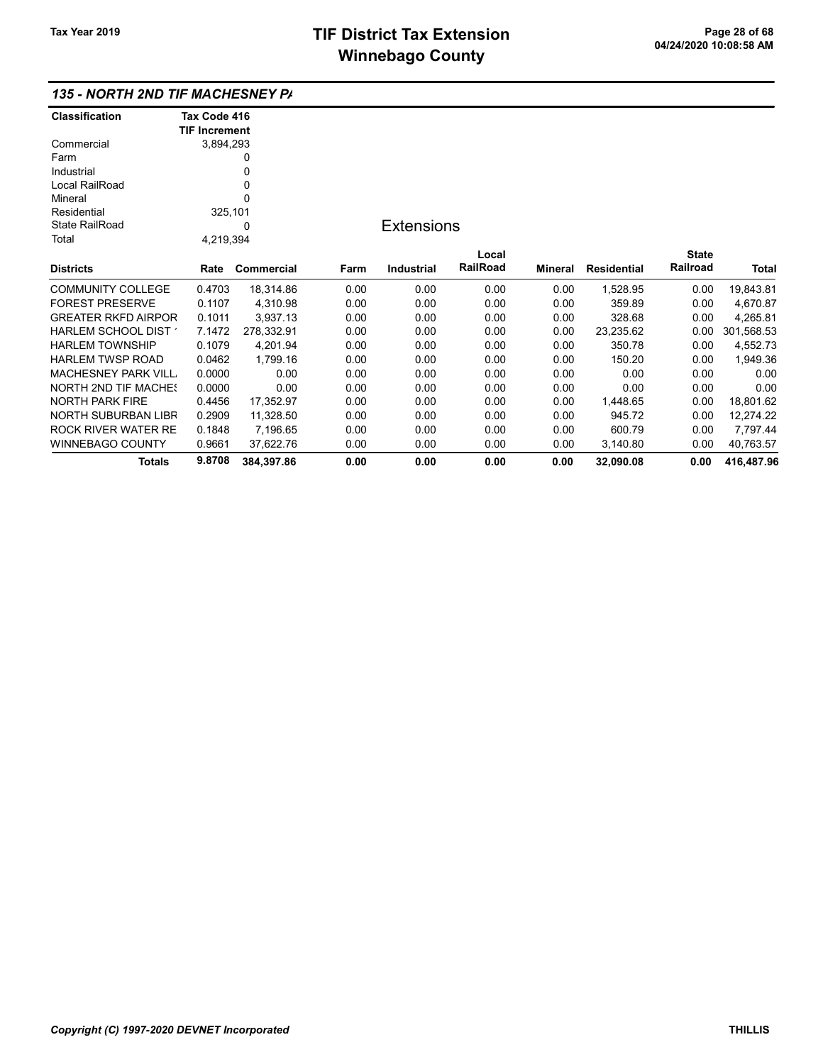| <b>Classification</b>                       | Tax Code 416         |            |      |                   |          |         |                    |              |              |
|---------------------------------------------|----------------------|------------|------|-------------------|----------|---------|--------------------|--------------|--------------|
|                                             | <b>TIF Increment</b> |            |      |                   |          |         |                    |              |              |
| Commercial                                  | 3,894,293            |            |      |                   |          |         |                    |              |              |
| Farm                                        |                      | 0          |      |                   |          |         |                    |              |              |
| Industrial                                  |                      |            |      |                   |          |         |                    |              |              |
| Local RailRoad                              |                      |            |      |                   |          |         |                    |              |              |
| Mineral                                     |                      |            |      |                   |          |         |                    |              |              |
| Residential                                 | 325,101              |            |      |                   |          |         |                    |              |              |
| State RailRoad                              | 0                    |            |      | <b>Extensions</b> |          |         |                    |              |              |
| Total                                       | 4,219,394            |            |      |                   |          |         |                    |              |              |
|                                             |                      |            |      |                   | Local    |         |                    | <b>State</b> |              |
| Districts                                   | Rate                 | Commercial | Farm | Industrial        | RailRoad | Mineral | <b>Residential</b> | Railroad     | <b>Total</b> |
| COMMUNITY COLLEGE                           | 0.4703               | 18,314.86  | 0.00 | 0.00              | 0.00     | 0.00    | 1,528.95           | 0.00         | 19,843.81    |
| FOREST PRESERVE                             | 0.1107               | 4,310.98   | 0.00 | 0.00              | 0.00     | 0.00    | 359.89             | 0.00         | 4,670.87     |
| GREATER RKFD AIRPOR                         | 0.1011               | 3,937.13   | 0.00 | 0.00              | 0.00     | 0.00    | 328.68             | 0.00         | 4,265.81     |
| <code>HARLEM</code> SCHOOL DIST $^{\prime}$ | 7.1472               | 278,332.91 | 0.00 | 0.00              | 0.00     | 0.00    | 23,235.62          | 0.00         | 301,568.53   |
| HARLEM TOWNSHIP                             | 0.1079               | 4,201.94   | 0.00 | 0.00              | 0.00     | 0.00    | 350.78             | 0.00         | 4,552.73     |
| HARLEM TWSP ROAD                            | 0.0462               | 1,799.16   | 0.00 | 0.00              | 0.00     | 0.00    | 150.20             | 0.00         | 1,949.36     |
| MACHESNEY PARK VILL.                        | 0.0000               | 0.00       | 0.00 | 0.00              | 0.00     | 0.00    | 0.00               | 0.00         | 0.00         |
| <b>NORTH 2ND TIF MACHE!</b>                 | 0.0000               | 0.00       | 0.00 | 0.00              | 0.00     | 0.00    | 0.00               | 0.00         | 0.00         |
| NORTH PARK FIRE                             | 0.4456               | 17,352.97  | 0.00 | 0.00              | 0.00     | 0.00    | 1,448.65           | 0.00         | 18,801.62    |
| NORTH SUBURBAN LIBR                         | 0.2909               | 11,328.50  | 0.00 | 0.00              | 0.00     | 0.00    | 945.72             | 0.00         | 12,274.22    |
| ROCK RIVER WATER RE                         | 0.1848               | 7,196.65   | 0.00 | 0.00              | 0.00     | 0.00    | 600.79             | 0.00         | 7,797.44     |
| WINNEBAGO COUNTY                            | 0.9661               | 37,622.76  | 0.00 | 0.00              | 0.00     | 0.00    | 3,140.80           | 0.00         | 40,763.57    |
| Totals                                      | 9.8708               | 384,397.86 | 0.00 | 0.00              | 0.00     | 0.00    | 32,090.08          | 0.00         | 416,487.96   |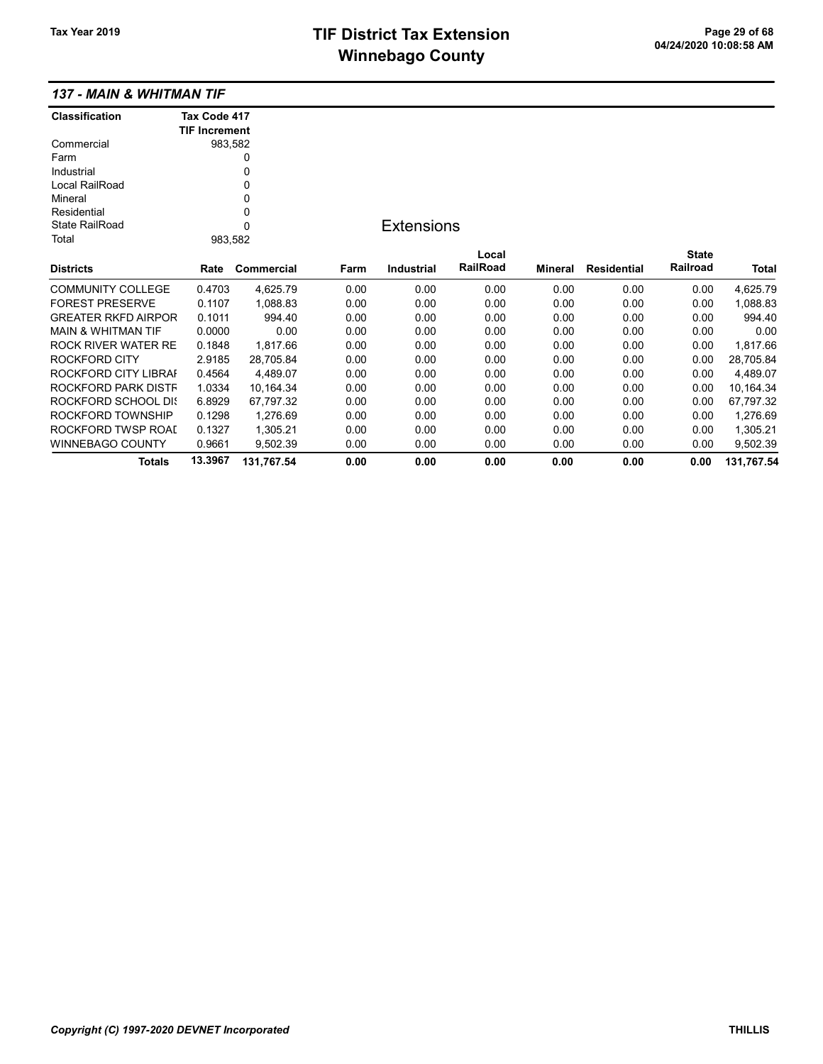## TIF District Tax Extension<br>
Page 29 of 68<br>
DA/24/2020 10:08:58 AM **Winnebago County**

#### 137 - MAIN & WHITMAN TIF

| <b>Classification</b>         | Tax Code 417         |            |      |                   |          |         |                    |              |            |
|-------------------------------|----------------------|------------|------|-------------------|----------|---------|--------------------|--------------|------------|
|                               | <b>TIF Increment</b> |            |      |                   |          |         |                    |              |            |
| Commercial                    | 983,582              |            |      |                   |          |         |                    |              |            |
| Farm                          |                      | 0          |      |                   |          |         |                    |              |            |
| Industrial                    |                      | 0          |      |                   |          |         |                    |              |            |
| Local RailRoad                |                      | 0          |      |                   |          |         |                    |              |            |
| Mineral                       |                      | 0          |      |                   |          |         |                    |              |            |
| Residential                   |                      | 0          |      |                   |          |         |                    |              |            |
| <b>State RailRoad</b>         |                      | $\Omega$   |      | <b>Extensions</b> |          |         |                    |              |            |
| Total                         | 983,582              |            |      |                   |          |         |                    |              |            |
|                               |                      |            |      |                   | Local    |         |                    | <b>State</b> |            |
| <b>Districts</b>              | Rate                 | Commercial | Farm | <b>Industrial</b> | RailRoad | Mineral | <b>Residential</b> | Railroad     | Total      |
| <b>COMMUNITY COLLEGE</b>      | 0.4703               | 4,625.79   | 0.00 | 0.00              | 0.00     | 0.00    | 0.00               | 0.00         | 4,625.79   |
| <b>FOREST PRESERVE</b>        | 0.1107               | 1,088.83   | 0.00 | 0.00              | 0.00     | 0.00    | 0.00               | 0.00         | 1,088.83   |
| <b>GREATER RKFD AIRPOR</b>    | 0.1011               | 994.40     | 0.00 | 0.00              | 0.00     | 0.00    | 0.00               | 0.00         | 994.40     |
| <b>MAIN &amp; WHITMAN TIF</b> | 0.0000               | 0.00       | 0.00 | 0.00              | 0.00     | 0.00    | 0.00               | 0.00         | 0.00       |
| ROCK RIVER WATER RE           | 0.1848               | 1,817.66   | 0.00 | 0.00              | 0.00     | 0.00    | 0.00               | 0.00         | 1,817.66   |
| <b>ROCKFORD CITY</b>          | 2.9185               | 28.705.84  | 0.00 | 0.00              | 0.00     | 0.00    | 0.00               | 0.00         | 28,705.84  |
| ROCKFORD CITY LIBRAI          | 0.4564               | 4,489.07   | 0.00 | 0.00              | 0.00     | 0.00    | 0.00               | 0.00         | 4,489.07   |
| ROCKFORD PARK DISTF           | 1.0334               | 10,164.34  | 0.00 | 0.00              | 0.00     | 0.00    | 0.00               | 0.00         | 10,164.34  |
| <b>ROCKFORD SCHOOL DIS</b>    | 6.8929               | 67.797.32  | 0.00 | 0.00              | 0.00     | 0.00    | 0.00               | 0.00         | 67,797.32  |
| ROCKFORD TOWNSHIP             | 0.1298               | 1,276.69   | 0.00 | 0.00              | 0.00     | 0.00    | 0.00               | 0.00         | 1,276.69   |
| ROCKFORD TWSP ROAL            | 0.1327               | 1,305.21   | 0.00 | 0.00              | 0.00     | 0.00    | 0.00               | 0.00         | 1,305.21   |
| <b>WINNEBAGO COUNTY</b>       | 0.9661               | 9.502.39   | 0.00 | 0.00              | 0.00     | 0.00    | 0.00               | 0.00         | 9,502.39   |
| Totals                        | 13.3967              | 131,767.54 | 0.00 | 0.00              | 0.00     | 0.00    | 0.00               | 0.00         | 131,767.54 |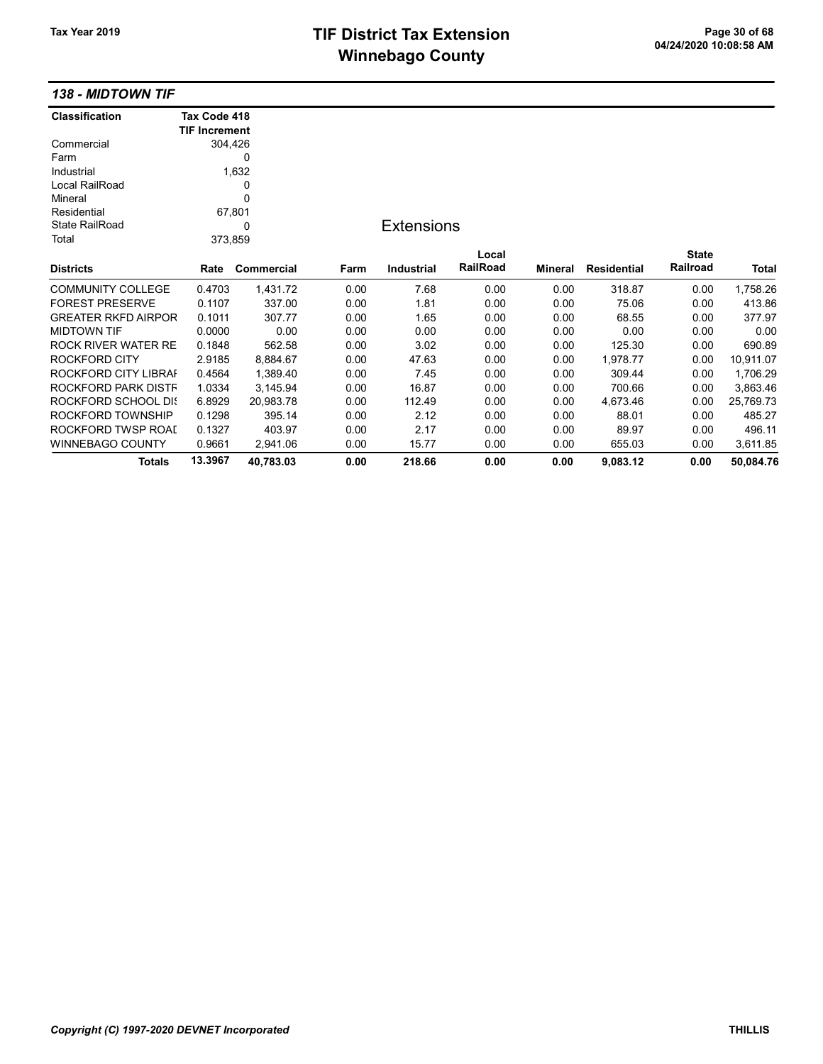# TIF District Tax Extension<br>
M's sales and Ostandal Control of Control of Control of Control of Control of Control of Control of Control o **Winnebago County**

138 - MIDTOWN TIF

| <b>Classification</b>      | Tax Code 418         |            |      |                   |          |                |                    |              |           |
|----------------------------|----------------------|------------|------|-------------------|----------|----------------|--------------------|--------------|-----------|
|                            | <b>TIF Increment</b> |            |      |                   |          |                |                    |              |           |
| Commercial                 | 304,426              |            |      |                   |          |                |                    |              |           |
| Farm                       |                      | 0          |      |                   |          |                |                    |              |           |
| Industrial                 |                      | 1,632      |      |                   |          |                |                    |              |           |
| Local RailRoad             |                      | 0          |      |                   |          |                |                    |              |           |
| Mineral                    |                      | 0          |      |                   |          |                |                    |              |           |
| Residential                |                      | 67,801     |      |                   |          |                |                    |              |           |
| <b>State RailRoad</b>      | 0                    |            |      | <b>Extensions</b> |          |                |                    |              |           |
| Total                      | 373,859              |            |      |                   |          |                |                    |              |           |
|                            |                      |            |      |                   | Local    |                |                    | <b>State</b> |           |
| <b>Districts</b>           | Rate                 | Commercial | Farm | <b>Industrial</b> | RailRoad | <b>Mineral</b> | <b>Residential</b> | Railroad     | Total     |
| <b>COMMUNITY COLLEGE</b>   | 0.4703               | 1,431.72   | 0.00 | 7.68              | 0.00     | 0.00           | 318.87             | 0.00         | 1,758.26  |
| <b>FOREST PRESERVE</b>     | 0.1107               | 337.00     | 0.00 | 1.81              | 0.00     | 0.00           | 75.06              | 0.00         | 413.86    |
| <b>GREATER RKFD AIRPOR</b> | 0.1011               | 307.77     | 0.00 | 1.65              | 0.00     | 0.00           | 68.55              | 0.00         | 377.97    |
| <b>MIDTOWN TIF</b>         | 0.0000               | 0.00       | 0.00 | 0.00              | 0.00     | 0.00           | 0.00               | 0.00         | 0.00      |
| <b>ROCK RIVER WATER RE</b> | 0.1848               | 562.58     | 0.00 | 3.02              | 0.00     | 0.00           | 125.30             | 0.00         | 690.89    |
| <b>ROCKFORD CITY</b>       | 2.9185               | 8,884.67   | 0.00 | 47.63             | 0.00     | 0.00           | 1,978.77           | 0.00         | 10,911.07 |
| ROCKFORD CITY LIBRAI       | 0.4564               | 1,389.40   | 0.00 | 7.45              | 0.00     | 0.00           | 309.44             | 0.00         | 1,706.29  |
| ROCKFORD PARK DISTF        | 1.0334               | 3,145.94   | 0.00 | 16.87             | 0.00     | 0.00           | 700.66             | 0.00         | 3,863.46  |
| ROCKFORD SCHOOL DIS        | 6.8929               | 20,983.78  | 0.00 | 112.49            | 0.00     | 0.00           | 4,673.46           | 0.00         | 25,769.73 |
| ROCKFORD TOWNSHIP          | 0.1298               | 395.14     | 0.00 | 2.12              | 0.00     | 0.00           | 88.01              | 0.00         | 485.27    |
| ROCKFORD TWSP ROAD         | 0.1327               | 403.97     | 0.00 | 2.17              | 0.00     | 0.00           | 89.97              | 0.00         | 496.11    |
| WINNEBAGO COUNTY           | 0.9661               | 2,941.06   | 0.00 | 15.77             | 0.00     | 0.00           | 655.03             | 0.00         | 3,611.85  |
| Totals                     | 13.3967              | 40,783.03  | 0.00 | 218.66            | 0.00     | 0.00           | 9,083.12           | 0.00         | 50,084.76 |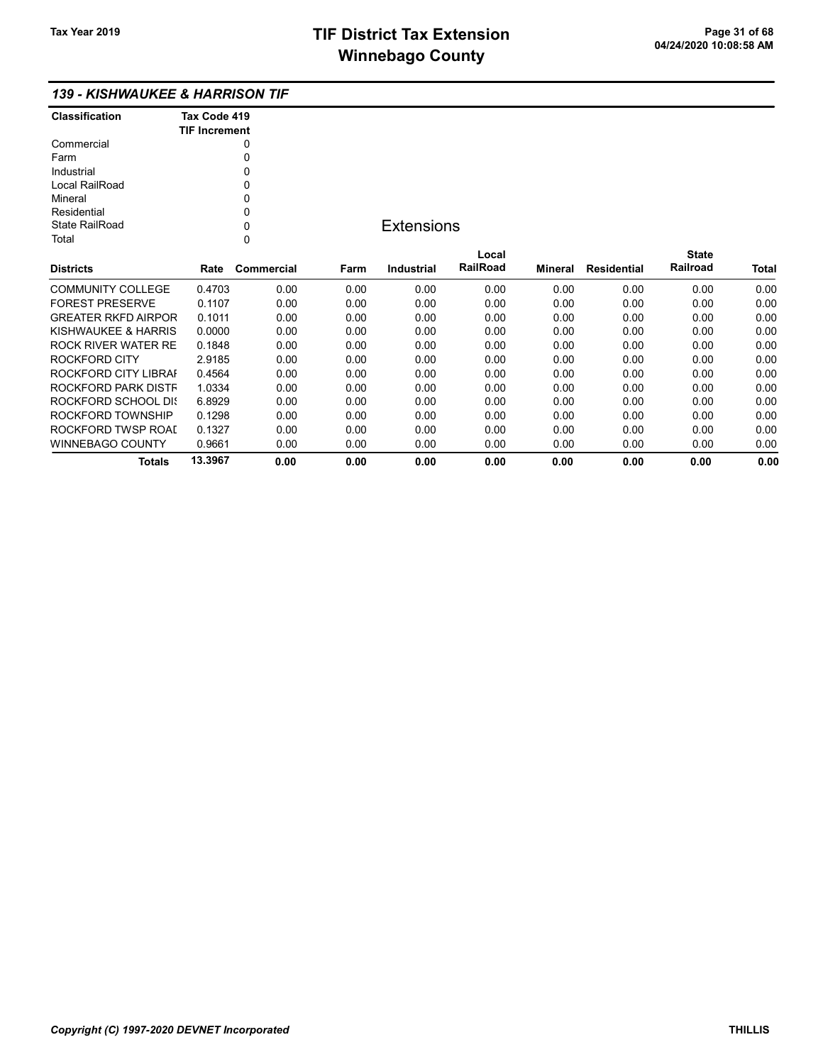## 139 - KISHWAUKEE & HARRISON TIF

| <b>Classification</b> | Tax Code 419<br><b>TIF Increment</b> |
|-----------------------|--------------------------------------|
| Commercial            |                                      |
| Farm                  | U                                    |
| Industrial            | U                                    |
| Local RailRoad        | ŋ                                    |
| Mineral               | 0                                    |
| Residential           | ŋ                                    |
| State RailRoad        | ი                                    |
| T∩tal                 |                                      |

## **Extensions**

| <b>Districts</b>           | Rate    | Commercial | Farm | Industrial | Local<br><b>RailRoad</b> | Mineral | Residential | <b>State</b><br>Railroad | <b>Total</b> |
|----------------------------|---------|------------|------|------------|--------------------------|---------|-------------|--------------------------|--------------|
|                            |         |            |      |            |                          |         |             |                          |              |
| COMMUNITY COLLEGE          | 0.4703  | 0.00       | 0.00 | 0.00       | 0.00                     | 0.00    | 0.00        | 0.00                     | 0.00         |
| <b>FOREST PRESERVE</b>     | 0.1107  | 0.00       | 0.00 | 0.00       | 0.00                     | 0.00    | 0.00        | 0.00                     | 0.00         |
| <b>GREATER RKFD AIRPOR</b> | 0.1011  | 0.00       | 0.00 | 0.00       | 0.00                     | 0.00    | 0.00        | 0.00                     | 0.00         |
| KISHWAUKEE & HARRIS        | 0.0000  | 0.00       | 0.00 | 0.00       | 0.00                     | 0.00    | 0.00        | 0.00                     | 0.00         |
| ROCK RIVER WATER RE        | 0.1848  | 0.00       | 0.00 | 0.00       | 0.00                     | 0.00    | 0.00        | 0.00                     | 0.00         |
| ROCKFORD CITY              | 2.9185  | 0.00       | 0.00 | 0.00       | 0.00                     | 0.00    | 0.00        | 0.00                     | 0.00         |
| ROCKFORD CITY LIBRAL       | 0.4564  | 0.00       | 0.00 | 0.00       | 0.00                     | 0.00    | 0.00        | 0.00                     | 0.00         |
| ROCKFORD PARK DISTF        | 1.0334  | 0.00       | 0.00 | 0.00       | 0.00                     | 0.00    | 0.00        | 0.00                     | 0.00         |
| ROCKFORD SCHOOL DIS        | 6.8929  | 0.00       | 0.00 | 0.00       | 0.00                     | 0.00    | 0.00        | 0.00                     | 0.00         |
| ROCKFORD TOWNSHIP          | 0.1298  | 0.00       | 0.00 | 0.00       | 0.00                     | 0.00    | 0.00        | 0.00                     | 0.00         |
| ROCKFORD TWSP ROAL         | 0.1327  | 0.00       | 0.00 | 0.00       | 0.00                     | 0.00    | 0.00        | 0.00                     | 0.00         |
| WINNEBAGO COUNTY           | 0.9661  | 0.00       | 0.00 | 0.00       | 0.00                     | 0.00    | 0.00        | 0.00                     | 0.00         |
| Totals                     | 13.3967 | 0.00       | 0.00 | 0.00       | 0.00                     | 0.00    | 0.00        | 0.00                     | 0.00         |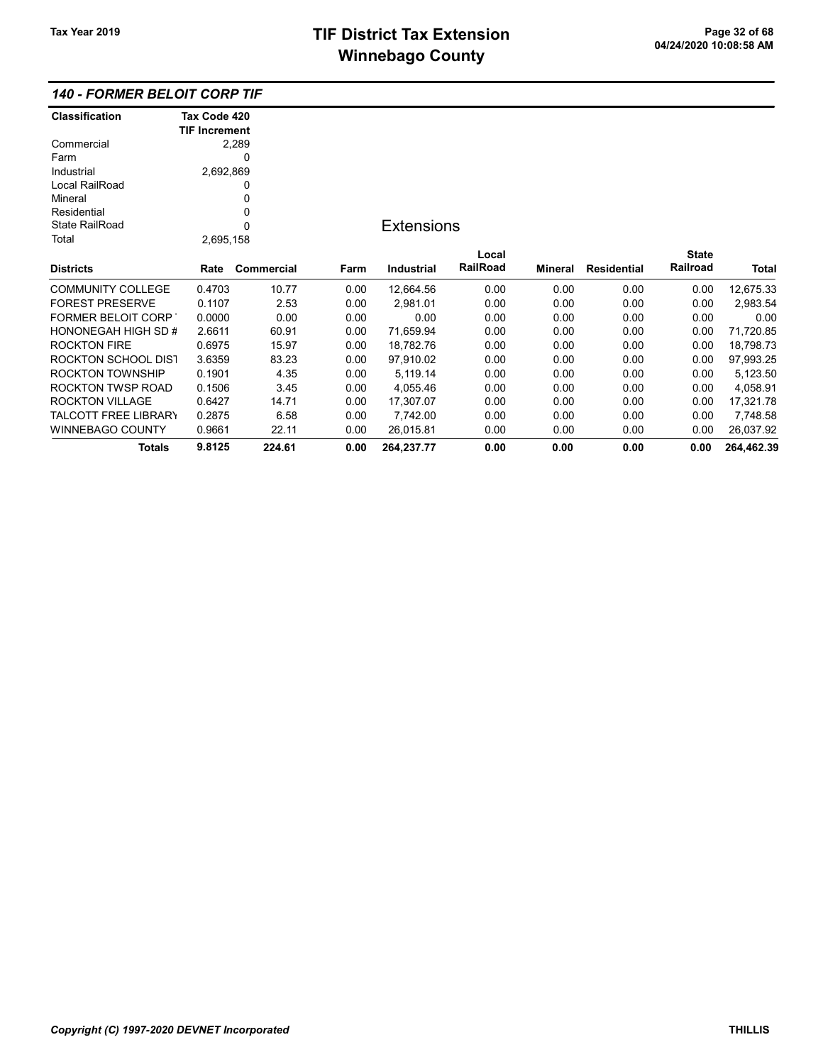## 140 - FORMER BELOIT CORP TIF

| <b>Classification</b>       | Tax Code 420         |            |      |                   |                 |         |                    |              |            |
|-----------------------------|----------------------|------------|------|-------------------|-----------------|---------|--------------------|--------------|------------|
|                             | <b>TIF Increment</b> |            |      |                   |                 |         |                    |              |            |
| Commercial                  |                      | 2,289      |      |                   |                 |         |                    |              |            |
| Farm                        |                      | 0          |      |                   |                 |         |                    |              |            |
| Industrial                  | 2,692,869            |            |      |                   |                 |         |                    |              |            |
| Local RailRoad              |                      | 0          |      |                   |                 |         |                    |              |            |
| Mineral                     |                      | 0          |      |                   |                 |         |                    |              |            |
| Residential                 |                      | 0          |      |                   |                 |         |                    |              |            |
| <b>State RailRoad</b>       |                      | 0          |      | <b>Extensions</b> |                 |         |                    |              |            |
| Total                       | 2,695,158            |            |      |                   |                 |         |                    |              |            |
|                             |                      |            |      |                   | Local           |         |                    | <b>State</b> |            |
| <b>Districts</b>            | Rate                 | Commercial | Farm | Industrial        | <b>RailRoad</b> | Mineral | <b>Residential</b> | Railroad     | Total      |
| <b>COMMUNITY COLLEGE</b>    | 0.4703               | 10.77      | 0.00 | 12,664.56         | 0.00            | 0.00    | 0.00               | 0.00         | 12,675.33  |
| <b>FOREST PRESERVE</b>      | 0.1107               | 2.53       | 0.00 | 2,981.01          | 0.00            | 0.00    | 0.00               | 0.00         | 2,983.54   |
| <b>FORMER BELOIT CORP</b>   | 0.0000               | 0.00       | 0.00 | 0.00              | 0.00            | 0.00    | 0.00               | 0.00         | 0.00       |
| HONONEGAH HIGH SD #         | 2.6611               | 60.91      | 0.00 | 71,659.94         | 0.00            | 0.00    | 0.00               | 0.00         | 71,720.85  |
| <b>ROCKTON FIRE</b>         | 0.6975               | 15.97      | 0.00 | 18,782.76         | 0.00            | 0.00    | 0.00               | 0.00         | 18,798.73  |
| <b>ROCKTON SCHOOL DIST</b>  | 3.6359               | 83.23      | 0.00 | 97,910.02         | 0.00            | 0.00    | 0.00               | 0.00         | 97,993.25  |
| <b>ROCKTON TOWNSHIP</b>     | 0.1901               | 4.35       | 0.00 | 5,119.14          | 0.00            | 0.00    | 0.00               | 0.00         | 5,123.50   |
| ROCKTON TWSP ROAD           | 0.1506               | 3.45       | 0.00 | 4,055.46          | 0.00            | 0.00    | 0.00               | 0.00         | 4,058.91   |
| <b>ROCKTON VILLAGE</b>      | 0.6427               | 14.71      | 0.00 | 17,307.07         | 0.00            | 0.00    | 0.00               | 0.00         | 17,321.78  |
| <b>TALCOTT FREE LIBRARY</b> | 0.2875               | 6.58       | 0.00 | 7,742.00          | 0.00            | 0.00    | 0.00               | 0.00         | 7,748.58   |
| <b>WINNEBAGO COUNTY</b>     | 0.9661               | 22.11      | 0.00 | 26,015.81         | 0.00            | 0.00    | 0.00               | 0.00         | 26,037.92  |
| <b>Totals</b>               | 9.8125               | 224.61     | 0.00 | 264,237.77        | 0.00            | 0.00    | 0.00               | 0.00         | 264,462.39 |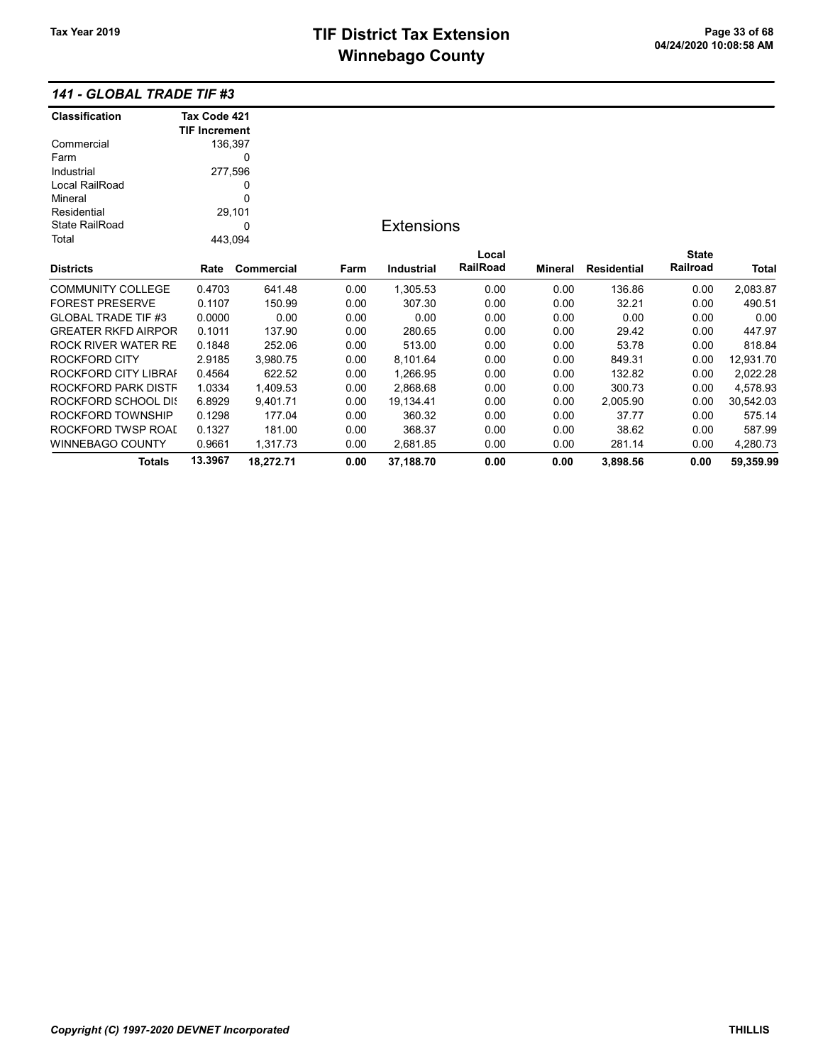### 141 - GLOBAL TRADE TIF #3

| <b>Classification</b>      | Tax Code 421         |            |      |                   |          |                |                    |              |           |
|----------------------------|----------------------|------------|------|-------------------|----------|----------------|--------------------|--------------|-----------|
|                            | <b>TIF Increment</b> |            |      |                   |          |                |                    |              |           |
| Commercial                 | 136,397              |            |      |                   |          |                |                    |              |           |
| Farm                       |                      | 0          |      |                   |          |                |                    |              |           |
| Industrial                 | 277,596              |            |      |                   |          |                |                    |              |           |
| Local RailRoad             | 0                    |            |      |                   |          |                |                    |              |           |
| Mineral                    |                      | 0          |      |                   |          |                |                    |              |           |
| Residential                |                      | 29,101     |      |                   |          |                |                    |              |           |
| <b>State RailRoad</b>      | 0                    |            |      | <b>Extensions</b> |          |                |                    |              |           |
| Total                      | 443,094              |            |      |                   |          |                |                    |              |           |
|                            |                      |            |      |                   | Local    |                |                    | <b>State</b> |           |
| <b>Districts</b>           | Rate                 | Commercial | Farm | <b>Industrial</b> | RailRoad | <b>Mineral</b> | <b>Residential</b> | Railroad     | Total     |
| <b>COMMUNITY COLLEGE</b>   | 0.4703               | 641.48     | 0.00 | 1,305.53          | 0.00     | 0.00           | 136.86             | 0.00         | 2,083.87  |
| <b>FOREST PRESERVE</b>     | 0.1107               | 150.99     | 0.00 | 307.30            | 0.00     | 0.00           | 32.21              | 0.00         | 490.51    |
| <b>GLOBAL TRADE TIF #3</b> | 0.0000               | 0.00       | 0.00 | 0.00              | 0.00     | 0.00           | 0.00               | 0.00         | 0.00      |
| <b>GREATER RKFD AIRPOR</b> | 0.1011               | 137.90     | 0.00 | 280.65            | 0.00     | 0.00           | 29.42              | 0.00         | 447.97    |
| ROCK RIVER WATER RE        | 0.1848               | 252.06     | 0.00 | 513.00            | 0.00     | 0.00           | 53.78              | 0.00         | 818.84    |
| ROCKFORD CITY              | 2.9185               | 3,980.75   | 0.00 | 8,101.64          | 0.00     | 0.00           | 849.31             | 0.00         | 12,931.70 |
| ROCKFORD CITY LIBRAI       | 0.4564               | 622.52     | 0.00 | 1,266.95          | 0.00     | 0.00           | 132.82             | 0.00         | 2,022.28  |
| ROCKFORD PARK DISTF        | 1.0334               | 1,409.53   | 0.00 | 2,868.68          | 0.00     | 0.00           | 300.73             | 0.00         | 4,578.93  |
| ROCKFORD SCHOOL DIS        | 6.8929               | 9,401.71   | 0.00 | 19,134.41         | 0.00     | 0.00           | 2,005.90           | 0.00         | 30,542.03 |
| ROCKFORD TOWNSHIP          | 0.1298               | 177.04     | 0.00 | 360.32            | 0.00     | 0.00           | 37.77              | 0.00         | 575.14    |
| ROCKFORD TWSP ROAI         | 0.1327               | 181.00     | 0.00 | 368.37            | 0.00     | 0.00           | 38.62              | 0.00         | 587.99    |
| WINNEBAGO COUNTY           | 0.9661               | 1,317.73   | 0.00 | 2,681.85          | 0.00     | 0.00           | 281.14             | 0.00         | 4,280.73  |
| <b>Totals</b>              | 13.3967              | 18,272.71  | 0.00 | 37,188.70         | 0.00     | 0.00           | 3,898.56           | 0.00         | 59,359.99 |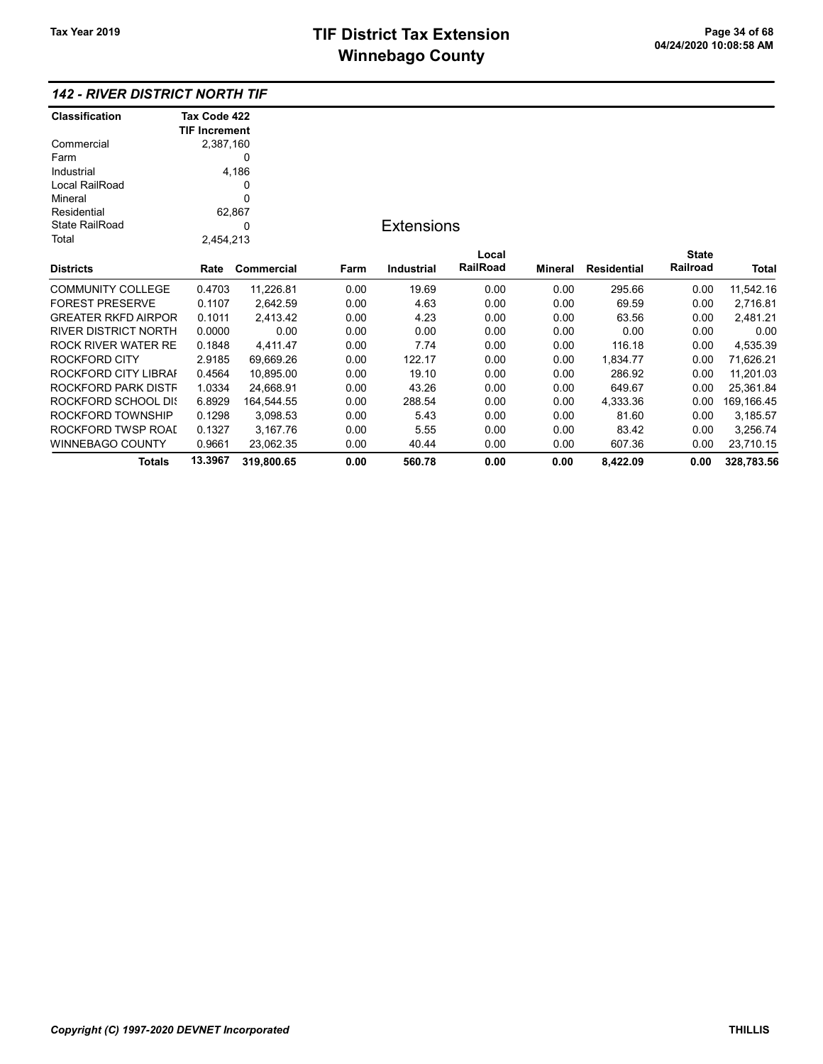## 142 - RIVER DISTRICT NORTH TIF

| Classification              | Tax Code 422         |            |      |                   |          |         |             |              |             |
|-----------------------------|----------------------|------------|------|-------------------|----------|---------|-------------|--------------|-------------|
|                             | <b>TIF Increment</b> |            |      |                   |          |         |             |              |             |
| Commercial                  | 2,387,160            |            |      |                   |          |         |             |              |             |
| Farm                        |                      | 0          |      |                   |          |         |             |              |             |
| Industrial                  |                      | 4,186      |      |                   |          |         |             |              |             |
| Local RailRoad              |                      | 0          |      |                   |          |         |             |              |             |
| Mineral                     |                      | 0          |      |                   |          |         |             |              |             |
| Residential                 | 62,867               |            |      |                   |          |         |             |              |             |
| <b>State RailRoad</b>       |                      | 0          |      | <b>Extensions</b> |          |         |             |              |             |
| Total                       | 2,454,213            |            |      |                   |          |         |             |              |             |
|                             |                      |            |      |                   | Local    |         |             | <b>State</b> |             |
| <b>Districts</b>            | Rate                 | Commercial | Farm | <b>Industrial</b> | RailRoad | Mineral | Residential | Railroad     | Total       |
| <b>COMMUNITY COLLEGE</b>    | 0.4703               | 11,226.81  | 0.00 | 19.69             | 0.00     | 0.00    | 295.66      | 0.00         | 11,542.16   |
| <b>FOREST PRESERVE</b>      | 0.1107               | 2,642.59   | 0.00 | 4.63              | 0.00     | 0.00    | 69.59       | 0.00         | 2,716.81    |
| <b>GREATER RKFD AIRPOR</b>  | 0.1011               | 2,413.42   | 0.00 | 4.23              | 0.00     | 0.00    | 63.56       | 0.00         | 2,481.21    |
| <b>RIVER DISTRICT NORTH</b> | 0.0000               | 0.00       | 0.00 | 0.00              | 0.00     | 0.00    | 0.00        | 0.00         | 0.00        |
| ROCK RIVER WATER RE         | 0.1848               | 4,411.47   | 0.00 | 7.74              | 0.00     | 0.00    | 116.18      | 0.00         | 4,535.39    |
| <b>ROCKFORD CITY</b>        | 2.9185               | 69,669.26  | 0.00 | 122.17            | 0.00     | 0.00    | 1,834.77    | 0.00         | 71,626.21   |
| ROCKFORD CITY LIBRAI        | 0.4564               | 10,895.00  | 0.00 | 19.10             | 0.00     | 0.00    | 286.92      | 0.00         | 11,201.03   |
| ROCKFORD PARK DISTF         | 1.0334               | 24,668.91  | 0.00 | 43.26             | 0.00     | 0.00    | 649.67      | 0.00         | 25,361.84   |
| ROCKFORD SCHOOL DIS         | 6.8929               | 164,544.55 | 0.00 | 288.54            | 0.00     | 0.00    | 4,333.36    | 0.00         | 169, 166.45 |
| ROCKFORD TOWNSHIP           | 0.1298               | 3,098.53   | 0.00 | 5.43              | 0.00     | 0.00    | 81.60       | 0.00         | 3,185.57    |
| ROCKFORD TWSP ROAI          | 0.1327               | 3.167.76   | 0.00 | 5.55              | 0.00     | 0.00    | 83.42       | 0.00         | 3,256.74    |
| <b>WINNEBAGO COUNTY</b>     | 0.9661               | 23,062.35  | 0.00 | 40.44             | 0.00     | 0.00    | 607.36      | 0.00         | 23,710.15   |
| Totals                      | 13.3967              | 319,800.65 | 0.00 | 560.78            | 0.00     | 0.00    | 8,422.09    | 0.00         | 328,783.56  |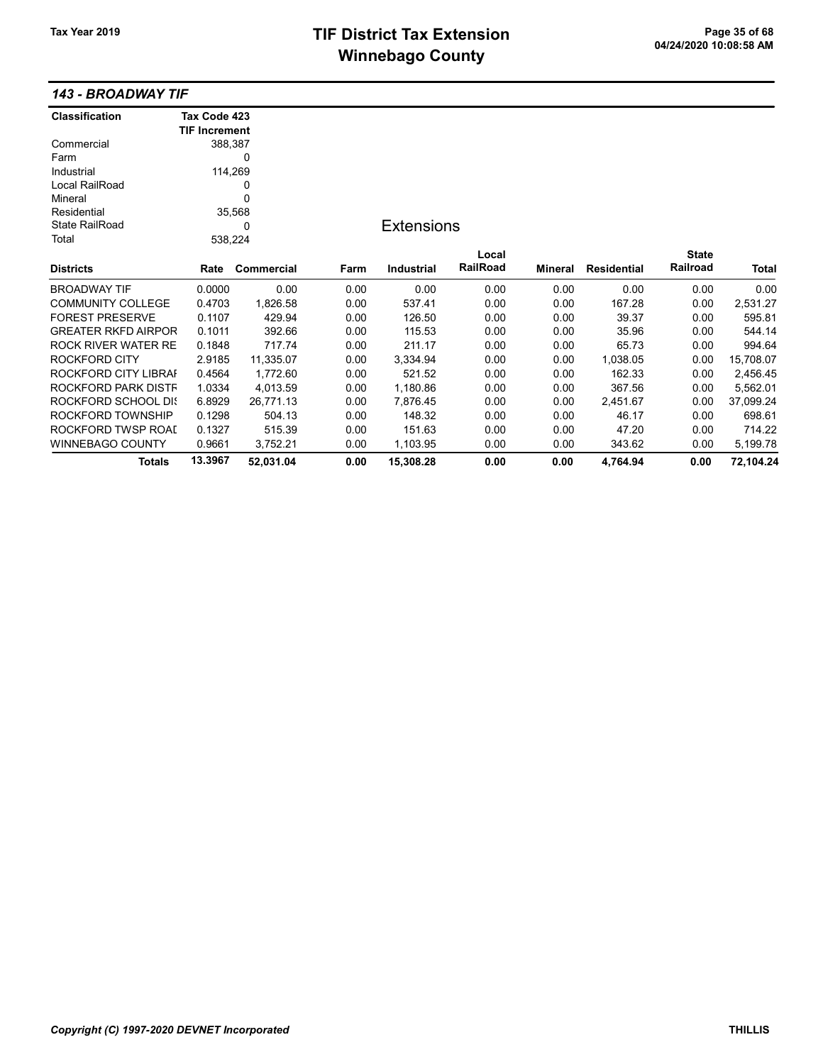## TIF District Tax Extension<br>
Page 35 of 68<br>
DA/24/2020 10:08:58 AM **Winnebago County**

#### 143 - BROADWAY TIF

| Classification             | Tax Code 423         |            |      |                   |          |                |                    |              |           |
|----------------------------|----------------------|------------|------|-------------------|----------|----------------|--------------------|--------------|-----------|
|                            | <b>TIF Increment</b> |            |      |                   |          |                |                    |              |           |
| Commercial                 |                      | 388,387    |      |                   |          |                |                    |              |           |
| Farm                       |                      | 0          |      |                   |          |                |                    |              |           |
| Industrial                 |                      | 114,269    |      |                   |          |                |                    |              |           |
| Local RailRoad             | 0                    |            |      |                   |          |                |                    |              |           |
| Mineral                    | 0                    |            |      |                   |          |                |                    |              |           |
| Residential                |                      | 35,568     |      |                   |          |                |                    |              |           |
| <b>State RailRoad</b>      | $\Omega$             |            |      | <b>Extensions</b> |          |                |                    |              |           |
| Total                      |                      | 538,224    |      |                   |          |                |                    |              |           |
|                            |                      |            |      |                   | Local    |                |                    | <b>State</b> |           |
| <b>Districts</b>           | Rate                 | Commercial | Farm | <b>Industrial</b> | RailRoad | <b>Mineral</b> | <b>Residential</b> | Railroad     | Total     |
| <b>BROADWAY TIF</b>        | 0.0000               | 0.00       | 0.00 | 0.00              | 0.00     | 0.00           | 0.00               | 0.00         | 0.00      |
| <b>COMMUNITY COLLEGE</b>   | 0.4703               | 1,826.58   | 0.00 | 537.41            | 0.00     | 0.00           | 167.28             | 0.00         | 2,531.27  |
| <b>FOREST PRESERVE</b>     | 0.1107               | 429.94     | 0.00 | 126.50            | 0.00     | 0.00           | 39.37              | 0.00         | 595.81    |
| <b>GREATER RKFD AIRPOR</b> | 0.1011               | 392.66     | 0.00 | 115.53            | 0.00     | 0.00           | 35.96              | 0.00         | 544.14    |
| ROCK RIVER WATER RE        | 0.1848               | 717.74     | 0.00 | 211.17            | 0.00     | 0.00           | 65.73              | 0.00         | 994.64    |
| ROCKFORD CITY              | 2.9185               | 11,335.07  | 0.00 | 3,334.94          | 0.00     | 0.00           | 1,038.05           | 0.00         | 15,708.07 |
| ROCKFORD CITY LIBRAI       | 0.4564               | 1,772.60   | 0.00 | 521.52            | 0.00     | 0.00           | 162.33             | 0.00         | 2,456.45  |
| ROCKFORD PARK DISTF        | 1.0334               | 4,013.59   | 0.00 | 1,180.86          | 0.00     | 0.00           | 367.56             | 0.00         | 5,562.01  |
| ROCKFORD SCHOOL DIS        | 6.8929               | 26,771.13  | 0.00 | 7,876.45          | 0.00     | 0.00           | 2,451.67           | 0.00         | 37,099.24 |
| ROCKFORD TOWNSHIP          | 0.1298               | 504.13     | 0.00 | 148.32            | 0.00     | 0.00           | 46.17              | 0.00         | 698.61    |
| ROCKFORD TWSP ROAI         | 0.1327               | 515.39     | 0.00 | 151.63            | 0.00     | 0.00           | 47.20              | 0.00         | 714.22    |
| WINNEBAGO COUNTY           | 0.9661               | 3,752.21   | 0.00 | 1,103.95          | 0.00     | 0.00           | 343.62             | 0.00         | 5,199.78  |
| Totals                     | 13.3967              | 52,031.04  | 0.00 | 15,308.28         | 0.00     | 0.00           | 4.764.94           | 0.00         | 72,104.24 |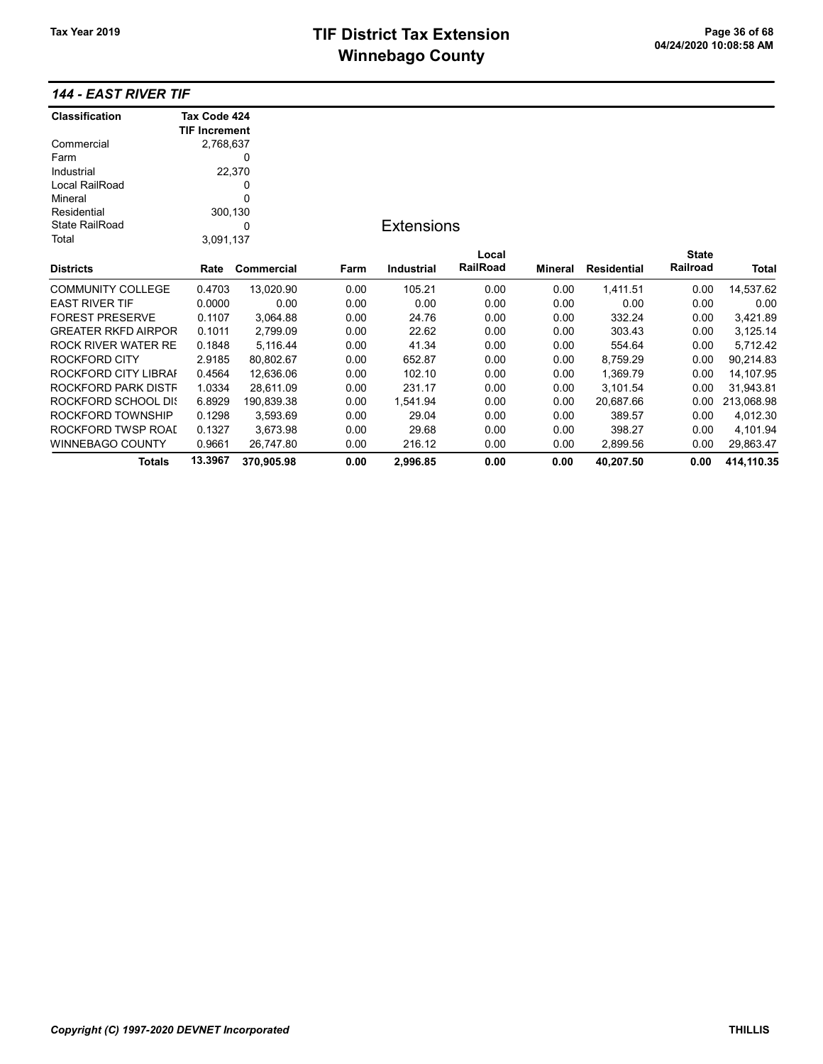## 144 - EAST RIVER TIF

| <b>Classification</b>      | Tax Code 424         |            |      |                   |          |         |                    |              |            |
|----------------------------|----------------------|------------|------|-------------------|----------|---------|--------------------|--------------|------------|
|                            | <b>TIF Increment</b> |            |      |                   |          |         |                    |              |            |
| Commercial                 | 2,768,637            |            |      |                   |          |         |                    |              |            |
| Farm                       |                      | 0          |      |                   |          |         |                    |              |            |
| Industrial                 |                      | 22,370     |      |                   |          |         |                    |              |            |
| Local RailRoad             |                      | 0          |      |                   |          |         |                    |              |            |
| Mineral                    |                      | $\Omega$   |      |                   |          |         |                    |              |            |
| Residential                | 300,130              |            |      |                   |          |         |                    |              |            |
| <b>State RailRoad</b>      |                      | 0          |      | <b>Extensions</b> |          |         |                    |              |            |
| Total                      | 3,091,137            |            |      |                   |          |         |                    |              |            |
|                            |                      |            |      |                   | Local    |         |                    | <b>State</b> |            |
| <b>Districts</b>           | Rate                 | Commercial | Farm | <b>Industrial</b> | RailRoad | Mineral | <b>Residential</b> | Railroad     | Total      |
| <b>COMMUNITY COLLEGE</b>   | 0.4703               | 13,020.90  | 0.00 | 105.21            | 0.00     | 0.00    | 1,411.51           | 0.00         | 14,537.62  |
| <b>EAST RIVER TIF</b>      | 0.0000               | 0.00       | 0.00 | 0.00              | 0.00     | 0.00    | 0.00               | 0.00         | 0.00       |
| <b>FOREST PRESERVE</b>     | 0.1107               | 3,064.88   | 0.00 | 24.76             | 0.00     | 0.00    | 332.24             | 0.00         | 3,421.89   |
| <b>GREATER RKFD AIRPOR</b> | 0.1011               | 2,799.09   | 0.00 | 22.62             | 0.00     | 0.00    | 303.43             | 0.00         | 3,125.14   |
| <b>ROCK RIVER WATER RE</b> | 0.1848               | 5,116.44   | 0.00 | 41.34             | 0.00     | 0.00    | 554.64             | 0.00         | 5,712.42   |
| ROCKFORD CITY              | 2.9185               | 80,802.67  | 0.00 | 652.87            | 0.00     | 0.00    | 8,759.29           | 0.00         | 90,214.83  |
| ROCKFORD CITY LIBRAI       | 0.4564               | 12,636.06  | 0.00 | 102.10            | 0.00     | 0.00    | 1,369.79           | 0.00         | 14,107.95  |
| ROCKFORD PARK DISTF        | 1.0334               | 28,611.09  | 0.00 | 231.17            | 0.00     | 0.00    | 3,101.54           | 0.00         | 31,943.81  |
| ROCKFORD SCHOOL DIS        | 6.8929               | 190,839.38 | 0.00 | 1,541.94          | 0.00     | 0.00    | 20,687.66          | 0.00         | 213,068.98 |
| ROCKFORD TOWNSHIP          | 0.1298               | 3,593.69   | 0.00 | 29.04             | 0.00     | 0.00    | 389.57             | 0.00         | 4,012.30   |
| ROCKFORD TWSP ROAI         | 0.1327               | 3,673.98   | 0.00 | 29.68             | 0.00     | 0.00    | 398.27             | 0.00         | 4,101.94   |
| WINNEBAGO COUNTY           | 0.9661               | 26,747.80  | 0.00 | 216.12            | 0.00     | 0.00    | 2,899.56           | 0.00         | 29,863.47  |
| <b>Totals</b>              | 13.3967              | 370,905.98 | 0.00 | 2.996.85          | 0.00     | 0.00    | 40,207.50          | 0.00         | 414.110.35 |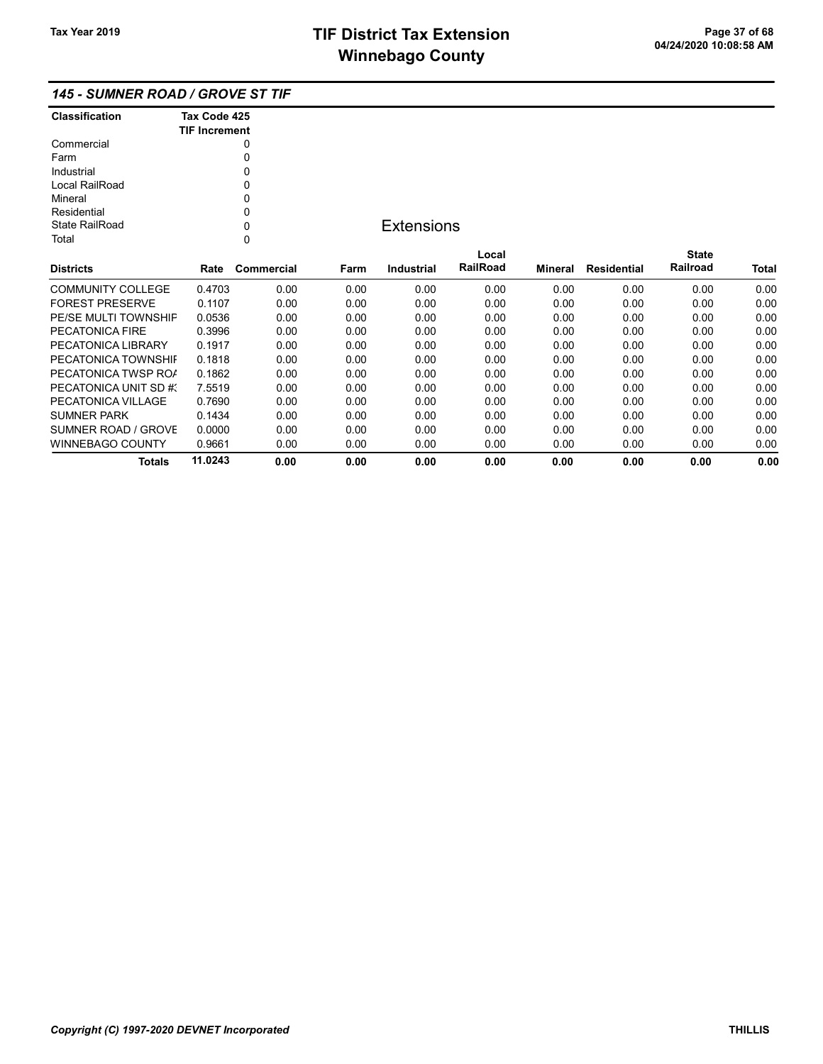## 145 - SUMNER ROAD / GROVE ST TIF

| <b>Classification</b> | Tax Code 425<br><b>TIF Increment</b> |
|-----------------------|--------------------------------------|
|                       |                                      |
| Commercial            | 0                                    |
| Farm                  | 0                                    |
| Industrial            | 0                                    |
| Local RailRoad        | 0                                    |
| Mineral               | 0                                    |
| Residential           | 0                                    |
| State RailRoad        | U                                    |
| Total                 |                                      |

## **Extensions**

| <b>Districts</b>       | Rate    | Commercial | Farm | Industrial | Local<br><b>RailRoad</b> | Mineral | Residential | <b>State</b><br>Railroad | <b>Total</b> |
|------------------------|---------|------------|------|------------|--------------------------|---------|-------------|--------------------------|--------------|
|                        |         |            |      |            |                          |         |             |                          |              |
| COMMUNITY COLLEGE      | 0.4703  | 0.00       | 0.00 | 0.00       | 0.00                     | 0.00    | 0.00        | 0.00                     | 0.00         |
| <b>FOREST PRESERVE</b> | 0.1107  | 0.00       | 0.00 | 0.00       | 0.00                     | 0.00    | 0.00        | 0.00                     | 0.00         |
| PE/SE MULTI TOWNSHIP   | 0.0536  | 0.00       | 0.00 | 0.00       | 0.00                     | 0.00    | 0.00        | 0.00                     | 0.00         |
| PECATONICA FIRE        | 0.3996  | 0.00       | 0.00 | 0.00       | 0.00                     | 0.00    | 0.00        | 0.00                     | 0.00         |
| PECATONICA LIBRARY     | 0.1917  | 0.00       | 0.00 | 0.00       | 0.00                     | 0.00    | 0.00        | 0.00                     | 0.00         |
| PECATONICA TOWNSHIL    | 0.1818  | 0.00       | 0.00 | 0.00       | 0.00                     | 0.00    | 0.00        | 0.00                     | 0.00         |
| PECATONICA TWSP ROA    | 0.1862  | 0.00       | 0.00 | 0.00       | 0.00                     | 0.00    | 0.00        | 0.00                     | 0.00         |
| PECATONICA UNIT SD #3  | 7.5519  | 0.00       | 0.00 | 0.00       | 0.00                     | 0.00    | 0.00        | 0.00                     | 0.00         |
| PECATONICA VII LAGE    | 0.7690  | 0.00       | 0.00 | 0.00       | 0.00                     | 0.00    | 0.00        | 0.00                     | 0.00         |
| <b>SUMNER PARK</b>     | 0.1434  | 0.00       | 0.00 | 0.00       | 0.00                     | 0.00    | 0.00        | 0.00                     | 0.00         |
| SUMNER ROAD / GROVE    | 0.0000  | 0.00       | 0.00 | 0.00       | 0.00                     | 0.00    | 0.00        | 0.00                     | 0.00         |
| WINNEBAGO COUNTY       | 0.9661  | 0.00       | 0.00 | 0.00       | 0.00                     | 0.00    | 0.00        | 0.00                     | 0.00         |
| Totals                 | 11.0243 | 0.00       | 0.00 | 0.00       | 0.00                     | 0.00    | 0.00        | 0.00                     | 0.00         |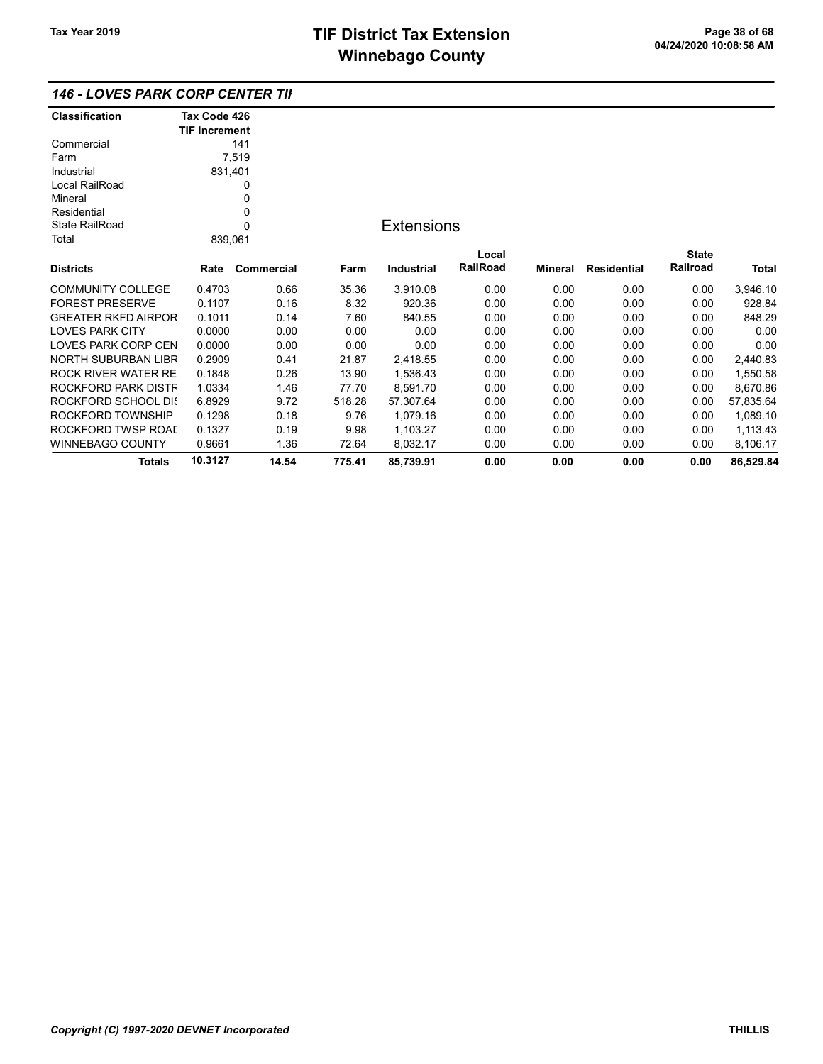## 146 - LOVES PARK CORP CENTER TIF

| <b>Classification</b>      | Tax Code 426         |             |        |                   |          |         |                    |              |              |
|----------------------------|----------------------|-------------|--------|-------------------|----------|---------|--------------------|--------------|--------------|
|                            | <b>TIF Increment</b> |             |        |                   |          |         |                    |              |              |
| Commercial                 |                      | 141         |        |                   |          |         |                    |              |              |
| Farm                       |                      | 7,519       |        |                   |          |         |                    |              |              |
| Industrial                 | 831,401              |             |        |                   |          |         |                    |              |              |
| Local RailRoad             |                      | 0           |        |                   |          |         |                    |              |              |
| Mineral                    |                      | 0           |        |                   |          |         |                    |              |              |
| Residential                |                      | 0           |        |                   |          |         |                    |              |              |
| <b>State RailRoad</b>      |                      | $\mathbf 0$ |        | <b>Extensions</b> |          |         |                    |              |              |
| Total                      | 839,061              |             |        |                   |          |         |                    |              |              |
|                            |                      |             |        |                   | Local    |         |                    | <b>State</b> |              |
| <b>Districts</b>           | Rate                 | Commercial  | Farm   | Industrial        | RailRoad | Mineral | <b>Residential</b> | Railroad     | <b>Total</b> |
| <b>COMMUNITY COLLEGE</b>   | 0.4703               | 0.66        | 35.36  | 3,910.08          | 0.00     | 0.00    | 0.00               | 0.00         | 3,946.10     |
| <b>FOREST PRESERVE</b>     | 0.1107               | 0.16        | 8.32   | 920.36            | 0.00     | 0.00    | 0.00               | 0.00         | 928.84       |
| <b>GREATER RKFD AIRPOR</b> | 0.1011               | 0.14        | 7.60   | 840.55            | 0.00     | 0.00    | 0.00               | 0.00         | 848.29       |
| <b>LOVES PARK CITY</b>     | 0.0000               | 0.00        | 0.00   | 0.00              | 0.00     | 0.00    | 0.00               | 0.00         | 0.00         |
| LOVES PARK CORP CEN        | 0.0000               | 0.00        | 0.00   | 0.00              | 0.00     | 0.00    | 0.00               | 0.00         | 0.00         |
| <b>NORTH SUBURBAN LIBR</b> | 0.2909               | 0.41        | 21.87  | 2,418.55          | 0.00     | 0.00    | 0.00               | 0.00         | 2,440.83     |
| ROCK RIVER WATER RE        | 0.1848               | 0.26        | 13.90  | 1,536.43          | 0.00     | 0.00    | 0.00               | 0.00         | 1,550.58     |
| ROCKFORD PARK DISTF        | 1.0334               | 1.46        | 77.70  | 8,591.70          | 0.00     | 0.00    | 0.00               | 0.00         | 8,670.86     |
| ROCKFORD SCHOOL DIS        | 6.8929               | 9.72        | 518.28 | 57,307.64         | 0.00     | 0.00    | 0.00               | 0.00         | 57,835.64    |
| ROCKFORD TOWNSHIP          | 0.1298               | 0.18        | 9.76   | 1,079.16          | 0.00     | 0.00    | 0.00               | 0.00         | 1,089.10     |
| ROCKFORD TWSP ROAL         | 0.1327               | 0.19        | 9.98   | 1,103.27          | 0.00     | 0.00    | 0.00               | 0.00         | 1,113.43     |
| WINNEBAGO COUNTY           | 0.9661               | 1.36        | 72.64  | 8,032.17          | 0.00     | 0.00    | 0.00               | 0.00         | 8,106.17     |
| <b>Totals</b>              | 10.3127              | 14.54       | 775.41 | 85,739.91         | 0.00     | 0.00    | 0.00               | 0.00         | 86,529.84    |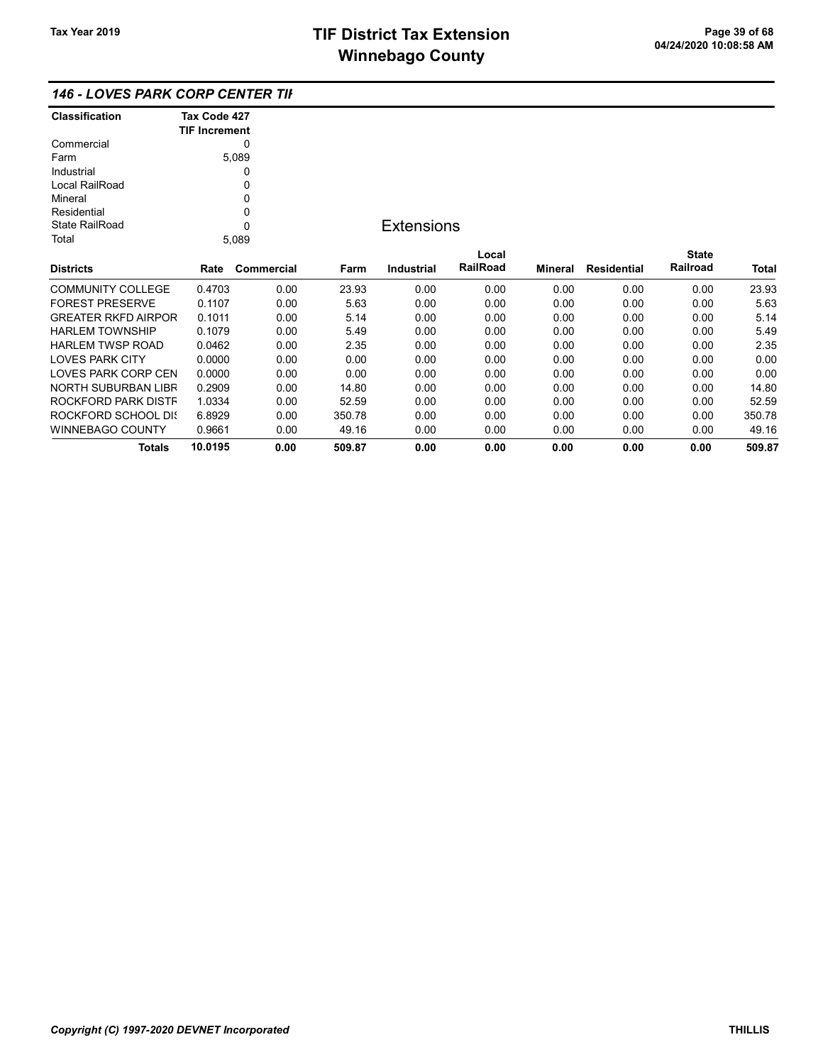### 146 - LOVES PARK CORP CENTER TIF

| Classification             | Tax Code 427         |            |        |                   |          |         |                    |              |              |
|----------------------------|----------------------|------------|--------|-------------------|----------|---------|--------------------|--------------|--------------|
|                            | <b>TIF Increment</b> |            |        |                   |          |         |                    |              |              |
| Commercial                 |                      | 0          |        |                   |          |         |                    |              |              |
| Farm                       |                      | 5,089      |        |                   |          |         |                    |              |              |
| Industrial                 |                      | 0          |        |                   |          |         |                    |              |              |
| Local RailRoad             |                      | 0          |        |                   |          |         |                    |              |              |
| Mineral                    |                      | 0          |        |                   |          |         |                    |              |              |
| Residential                |                      | 0          |        |                   |          |         |                    |              |              |
| <b>State RailRoad</b>      |                      | $\Omega$   |        | <b>Extensions</b> |          |         |                    |              |              |
| Total                      |                      | 5,089      |        |                   |          |         |                    |              |              |
|                            |                      |            |        |                   | Local    |         |                    | <b>State</b> |              |
| <b>Districts</b>           | Rate                 | Commercial | Farm   | <b>Industrial</b> | RailRoad | Mineral | <b>Residential</b> | Railroad     | <b>Total</b> |
| <b>COMMUNITY COLLEGE</b>   | 0.4703               | 0.00       | 23.93  | 0.00              | 0.00     | 0.00    | 0.00               | 0.00         | 23.93        |
| <b>FOREST PRESERVE</b>     | 0.1107               | 0.00       | 5.63   | 0.00              | 0.00     | 0.00    | 0.00               | 0.00         | 5.63         |
| <b>GREATER RKFD AIRPOR</b> | 0.1011               | 0.00       | 5.14   | 0.00              | 0.00     | 0.00    | 0.00               | 0.00         | 5.14         |
| <b>HARLEM TOWNSHIP</b>     | 0.1079               | 0.00       | 5.49   | 0.00              | 0.00     | 0.00    | 0.00               | 0.00         | 5.49         |
| <b>HARLEM TWSP ROAD</b>    | 0.0462               | 0.00       | 2.35   | 0.00              | 0.00     | 0.00    | 0.00               | 0.00         | 2.35         |
| <b>LOVES PARK CITY</b>     | 0.0000               | 0.00       | 0.00   | 0.00              | 0.00     | 0.00    | 0.00               | 0.00         | 0.00         |
| LOVES PARK CORP CEN        | 0.0000               | 0.00       | 0.00   | 0.00              | 0.00     | 0.00    | 0.00               | 0.00         | 0.00         |
| NORTH SUBURBAN LIBR        | 0.2909               | 0.00       | 14.80  | 0.00              | 0.00     | 0.00    | 0.00               | 0.00         | 14.80        |
| ROCKFORD PARK DISTF        | 1.0334               | 0.00       | 52.59  | 0.00              | 0.00     | 0.00    | 0.00               | 0.00         | 52.59        |
| ROCKFORD SCHOOL DIS        | 6.8929               | 0.00       | 350.78 | 0.00              | 0.00     | 0.00    | 0.00               | 0.00         | 350.78       |
| WINNEBAGO COUNTY           | 0.9661               | 0.00       | 49.16  | 0.00              | 0.00     | 0.00    | 0.00               | 0.00         | 49.16        |
| Totals                     | 10.0195              | 0.00       | 509.87 | 0.00              | 0.00     | 0.00    | 0.00               | 0.00         | 509.87       |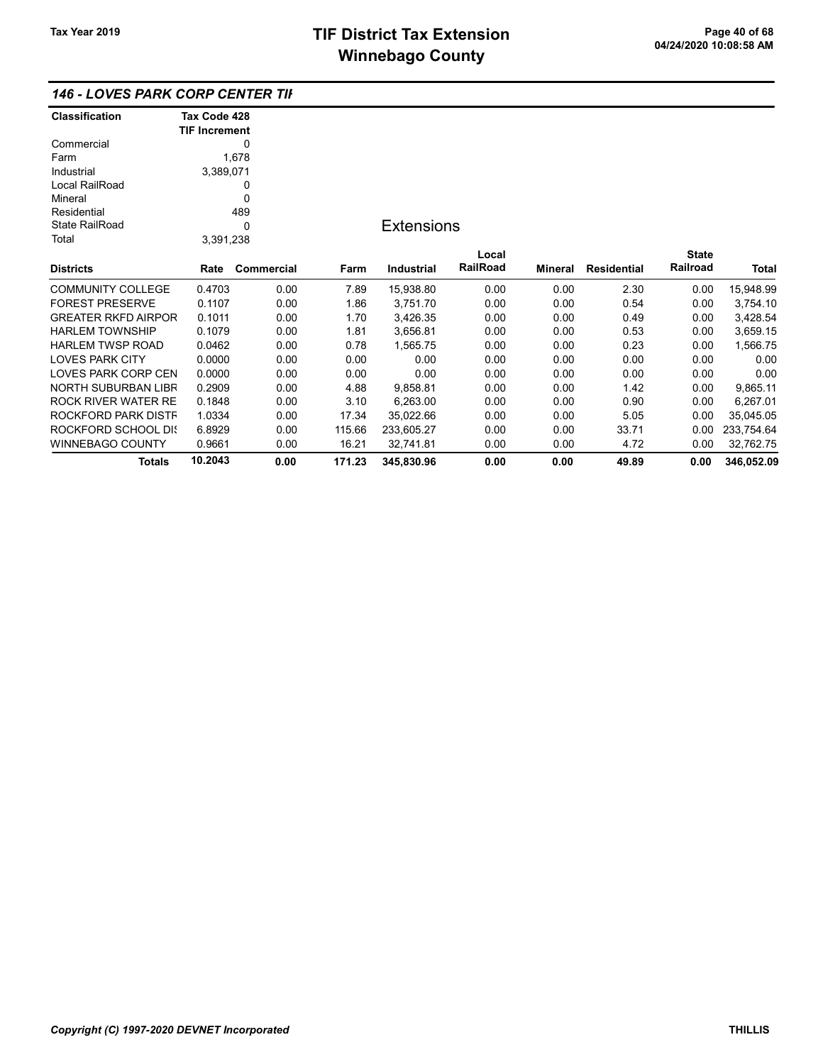## 146 - LOVES PARK CORP CENTER TIF

| <b>Classification</b>      | Tax Code 428         |            |        |                   |          |         |                    |              |            |
|----------------------------|----------------------|------------|--------|-------------------|----------|---------|--------------------|--------------|------------|
|                            | <b>TIF Increment</b> |            |        |                   |          |         |                    |              |            |
| Commercial                 |                      | 0          |        |                   |          |         |                    |              |            |
| Farm                       |                      | 1,678      |        |                   |          |         |                    |              |            |
| Industrial                 | 3,389,071            |            |        |                   |          |         |                    |              |            |
| Local RailRoad             |                      | 0          |        |                   |          |         |                    |              |            |
| Mineral                    |                      | 0          |        |                   |          |         |                    |              |            |
| Residential                |                      | 489        |        |                   |          |         |                    |              |            |
| <b>State RailRoad</b>      |                      | 0          |        | <b>Extensions</b> |          |         |                    |              |            |
| Total                      | 3,391,238            |            |        |                   |          |         |                    |              |            |
|                            |                      |            |        |                   | Local    |         |                    | <b>State</b> |            |
| <b>Districts</b>           | Rate                 | Commercial | Farm   | <b>Industrial</b> | RailRoad | Mineral | <b>Residential</b> | Railroad     | Total      |
| <b>COMMUNITY COLLEGE</b>   | 0.4703               | 0.00       | 7.89   | 15,938.80         | 0.00     | 0.00    | 2.30               | 0.00         | 15,948.99  |
| <b>FOREST PRESERVE</b>     | 0.1107               | 0.00       | 1.86   | 3,751.70          | 0.00     | 0.00    | 0.54               | 0.00         | 3,754.10   |
| <b>GREATER RKFD AIRPOR</b> | 0.1011               | 0.00       | 1.70   | 3,426.35          | 0.00     | 0.00    | 0.49               | 0.00         | 3,428.54   |
| <b>HARLEM TOWNSHIP</b>     | 0.1079               | 0.00       | 1.81   | 3,656.81          | 0.00     | 0.00    | 0.53               | 0.00         | 3,659.15   |
| <b>HARLEM TWSP ROAD</b>    | 0.0462               | 0.00       | 0.78   | 1,565.75          | 0.00     | 0.00    | 0.23               | 0.00         | 1,566.75   |
| <b>LOVES PARK CITY</b>     | 0.0000               | 0.00       | 0.00   | 0.00              | 0.00     | 0.00    | 0.00               | 0.00         | 0.00       |
| <b>LOVES PARK CORP CEN</b> | 0.0000               | 0.00       | 0.00   | 0.00              | 0.00     | 0.00    | 0.00               | 0.00         | 0.00       |
| <b>NORTH SUBURBAN LIBR</b> | 0.2909               | 0.00       | 4.88   | 9,858.81          | 0.00     | 0.00    | 1.42               | 0.00         | 9,865.11   |
| ROCK RIVER WATER RE        | 0.1848               | 0.00       | 3.10   | 6,263.00          | 0.00     | 0.00    | 0.90               | 0.00         | 6,267.01   |
| ROCKFORD PARK DISTF        | 1.0334               | 0.00       | 17.34  | 35,022.66         | 0.00     | 0.00    | 5.05               | 0.00         | 35,045.05  |
| ROCKFORD SCHOOL DIS        | 6.8929               | 0.00       | 115.66 | 233,605.27        | 0.00     | 0.00    | 33.71              | 0.00         | 233,754.64 |
| <b>WINNEBAGO COUNTY</b>    | 0.9661               | 0.00       | 16.21  | 32,741.81         | 0.00     | 0.00    | 4.72               | 0.00         | 32,762.75  |
| Totals                     | 10.2043              | 0.00       | 171.23 | 345,830.96        | 0.00     | 0.00    | 49.89              | 0.00         | 346,052.09 |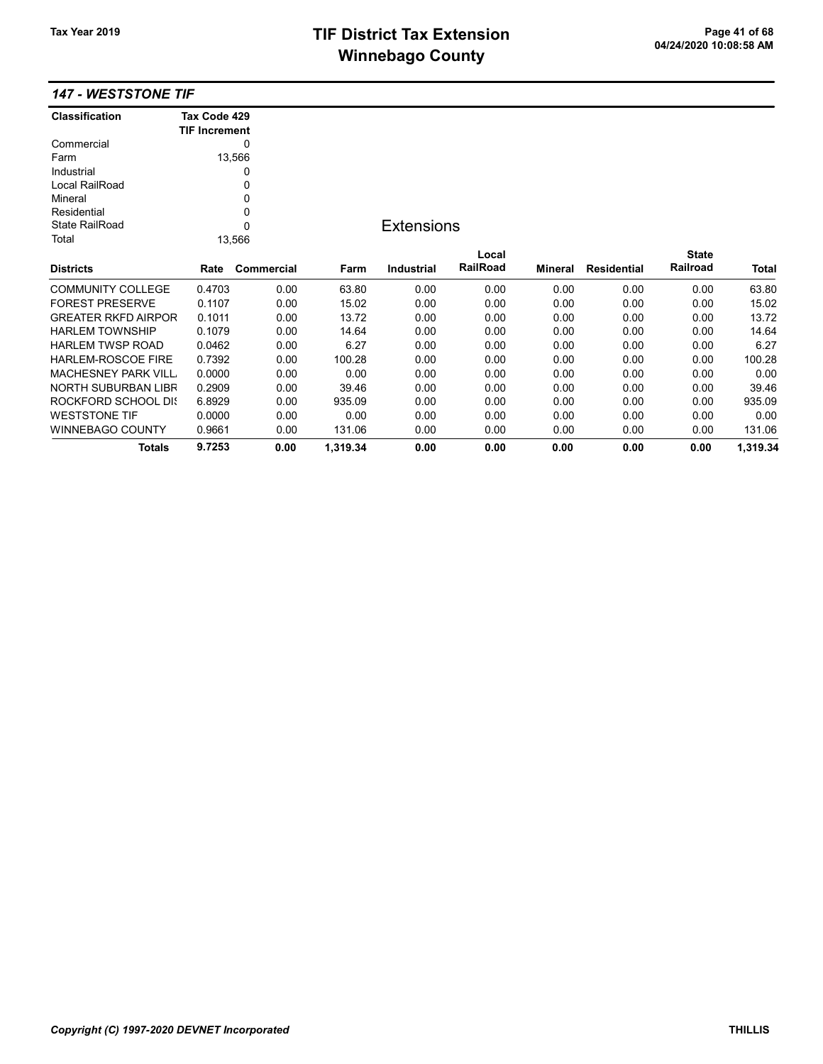# TIF District Tax Extension<br>
M's sales and Os and the page 41 of 68<br>
M's sales and Os and the page 41 of 68 **Winnebago County**

#### 147 - WESTSTONE TIF

| <b>Classification</b>      | Tax Code 429<br><b>TIF Increment</b> |            |          |                   |          |                |                    |              |          |
|----------------------------|--------------------------------------|------------|----------|-------------------|----------|----------------|--------------------|--------------|----------|
| Commercial                 |                                      | 0          |          |                   |          |                |                    |              |          |
| Farm                       |                                      | 13,566     |          |                   |          |                |                    |              |          |
| Industrial                 |                                      | 0          |          |                   |          |                |                    |              |          |
| Local RailRoad             |                                      | 0          |          |                   |          |                |                    |              |          |
| Mineral                    |                                      | 0          |          |                   |          |                |                    |              |          |
| Residential                |                                      | 0          |          |                   |          |                |                    |              |          |
| <b>State RailRoad</b>      |                                      | 0          |          | <b>Extensions</b> |          |                |                    |              |          |
| Total                      |                                      | 13,566     |          |                   |          |                |                    |              |          |
|                            |                                      |            |          |                   | Local    |                |                    | <b>State</b> |          |
| <b>Districts</b>           | Rate                                 | Commercial | Farm     | Industrial        | RailRoad | <b>Mineral</b> | <b>Residential</b> | Railroad     | Total    |
| <b>COMMUNITY COLLEGE</b>   | 0.4703                               | 0.00       | 63.80    | 0.00              | 0.00     | 0.00           | 0.00               | 0.00         | 63.80    |
| <b>FOREST PRESERVE</b>     | 0.1107                               | 0.00       | 15.02    | 0.00              | 0.00     | 0.00           | 0.00               | 0.00         | 15.02    |
| <b>GREATER RKFD AIRPOR</b> | 0.1011                               | 0.00       | 13.72    | 0.00              | 0.00     | 0.00           | 0.00               | 0.00         | 13.72    |
| <b>HARLEM TOWNSHIP</b>     | 0.1079                               | 0.00       | 14.64    | 0.00              | 0.00     | 0.00           | 0.00               | 0.00         | 14.64    |
| <b>HARLEM TWSP ROAD</b>    | 0.0462                               | 0.00       | 6.27     | 0.00              | 0.00     | 0.00           | 0.00               | 0.00         | 6.27     |
| <b>HARLEM-ROSCOE FIRE</b>  | 0.7392                               | 0.00       | 100.28   | 0.00              | 0.00     | 0.00           | 0.00               | 0.00         | 100.28   |
| <b>MACHESNEY PARK VILL</b> | 0.0000                               | 0.00       | 0.00     | 0.00              | 0.00     | 0.00           | 0.00               | 0.00         | 0.00     |
| NORTH SUBURBAN LIBR        | 0.2909                               | 0.00       | 39.46    | 0.00              | 0.00     | 0.00           | 0.00               | 0.00         | 39.46    |
| <b>ROCKFORD SCHOOL DIS</b> | 6.8929                               | 0.00       | 935.09   | 0.00              | 0.00     | 0.00           | 0.00               | 0.00         | 935.09   |
| <b>WESTSTONE TIF</b>       | 0.0000                               | 0.00       | 0.00     | 0.00              | 0.00     | 0.00           | 0.00               | 0.00         | 0.00     |
| WINNEBAGO COUNTY           | 0.9661                               | 0.00       | 131.06   | 0.00              | 0.00     | 0.00           | 0.00               | 0.00         | 131.06   |
| <b>Totals</b>              | 9.7253                               | 0.00       | 1,319.34 | 0.00              | 0.00     | 0.00           | 0.00               | 0.00         | 1,319.34 |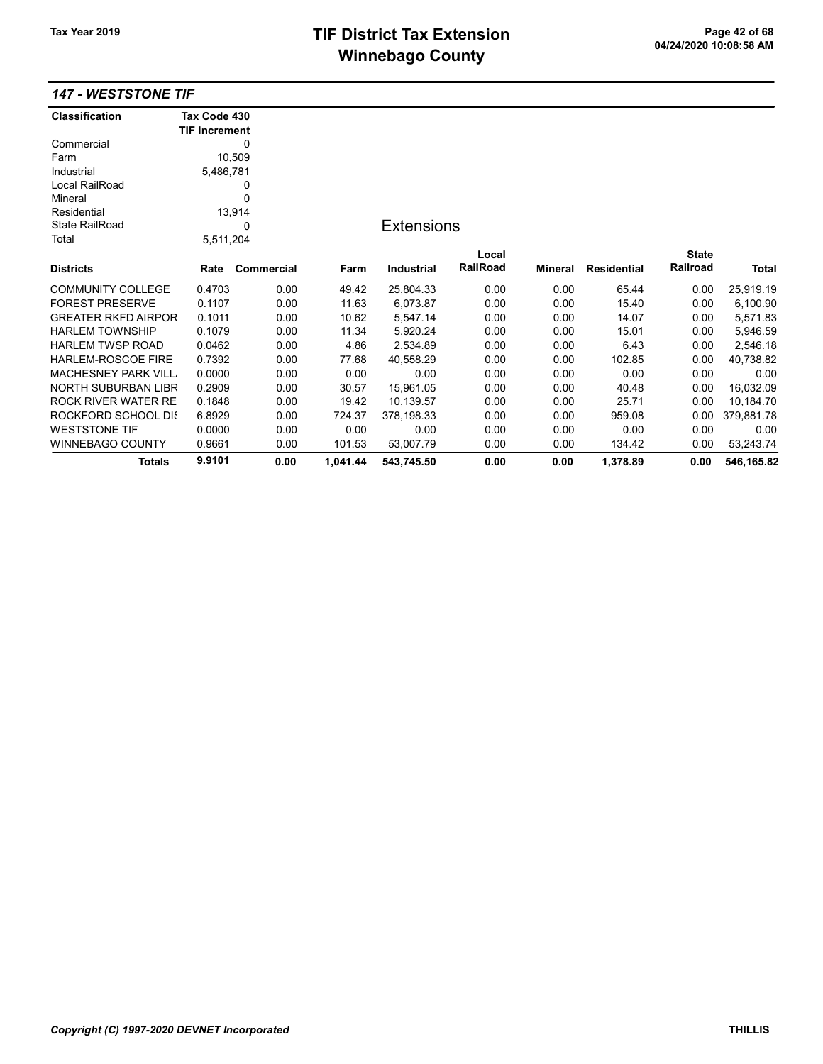# TIF District Tax Extension<br>
M's sales and Os and the page 42 of 68<br>
M's sales and Os and the page 10 of the page 10 of the page 10 of the page 10 of the page 10 of the page 10 of the page 10 of the page 10 of the page 10 o **Winnebago County**

## 147 - WESTSTONE TIF

| <b>Classification</b>      | Tax Code 430         |            |          |                   |                 |         |                    |              |            |
|----------------------------|----------------------|------------|----------|-------------------|-----------------|---------|--------------------|--------------|------------|
|                            | <b>TIF Increment</b> |            |          |                   |                 |         |                    |              |            |
| Commercial                 |                      | 0          |          |                   |                 |         |                    |              |            |
| Farm                       |                      | 10,509     |          |                   |                 |         |                    |              |            |
| Industrial                 | 5,486,781            |            |          |                   |                 |         |                    |              |            |
| Local RailRoad             |                      | 0          |          |                   |                 |         |                    |              |            |
| Mineral                    |                      | 0          |          |                   |                 |         |                    |              |            |
| Residential                |                      | 13,914     |          |                   |                 |         |                    |              |            |
| <b>State RailRoad</b>      |                      | 0          |          | <b>Extensions</b> |                 |         |                    |              |            |
| Total                      | 5,511,204            |            |          |                   |                 |         |                    |              |            |
|                            |                      |            |          |                   | Local           |         |                    | <b>State</b> |            |
| <b>Districts</b>           | Rate                 | Commercial | Farm     | <b>Industrial</b> | <b>RailRoad</b> | Mineral | <b>Residential</b> | Railroad     | Total      |
| <b>COMMUNITY COLLEGE</b>   | 0.4703               | 0.00       | 49.42    | 25,804.33         | 0.00            | 0.00    | 65.44              | 0.00         | 25,919.19  |
| <b>FOREST PRESERVE</b>     | 0.1107               | 0.00       | 11.63    | 6,073.87          | 0.00            | 0.00    | 15.40              | 0.00         | 6,100.90   |
| <b>GREATER RKFD AIRPOR</b> | 0.1011               | 0.00       | 10.62    | 5,547.14          | 0.00            | 0.00    | 14.07              | 0.00         | 5,571.83   |
| <b>HARLEM TOWNSHIP</b>     | 0.1079               | 0.00       | 11.34    | 5,920.24          | 0.00            | 0.00    | 15.01              | 0.00         | 5,946.59   |
| <b>HARLEM TWSP ROAD</b>    | 0.0462               | 0.00       | 4.86     | 2,534.89          | 0.00            | 0.00    | 6.43               | 0.00         | 2,546.18   |
| <b>HARLEM-ROSCOE FIRE</b>  | 0.7392               | 0.00       | 77.68    | 40.558.29         | 0.00            | 0.00    | 102.85             | 0.00         | 40,738.82  |
| <b>MACHESNEY PARK VILL</b> | 0.0000               | 0.00       | 0.00     | 0.00              | 0.00            | 0.00    | 0.00               | 0.00         | 0.00       |
| NORTH SUBURBAN LIBR        | 0.2909               | 0.00       | 30.57    | 15,961.05         | 0.00            | 0.00    | 40.48              | 0.00         | 16,032.09  |
| <b>ROCK RIVER WATER RE</b> | 0.1848               | 0.00       | 19.42    | 10,139.57         | 0.00            | 0.00    | 25.71              | 0.00         | 10,184.70  |
| ROCKFORD SCHOOL DIS        | 6.8929               | 0.00       | 724.37   | 378,198.33        | 0.00            | 0.00    | 959.08             | 0.00         | 379,881.78 |
| <b>WESTSTONE TIF</b>       | 0.0000               | 0.00       | 0.00     | 0.00              | 0.00            | 0.00    | 0.00               | 0.00         | 0.00       |
| <b>WINNEBAGO COUNTY</b>    | 0.9661               | 0.00       | 101.53   | 53,007.79         | 0.00            | 0.00    | 134.42             | 0.00         | 53,243.74  |
| <b>Totals</b>              | 9.9101               | 0.00       | 1.041.44 | 543,745.50        | 0.00            | 0.00    | 1,378.89           | 0.00         | 546,165.82 |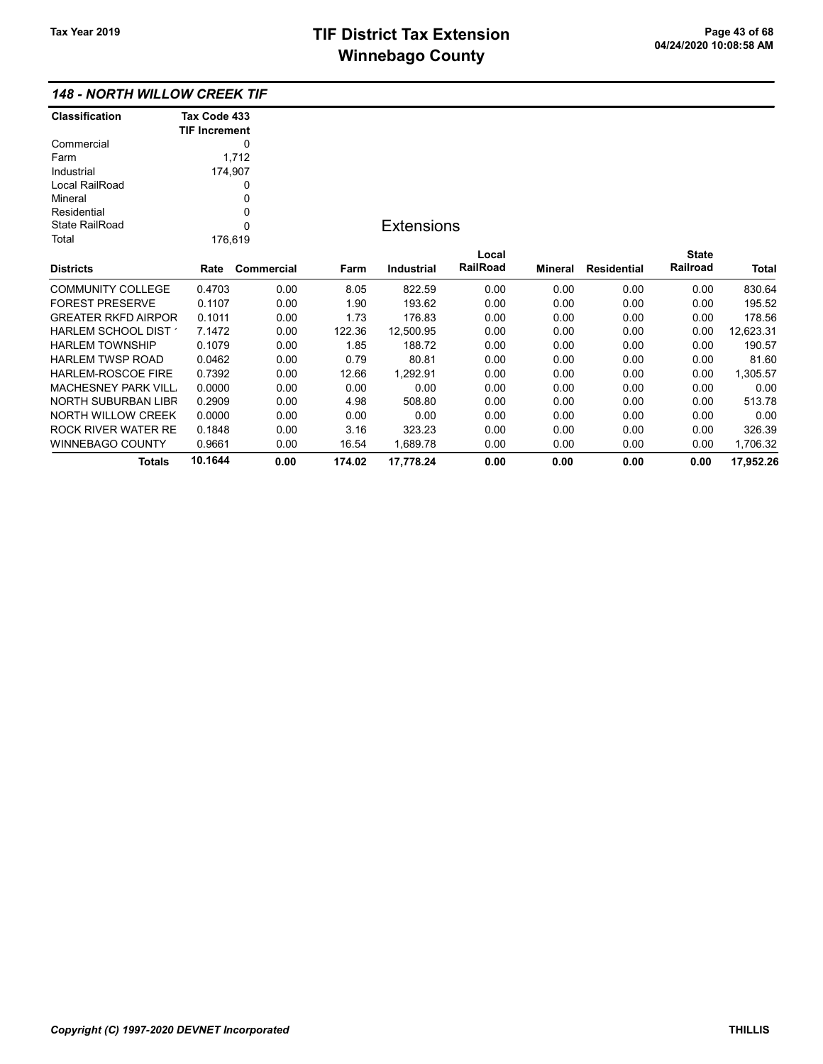## 148 - NORTH WILLOW CREEK TIF

| <b>Classification</b>      | Tax Code 433         |            |        |                   |          |                |                    |              |              |
|----------------------------|----------------------|------------|--------|-------------------|----------|----------------|--------------------|--------------|--------------|
|                            | <b>TIF Increment</b> |            |        |                   |          |                |                    |              |              |
| Commercial                 |                      | 0          |        |                   |          |                |                    |              |              |
| Farm                       |                      | 1,712      |        |                   |          |                |                    |              |              |
| Industrial                 | 174,907              |            |        |                   |          |                |                    |              |              |
| Local RailRoad             |                      | 0          |        |                   |          |                |                    |              |              |
| Mineral                    |                      | 0          |        |                   |          |                |                    |              |              |
| Residential                |                      | 0          |        |                   |          |                |                    |              |              |
| <b>State RailRoad</b>      |                      | 0          |        | <b>Extensions</b> |          |                |                    |              |              |
| Total                      | 176,619              |            |        |                   |          |                |                    |              |              |
|                            |                      |            |        |                   | Local    |                |                    | <b>State</b> |              |
| <b>Districts</b>           | Rate                 | Commercial | Farm   | <b>Industrial</b> | RailRoad | <b>Mineral</b> | <b>Residential</b> | Railroad     | <b>Total</b> |
| <b>COMMUNITY COLLEGE</b>   | 0.4703               | 0.00       | 8.05   | 822.59            | 0.00     | 0.00           | 0.00               | 0.00         | 830.64       |
| <b>FOREST PRESERVE</b>     | 0.1107               | 0.00       | 1.90   | 193.62            | 0.00     | 0.00           | 0.00               | 0.00         | 195.52       |
| <b>GREATER RKFD AIRPOR</b> | 0.1011               | 0.00       | 1.73   | 176.83            | 0.00     | 0.00           | 0.00               | 0.00         | 178.56       |
| HARLEM SCHOOL DIST         | 7.1472               | 0.00       | 122.36 | 12,500.95         | 0.00     | 0.00           | 0.00               | 0.00         | 12,623.31    |
| <b>HARLEM TOWNSHIP</b>     | 0.1079               | 0.00       | 1.85   | 188.72            | 0.00     | 0.00           | 0.00               | 0.00         | 190.57       |
| <b>HARLEM TWSP ROAD</b>    | 0.0462               | 0.00       | 0.79   | 80.81             | 0.00     | 0.00           | 0.00               | 0.00         | 81.60        |
| HARLEM-ROSCOE FIRE         | 0.7392               | 0.00       | 12.66  | 1,292.91          | 0.00     | 0.00           | 0.00               | 0.00         | 1,305.57     |
| <b>MACHESNEY PARK VILL</b> | 0.0000               | 0.00       | 0.00   | 0.00              | 0.00     | 0.00           | 0.00               | 0.00         | 0.00         |
| <b>NORTH SUBURBAN LIBR</b> | 0.2909               | 0.00       | 4.98   | 508.80            | 0.00     | 0.00           | 0.00               | 0.00         | 513.78       |
| <b>NORTH WILLOW CREEK</b>  | 0.0000               | 0.00       | 0.00   | 0.00              | 0.00     | 0.00           | 0.00               | 0.00         | 0.00         |
| <b>ROCK RIVER WATER RE</b> | 0.1848               | 0.00       | 3.16   | 323.23            | 0.00     | 0.00           | 0.00               | 0.00         | 326.39       |
| <b>WINNEBAGO COUNTY</b>    | 0.9661               | 0.00       | 16.54  | 1,689.78          | 0.00     | 0.00           | 0.00               | 0.00         | 1,706.32     |
| <b>Totals</b>              | 10.1644              | 0.00       | 174.02 | 17.778.24         | 0.00     | 0.00           | 0.00               | 0.00         | 17,952.26    |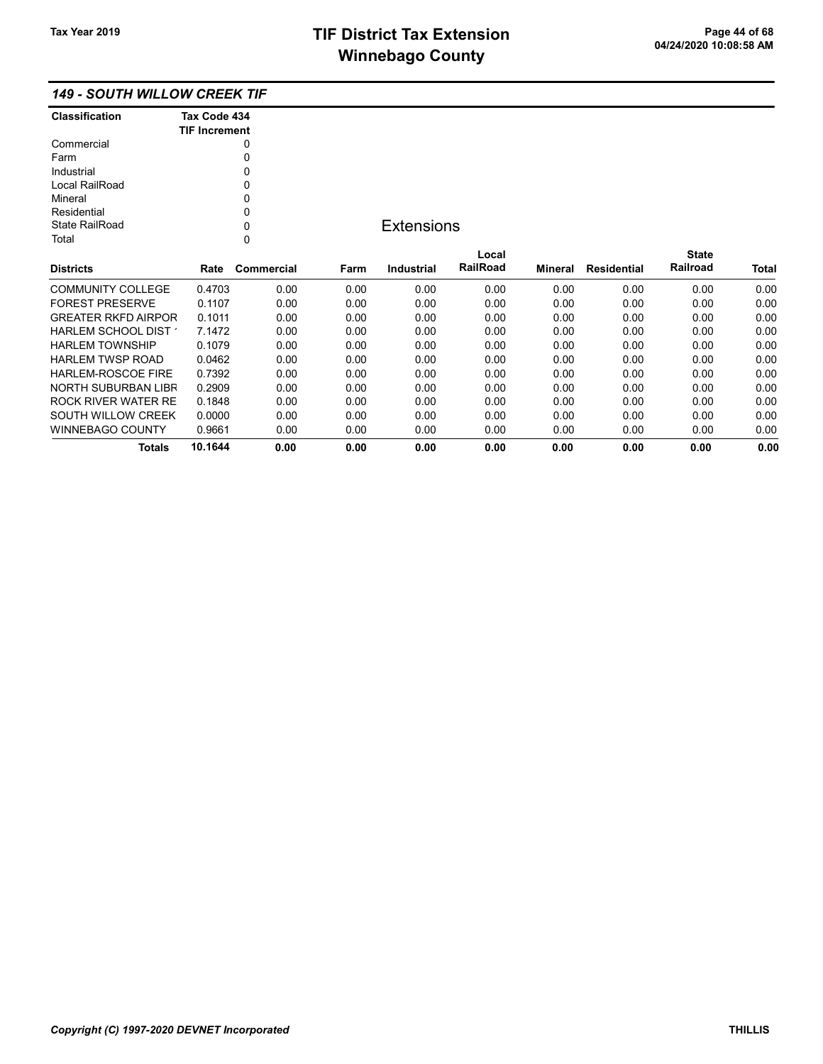WINNEBAGO COUNTY 0.9661 0.00 0.00 0.00 0.00 0.00 0.00 0.00 0.00

Totals 10.1644 0.00 0.00 0.00 0.00 0.00 0.00 0.00 0.00

## 149 - SOUTH WILLOW CREEK TIF

| <b>Classification</b>      | Tax Code 434<br><b>TIF Increment</b> |            |      |                   |                 |                |                    |              |              |
|----------------------------|--------------------------------------|------------|------|-------------------|-----------------|----------------|--------------------|--------------|--------------|
| Commercial                 |                                      |            |      |                   |                 |                |                    |              |              |
| Farm                       |                                      | 0          |      |                   |                 |                |                    |              |              |
| Industrial                 |                                      | 0          |      |                   |                 |                |                    |              |              |
| Local RailRoad             |                                      | 0          |      |                   |                 |                |                    |              |              |
| Mineral                    |                                      |            |      |                   |                 |                |                    |              |              |
| Residential                |                                      | 0          |      |                   |                 |                |                    |              |              |
| <b>State RailRoad</b>      |                                      | 0          |      | <b>Extensions</b> |                 |                |                    |              |              |
| Total                      |                                      | 0          |      |                   |                 |                |                    |              |              |
|                            |                                      |            |      |                   | Local           |                |                    | <b>State</b> |              |
| <b>Districts</b>           | Rate                                 | Commercial | Farm | Industrial        | <b>RailRoad</b> | <b>Mineral</b> | <b>Residential</b> | Railroad     | <b>Total</b> |
| <b>COMMUNITY COLLEGE</b>   | 0.4703                               | 0.00       | 0.00 | 0.00              | 0.00            | 0.00           | 0.00               | 0.00         | 0.00         |
| <b>FOREST PRESERVE</b>     | 0.1107                               | 0.00       | 0.00 | 0.00              | 0.00            | 0.00           | 0.00               | 0.00         | 0.00         |
| <b>GREATER RKFD AIRPOR</b> | 0.1011                               | 0.00       | 0.00 | 0.00              | 0.00            | 0.00           | 0.00               | 0.00         | 0.00         |
| HARLEM SCHOOL DIST         | 7.1472                               | 0.00       | 0.00 | 0.00              | 0.00            | 0.00           | 0.00               | 0.00         | 0.00         |
| <b>HARLEM TOWNSHIP</b>     | 0.1079                               | 0.00       | 0.00 | 0.00              | 0.00            | 0.00           | 0.00               | 0.00         | 0.00         |
| <b>HARLEM TWSP ROAD</b>    | 0.0462                               | 0.00       | 0.00 | 0.00              | 0.00            | 0.00           | 0.00               | 0.00         | 0.00         |
| <b>HARLEM-ROSCOE FIRE</b>  | 0.7392                               | 0.00       | 0.00 | 0.00              | 0.00            | 0.00           | 0.00               | 0.00         | 0.00         |
| NORTH SUBURBAN LIBR        | 0.2909                               | 0.00       | 0.00 | 0.00              | 0.00            | 0.00           | 0.00               | 0.00         | 0.00         |
| <b>ROCK RIVER WATER RE</b> | 0.1848                               | 0.00       | 0.00 | 0.00              | 0.00            | 0.00           | 0.00               | 0.00         | 0.00         |
| SOUTH WILLOW CREEK         | 0.0000                               | 0.00       | 0.00 | 0.00              | 0.00            | 0.00           | 0.00               | 0.00         | 0.00         |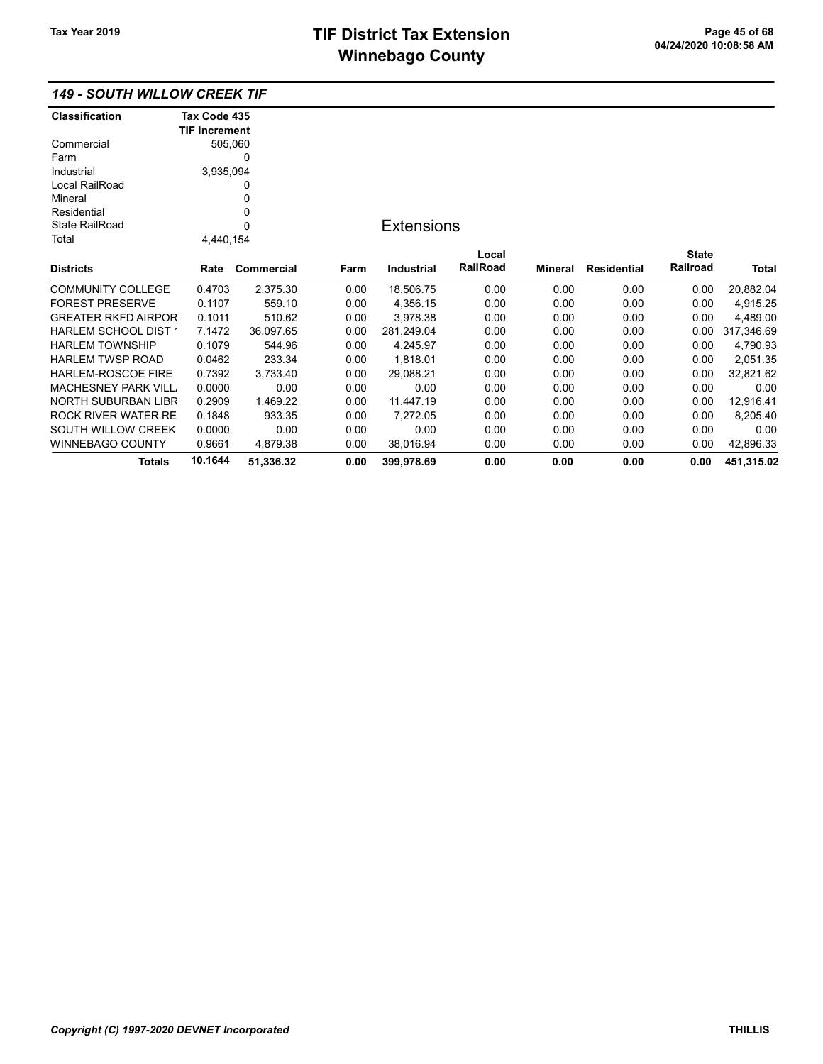## 149 - SOUTH WILLOW CREEK TIF

| <b>Classification</b>      | Tax Code 435         |            |      |                   |                 |         |             |              |            |
|----------------------------|----------------------|------------|------|-------------------|-----------------|---------|-------------|--------------|------------|
|                            | <b>TIF Increment</b> |            |      |                   |                 |         |             |              |            |
| Commercial                 |                      | 505,060    |      |                   |                 |         |             |              |            |
| Farm                       |                      | 0          |      |                   |                 |         |             |              |            |
| Industrial                 | 3,935,094            |            |      |                   |                 |         |             |              |            |
| Local RailRoad             |                      | 0          |      |                   |                 |         |             |              |            |
| Mineral                    |                      | 0          |      |                   |                 |         |             |              |            |
| Residential                |                      | 0          |      |                   |                 |         |             |              |            |
| <b>State RailRoad</b>      |                      | 0          |      | <b>Extensions</b> |                 |         |             |              |            |
| Total                      | 4,440,154            |            |      |                   |                 |         |             |              |            |
|                            |                      |            |      |                   | Local           |         |             | <b>State</b> |            |
| <b>Districts</b>           | Rate                 | Commercial | Farm | <b>Industrial</b> | <b>RailRoad</b> | Mineral | Residential | Railroad     | Total      |
| <b>COMMUNITY COLLEGE</b>   | 0.4703               | 2,375.30   | 0.00 | 18,506.75         | 0.00            | 0.00    | 0.00        | 0.00         | 20,882.04  |
| <b>FOREST PRESERVE</b>     | 0.1107               | 559.10     | 0.00 | 4,356.15          | 0.00            | 0.00    | 0.00        | 0.00         | 4,915.25   |
| <b>GREATER RKFD AIRPOR</b> | 0.1011               | 510.62     | 0.00 | 3,978.38          | 0.00            | 0.00    | 0.00        | 0.00         | 4,489.00   |
| HARLEM SCHOOL DIST         | 7.1472               | 36,097.65  | 0.00 | 281,249.04        | 0.00            | 0.00    | 0.00        | 0.00         | 317,346.69 |
| <b>HARLEM TOWNSHIP</b>     | 0.1079               | 544.96     | 0.00 | 4,245.97          | 0.00            | 0.00    | 0.00        | 0.00         | 4,790.93   |
| <b>HARLEM TWSP ROAD</b>    | 0.0462               | 233.34     | 0.00 | 1,818.01          | 0.00            | 0.00    | 0.00        | 0.00         | 2,051.35   |
| <b>HARLEM-ROSCOE FIRE</b>  | 0.7392               | 3,733.40   | 0.00 | 29,088.21         | 0.00            | 0.00    | 0.00        | 0.00         | 32,821.62  |
| <b>MACHESNEY PARK VILL</b> | 0.0000               | 0.00       | 0.00 | 0.00              | 0.00            | 0.00    | 0.00        | 0.00         | 0.00       |
| NORTH SUBURBAN LIBR        | 0.2909               | 1,469.22   | 0.00 | 11,447.19         | 0.00            | 0.00    | 0.00        | 0.00         | 12,916.41  |
| ROCK RIVER WATER RE        | 0.1848               | 933.35     | 0.00 | 7,272.05          | 0.00            | 0.00    | 0.00        | 0.00         | 8,205.40   |
| SOUTH WILLOW CREEK         | 0.0000               | 0.00       | 0.00 | 0.00              | 0.00            | 0.00    | 0.00        | 0.00         | 0.00       |
| <b>WINNEBAGO COUNTY</b>    | 0.9661               | 4,879.38   | 0.00 | 38,016.94         | 0.00            | 0.00    | 0.00        | 0.00         | 42,896.33  |
| <b>Totals</b>              | 10.1644              | 51,336.32  | 0.00 | 399,978.69        | 0.00            | 0.00    | 0.00        | 0.00         | 451,315.02 |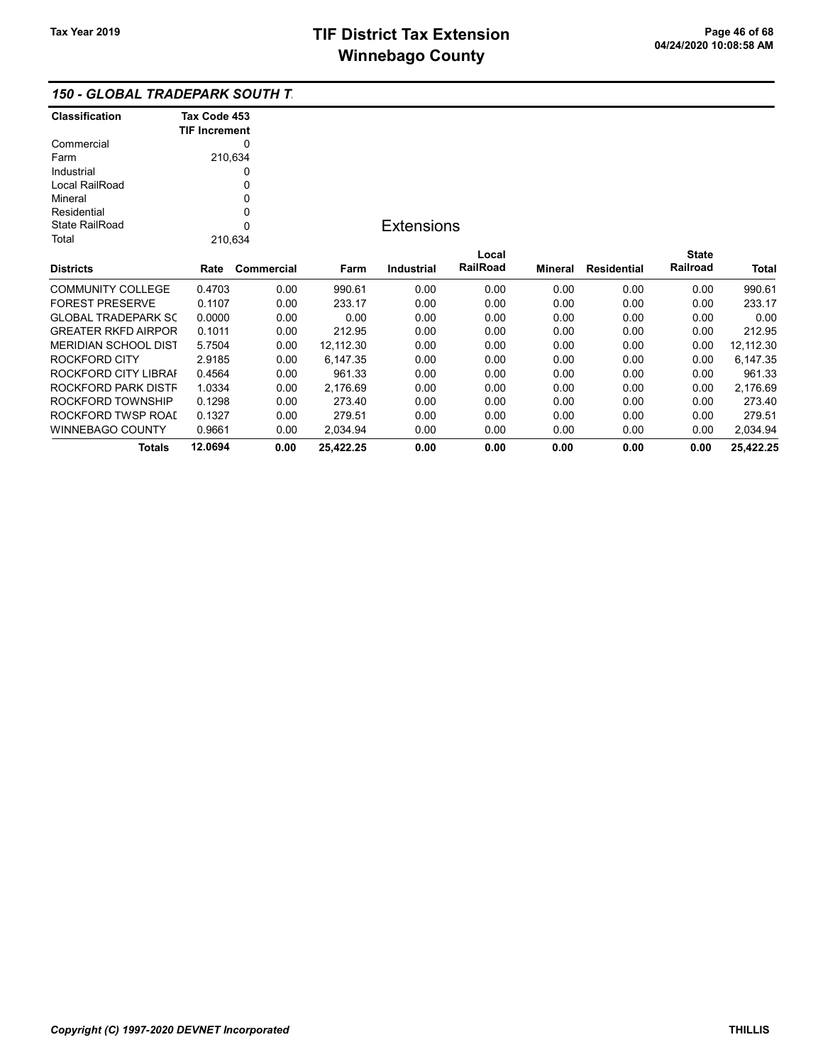## 150 - GLOBAL TRADEPARK SOUTH T

| <b>Classification</b>       | Tax Code 453         |            |           |                   |          |         |                    |              |           |
|-----------------------------|----------------------|------------|-----------|-------------------|----------|---------|--------------------|--------------|-----------|
|                             | <b>TIF Increment</b> |            |           |                   |          |         |                    |              |           |
| Commercial                  |                      | 0          |           |                   |          |         |                    |              |           |
| Farm                        | 210,634              |            |           |                   |          |         |                    |              |           |
| Industrial                  |                      | 0          |           |                   |          |         |                    |              |           |
| Local RailRoad              |                      | 0          |           |                   |          |         |                    |              |           |
| Mineral                     |                      | 0          |           |                   |          |         |                    |              |           |
| Residential                 |                      | 0          |           |                   |          |         |                    |              |           |
| <b>State RailRoad</b>       |                      | 0          |           | <b>Extensions</b> |          |         |                    |              |           |
| Total                       | 210,634              |            |           |                   |          |         |                    |              |           |
|                             |                      |            |           |                   | Local    |         |                    | <b>State</b> |           |
| <b>Districts</b>            | Rate                 | Commercial | Farm      | Industrial        | RailRoad | Mineral | <b>Residential</b> | Railroad     | Total     |
| <b>COMMUNITY COLLEGE</b>    | 0.4703               | 0.00       | 990.61    | 0.00              | 0.00     | 0.00    | 0.00               | 0.00         | 990.61    |
| <b>FOREST PRESERVE</b>      | 0.1107               | 0.00       | 233.17    | 0.00              | 0.00     | 0.00    | 0.00               | 0.00         | 233.17    |
| <b>GLOBAL TRADEPARK SC</b>  | 0.0000               | 0.00       | 0.00      | 0.00              | 0.00     | 0.00    | 0.00               | 0.00         | 0.00      |
| <b>GREATER RKFD AIRPOR</b>  | 0.1011               | 0.00       | 212.95    | 0.00              | 0.00     | 0.00    | 0.00               | 0.00         | 212.95    |
| <b>MERIDIAN SCHOOL DIST</b> | 5.7504               | 0.00       | 12,112.30 | 0.00              | 0.00     | 0.00    | 0.00               | 0.00         | 12,112.30 |
| ROCKFORD CITY               | 2.9185               | 0.00       | 6,147.35  | 0.00              | 0.00     | 0.00    | 0.00               | 0.00         | 6,147.35  |
| ROCKFORD CITY LIBRAI        | 0.4564               | 0.00       | 961.33    | 0.00              | 0.00     | 0.00    | 0.00               | 0.00         | 961.33    |
| ROCKFORD PARK DISTF         | 1.0334               | 0.00       | 2,176.69  | 0.00              | 0.00     | 0.00    | 0.00               | 0.00         | 2,176.69  |
| ROCKFORD TOWNSHIP           | 0.1298               | 0.00       | 273.40    | 0.00              | 0.00     | 0.00    | 0.00               | 0.00         | 273.40    |
| ROCKFORD TWSP ROAI          | 0.1327               | 0.00       | 279.51    | 0.00              | 0.00     | 0.00    | 0.00               | 0.00         | 279.51    |
| <b>WINNEBAGO COUNTY</b>     | 0.9661               | 0.00       | 2,034.94  | 0.00              | 0.00     | 0.00    | 0.00               | 0.00         | 2,034.94  |
| Totals                      | 12.0694              | 0.00       | 25,422.25 | 0.00              | 0.00     | 0.00    | 0.00               | 0.00         | 25,422.25 |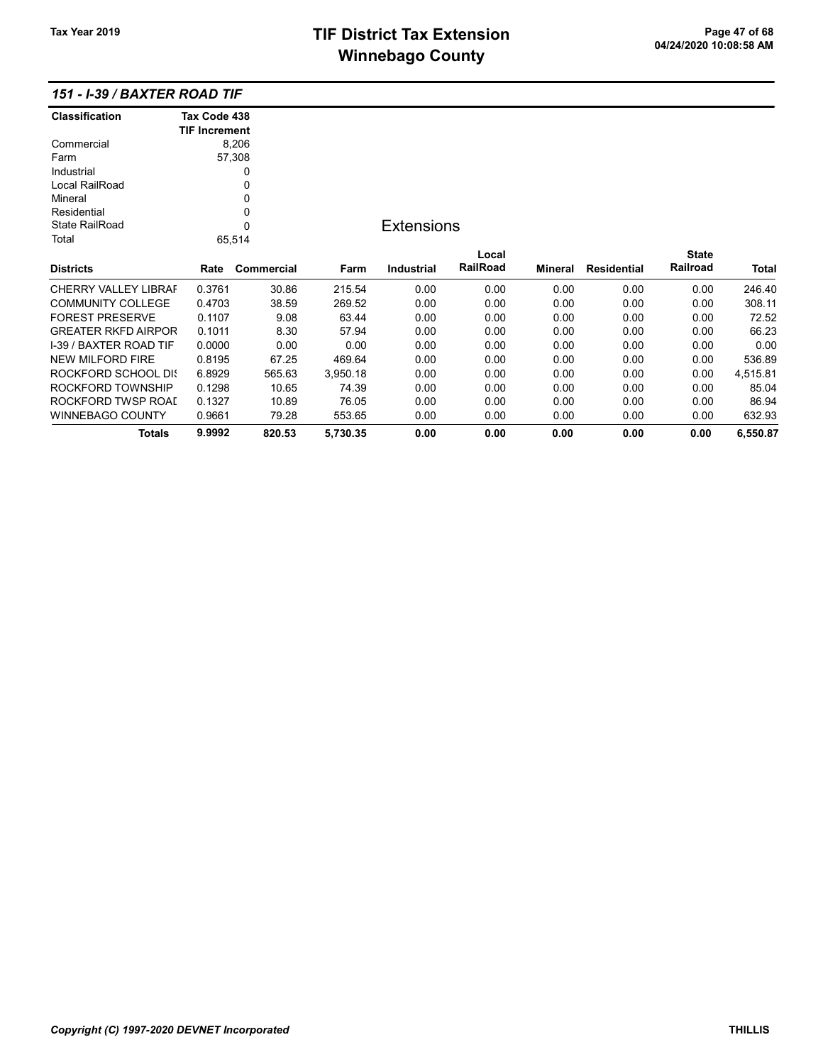# TIF District Tax Extension<br>
M's and has a Canadian of the California California California California California California California Ca **Winnebago County**

| <b>Classification</b>         | Tax Code 438         |            |          |                   |          |         |                    |              |          |
|-------------------------------|----------------------|------------|----------|-------------------|----------|---------|--------------------|--------------|----------|
|                               | <b>TIF Increment</b> |            |          |                   |          |         |                    |              |          |
| Commercial                    |                      | 8,206      |          |                   |          |         |                    |              |          |
| Farm                          |                      | 57,308     |          |                   |          |         |                    |              |          |
| Industrial                    |                      | 0          |          |                   |          |         |                    |              |          |
| Local RailRoad                |                      | 0          |          |                   |          |         |                    |              |          |
| Mineral                       |                      | 0          |          |                   |          |         |                    |              |          |
| Residential                   |                      | 0          |          |                   |          |         |                    |              |          |
| <b>State RailRoad</b>         |                      | 0          |          | <b>Extensions</b> |          |         |                    |              |          |
| Total                         |                      | 65,514     |          |                   |          |         |                    |              |          |
|                               |                      |            |          |                   | Local    |         |                    | <b>State</b> |          |
| <b>Districts</b>              | Rate                 | Commercial | Farm     | <b>Industrial</b> | RailRoad | Mineral | <b>Residential</b> | Railroad     | Total    |
| <b>CHERRY VALLEY LIBRAF</b>   | 0.3761               | 30.86      | 215.54   | 0.00              | 0.00     | 0.00    | 0.00               | 0.00         | 246.40   |
| <b>COMMUNITY COLLEGE</b>      | 0.4703               | 38.59      | 269.52   | 0.00              | 0.00     | 0.00    | 0.00               | 0.00         | 308.11   |
| <b>FOREST PRESERVE</b>        | 0.1107               | 9.08       | 63.44    | 0.00              | 0.00     | 0.00    | 0.00               | 0.00         | 72.52    |
| <b>GREATER RKFD AIRPOR</b>    | 0.1011               | 8.30       | 57.94    | 0.00              | 0.00     | 0.00    | 0.00               | 0.00         | 66.23    |
| <b>I-39 / BAXTER ROAD TIF</b> | 0.0000               | 0.00       | 0.00     | 0.00              | 0.00     | 0.00    | 0.00               | 0.00         | 0.00     |
| <b>NEW MILFORD FIRE</b>       | 0.8195               | 67.25      | 469.64   | 0.00              | 0.00     | 0.00    | 0.00               | 0.00         | 536.89   |
| ROCKFORD SCHOOL DIS           | 6.8929               | 565.63     | 3,950.18 | 0.00              | 0.00     | 0.00    | 0.00               | 0.00         | 4,515.81 |
| ROCKFORD TOWNSHIP             | 0.1298               | 10.65      | 74.39    | 0.00              | 0.00     | 0.00    | 0.00               | 0.00         | 85.04    |
| ROCKFORD TWSP ROAI            | 0.1327               | 10.89      | 76.05    | 0.00              | 0.00     | 0.00    | 0.00               | 0.00         | 86.94    |
| <b>WINNEBAGO COUNTY</b>       | 0.9661               | 79.28      | 553.65   | 0.00              | 0.00     | 0.00    | 0.00               | 0.00         | 632.93   |
| <b>Totals</b>                 | 9.9992               | 820.53     | 5,730.35 | 0.00              | 0.00     | 0.00    | 0.00               | 0.00         | 6,550.87 |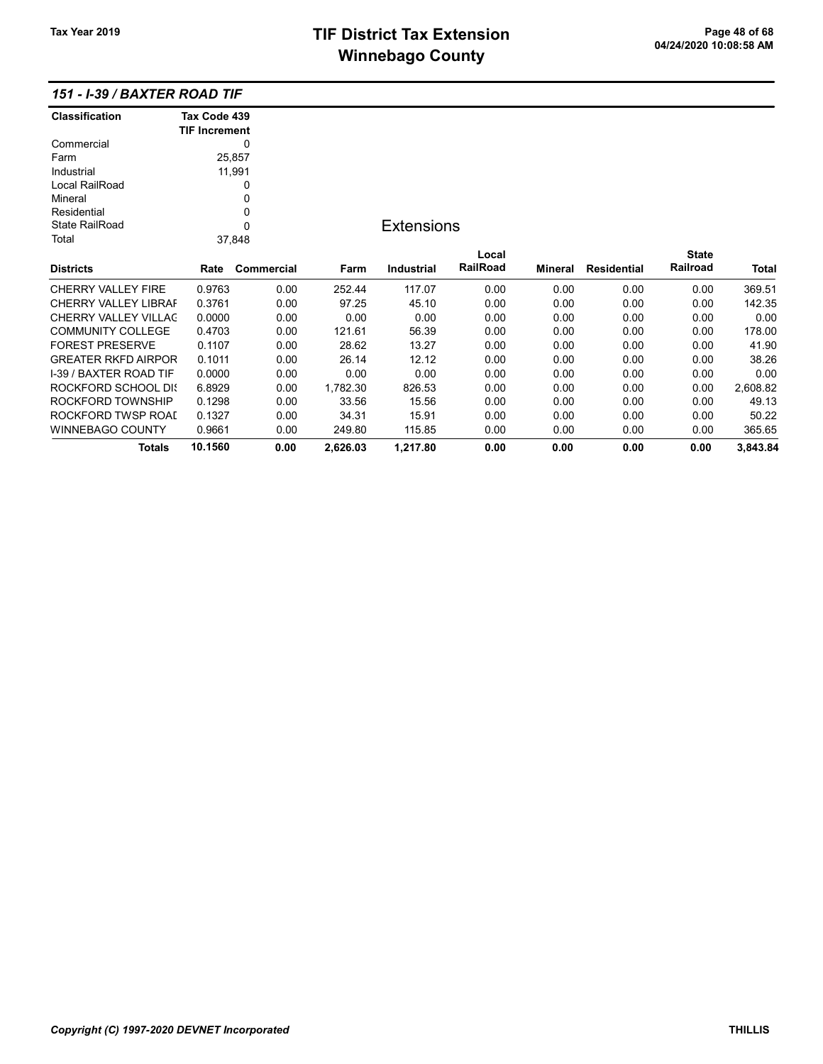## TIF District Tax Extension<br>
Missishere Country the United States of Country of the Contract of the Page 48 of 68 **Winnebago County**

| <b>Classification</b>       | Tax Code 439         |            |          |                   |          |         |                    |              |          |
|-----------------------------|----------------------|------------|----------|-------------------|----------|---------|--------------------|--------------|----------|
|                             | <b>TIF Increment</b> |            |          |                   |          |         |                    |              |          |
| Commercial                  |                      | 0          |          |                   |          |         |                    |              |          |
| Farm                        |                      | 25,857     |          |                   |          |         |                    |              |          |
| Industrial                  |                      | 11,991     |          |                   |          |         |                    |              |          |
| Local RailRoad              |                      | 0          |          |                   |          |         |                    |              |          |
| Mineral                     |                      | 0          |          |                   |          |         |                    |              |          |
| Residential                 |                      | 0          |          |                   |          |         |                    |              |          |
| State RailRoad              |                      | 0          |          | <b>Extensions</b> |          |         |                    |              |          |
| Total                       |                      | 37,848     |          |                   |          |         |                    |              |          |
|                             |                      |            |          |                   | Local    |         |                    | <b>State</b> |          |
| <b>Districts</b>            | Rate                 | Commercial | Farm     | <b>Industrial</b> | RailRoad | Mineral | <b>Residential</b> | Railroad     | Total    |
| CHERRY VALLEY FIRE          | 0.9763               | 0.00       | 252.44   | 117.07            | 0.00     | 0.00    | 0.00               | 0.00         | 369.51   |
| <b>CHERRY VALLEY LIBRAF</b> | 0.3761               | 0.00       | 97.25    | 45.10             | 0.00     | 0.00    | 0.00               | 0.00         | 142.35   |
| <b>CHERRY VALLEY VILLAC</b> | 0.0000               | 0.00       | 0.00     | 0.00              | 0.00     | 0.00    | 0.00               | 0.00         | 0.00     |
| <b>COMMUNITY COLLEGE</b>    | 0.4703               | 0.00       | 121.61   | 56.39             | 0.00     | 0.00    | 0.00               | 0.00         | 178.00   |
| <b>FOREST PRESERVE</b>      | 0.1107               | 0.00       | 28.62    | 13.27             | 0.00     | 0.00    | 0.00               | 0.00         | 41.90    |
| <b>GREATER RKFD AIRPOR</b>  | 0.1011               | 0.00       | 26.14    | 12.12             | 0.00     | 0.00    | 0.00               | 0.00         | 38.26    |
| I-39 / BAXTER ROAD TIF      | 0.0000               | 0.00       | 0.00     | 0.00              | 0.00     | 0.00    | 0.00               | 0.00         | 0.00     |
| <b>ROCKFORD SCHOOL DIS</b>  | 6.8929               | 0.00       | 1,782.30 | 826.53            | 0.00     | 0.00    | 0.00               | 0.00         | 2,608.82 |
| ROCKFORD TOWNSHIP           | 0.1298               | 0.00       | 33.56    | 15.56             | 0.00     | 0.00    | 0.00               | 0.00         | 49.13    |
| ROCKFORD TWSP ROAD          | 0.1327               | 0.00       | 34.31    | 15.91             | 0.00     | 0.00    | 0.00               | 0.00         | 50.22    |
| <b>WINNEBAGO COUNTY</b>     | 0.9661               | 0.00       | 249.80   | 115.85            | 0.00     | 0.00    | 0.00               | 0.00         | 365.65   |
| Totals                      | 10.1560              | 0.00       | 2,626.03 | 1,217.80          | 0.00     | 0.00    | 0.00               | 0.00         | 3,843.84 |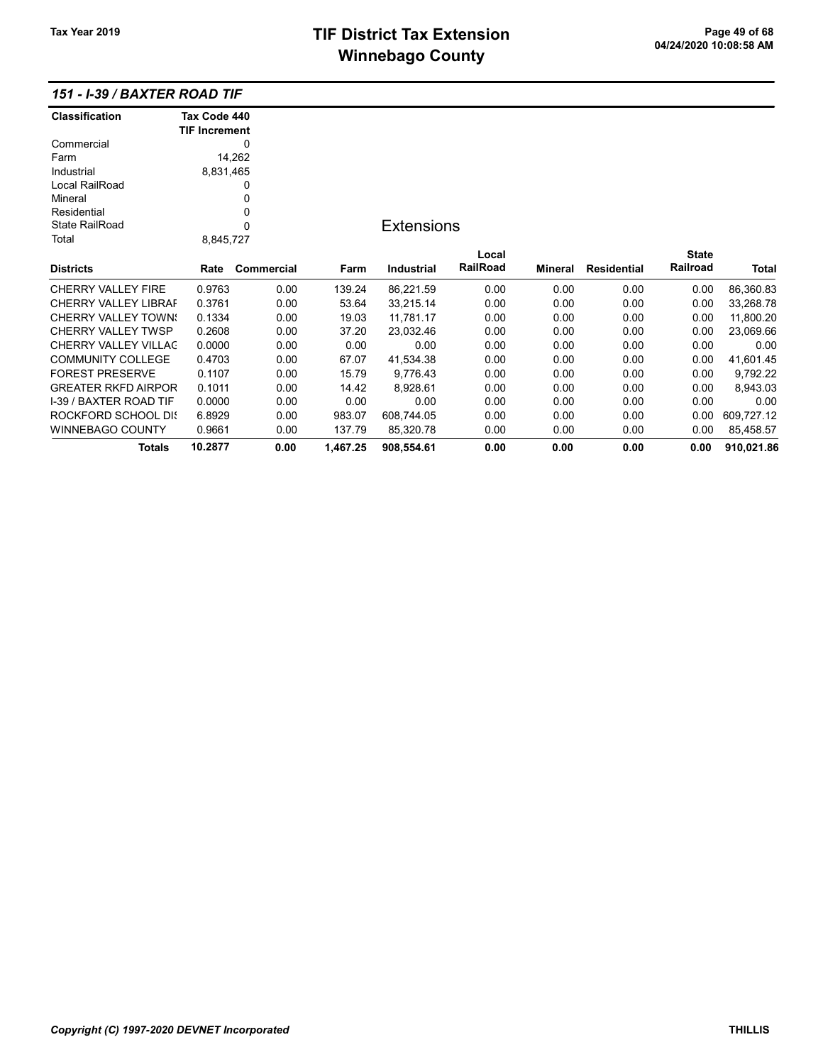# TIF District Tax Extension<br>
M's sales and Os and the page 49 of 68<br>
M's sales and Os and the page 49 of 68 **Winnebago County**

| Classification                | Tax Code 440         |            |          |                   |          |                |                    |              |            |
|-------------------------------|----------------------|------------|----------|-------------------|----------|----------------|--------------------|--------------|------------|
|                               | <b>TIF Increment</b> |            |          |                   |          |                |                    |              |            |
| Commercial                    |                      | 0          |          |                   |          |                |                    |              |            |
| Farm                          |                      | 14,262     |          |                   |          |                |                    |              |            |
| Industrial                    | 8,831,465            |            |          |                   |          |                |                    |              |            |
| Local RailRoad                |                      | 0          |          |                   |          |                |                    |              |            |
| Mineral                       |                      | 0          |          |                   |          |                |                    |              |            |
| Residential                   |                      | 0          |          |                   |          |                |                    |              |            |
| <b>State RailRoad</b>         |                      | 0          |          | <b>Extensions</b> |          |                |                    |              |            |
| Total                         | 8,845,727            |            |          |                   |          |                |                    |              |            |
|                               |                      |            |          |                   | Local    |                |                    | <b>State</b> |            |
| <b>Districts</b>              | Rate                 | Commercial | Farm     | Industrial        | RailRoad | <b>Mineral</b> | <b>Residential</b> | Railroad     | Total      |
| <b>CHERRY VALLEY FIRE</b>     | 0.9763               | 0.00       | 139.24   | 86,221.59         | 0.00     | 0.00           | 0.00               | 0.00         | 86,360.83  |
| <b>CHERRY VALLEY LIBRAF</b>   | 0.3761               | 0.00       | 53.64    | 33,215.14         | 0.00     | 0.00           | 0.00               | 0.00         | 33,268.78  |
| <b>CHERRY VALLEY TOWN:</b>    | 0.1334               | 0.00       | 19.03    | 11,781.17         | 0.00     | 0.00           | 0.00               | 0.00         | 11,800.20  |
| <b>CHERRY VALLEY TWSP</b>     | 0.2608               | 0.00       | 37.20    | 23,032.46         | 0.00     | 0.00           | 0.00               | 0.00         | 23,069.66  |
| CHERRY VALLEY VILLAC          | 0.0000               | 0.00       | 0.00     | 0.00              | 0.00     | 0.00           | 0.00               | 0.00         | 0.00       |
| <b>COMMUNITY COLLEGE</b>      | 0.4703               | 0.00       | 67.07    | 41,534.38         | 0.00     | 0.00           | 0.00               | 0.00         | 41,601.45  |
| <b>FOREST PRESERVE</b>        | 0.1107               | 0.00       | 15.79    | 9,776.43          | 0.00     | 0.00           | 0.00               | 0.00         | 9,792.22   |
| <b>GREATER RKFD AIRPOR</b>    | 0.1011               | 0.00       | 14.42    | 8,928.61          | 0.00     | 0.00           | 0.00               | 0.00         | 8,943.03   |
| <b>I-39 / BAXTER ROAD TIF</b> | 0.0000               | 0.00       | 0.00     | 0.00              | 0.00     | 0.00           | 0.00               | 0.00         | 0.00       |
| ROCKFORD SCHOOL DIS           | 6.8929               | 0.00       | 983.07   | 608,744.05        | 0.00     | 0.00           | 0.00               | 0.00         | 609,727.12 |
| <b>WINNEBAGO COUNTY</b>       | 0.9661               | 0.00       | 137.79   | 85,320.78         | 0.00     | 0.00           | 0.00               | 0.00         | 85,458.57  |
| <b>Totals</b>                 | 10.2877              | 0.00       | 1,467.25 | 908,554.61        | 0.00     | 0.00           | 0.00               | 0.00         | 910,021.86 |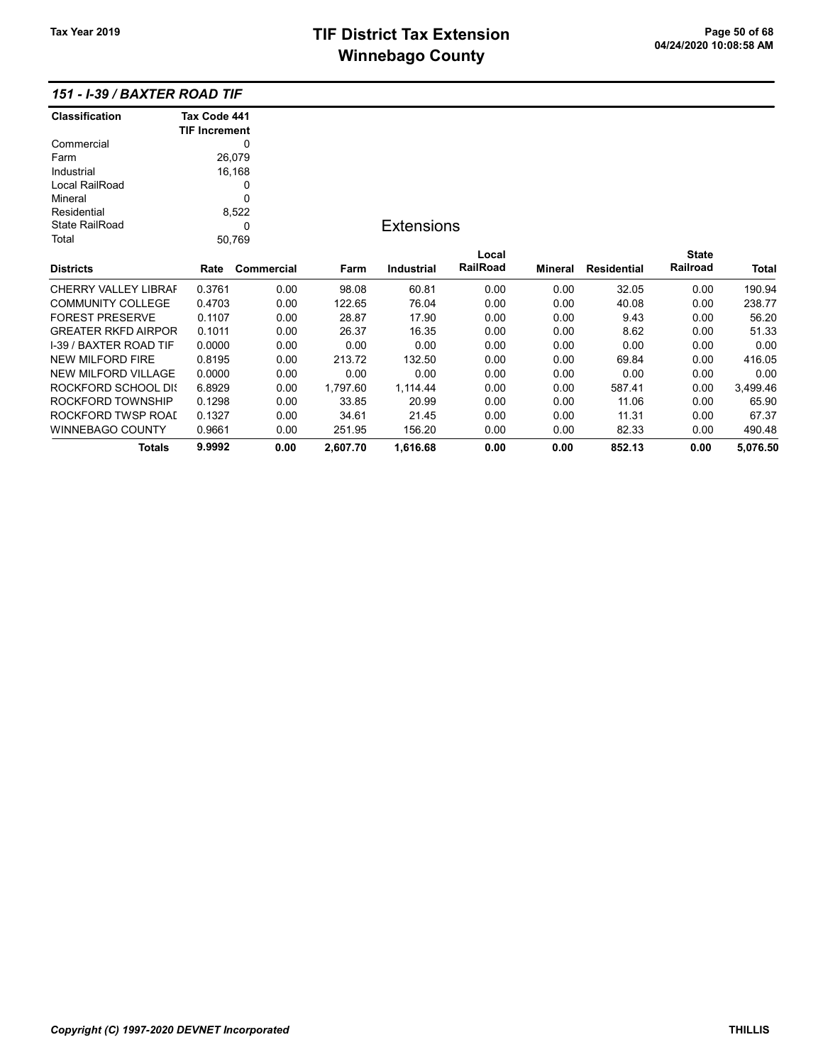# TIF District Tax Extension<br>
M's and has a Canadian of the California California California California California California California Ca **Winnebago County**

| <b>Classification</b>       | Tax Code 441         |            |          |                   |          |         |                    |              |          |
|-----------------------------|----------------------|------------|----------|-------------------|----------|---------|--------------------|--------------|----------|
|                             | <b>TIF Increment</b> |            |          |                   |          |         |                    |              |          |
| Commercial                  |                      | 0          |          |                   |          |         |                    |              |          |
| Farm                        |                      | 26,079     |          |                   |          |         |                    |              |          |
| Industrial                  |                      | 16,168     |          |                   |          |         |                    |              |          |
| Local RailRoad              |                      | 0          |          |                   |          |         |                    |              |          |
| Mineral                     |                      | 0          |          |                   |          |         |                    |              |          |
| Residential                 |                      | 8,522      |          |                   |          |         |                    |              |          |
| <b>State RailRoad</b>       |                      | 0          |          | <b>Extensions</b> |          |         |                    |              |          |
| Total                       |                      | 50,769     |          |                   |          |         |                    |              |          |
|                             |                      |            |          |                   | Local    |         |                    | <b>State</b> |          |
| <b>Districts</b>            | Rate                 | Commercial | Farm     | <b>Industrial</b> | RailRoad | Mineral | <b>Residential</b> | Railroad     | Total    |
| <b>CHERRY VALLEY LIBRAF</b> | 0.3761               | 0.00       | 98.08    | 60.81             | 0.00     | 0.00    | 32.05              | 0.00         | 190.94   |
| <b>COMMUNITY COLLEGE</b>    | 0.4703               | 0.00       | 122.65   | 76.04             | 0.00     | 0.00    | 40.08              | 0.00         | 238.77   |
| <b>FOREST PRESERVE</b>      | 0.1107               | 0.00       | 28.87    | 17.90             | 0.00     | 0.00    | 9.43               | 0.00         | 56.20    |
| <b>GREATER RKFD AIRPOR</b>  | 0.1011               | 0.00       | 26.37    | 16.35             | 0.00     | 0.00    | 8.62               | 0.00         | 51.33    |
| I-39 / BAXTER ROAD TIF      | 0.0000               | 0.00       | 0.00     | 0.00              | 0.00     | 0.00    | 0.00               | 0.00         | 0.00     |
| <b>NEW MILFORD FIRE</b>     | 0.8195               | 0.00       | 213.72   | 132.50            | 0.00     | 0.00    | 69.84              | 0.00         | 416.05   |
| <b>NEW MILFORD VILLAGE</b>  | 0.0000               | 0.00       | 0.00     | 0.00              | 0.00     | 0.00    | 0.00               | 0.00         | 0.00     |
| <b>ROCKFORD SCHOOL DIS</b>  | 6.8929               | 0.00       | 1,797.60 | 1,114.44          | 0.00     | 0.00    | 587.41             | 0.00         | 3,499.46 |
| ROCKFORD TOWNSHIP           | 0.1298               | 0.00       | 33.85    | 20.99             | 0.00     | 0.00    | 11.06              | 0.00         | 65.90    |
| ROCKFORD TWSP ROAI          | 0.1327               | 0.00       | 34.61    | 21.45             | 0.00     | 0.00    | 11.31              | 0.00         | 67.37    |
| WINNEBAGO COUNTY            | 0.9661               | 0.00       | 251.95   | 156.20            | 0.00     | 0.00    | 82.33              | 0.00         | 490.48   |
| <b>Totals</b>               | 9.9992               | 0.00       | 2,607.70 | 1,616.68          | 0.00     | 0.00    | 852.13             | 0.00         | 5,076.50 |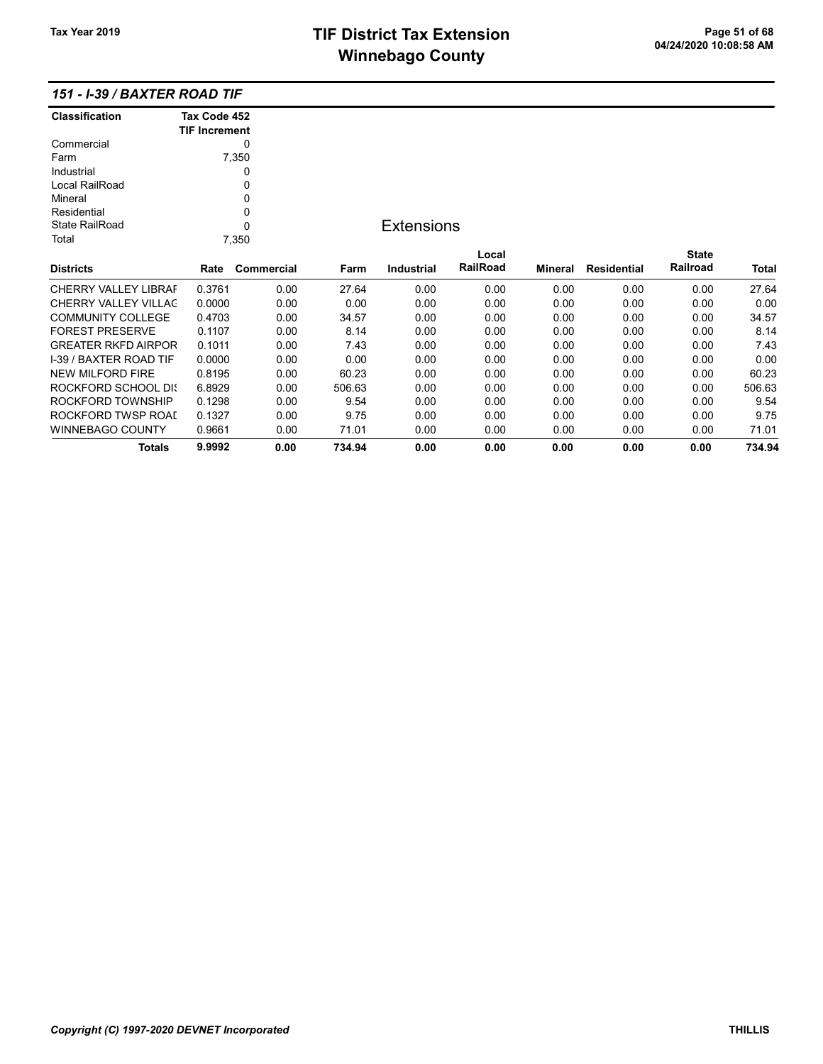Totals 9.9992 0.00 734.94 0.00 0.00 0.00 0.00 0.00 734.94

| <b>Classification</b>       | Tax Code 452<br><b>TIF Increment</b> |            |        |                   |          |         |                    |              |        |
|-----------------------------|--------------------------------------|------------|--------|-------------------|----------|---------|--------------------|--------------|--------|
| Commercial                  |                                      | 0          |        |                   |          |         |                    |              |        |
| Farm                        |                                      | 7,350      |        |                   |          |         |                    |              |        |
| Industrial                  |                                      | 0          |        |                   |          |         |                    |              |        |
| Local RailRoad              |                                      | 0          |        |                   |          |         |                    |              |        |
| Mineral                     |                                      | 0          |        |                   |          |         |                    |              |        |
| Residential                 |                                      | 0          |        |                   |          |         |                    |              |        |
| <b>State RailRoad</b>       |                                      | $\Omega$   |        | <b>Extensions</b> |          |         |                    |              |        |
| Total                       |                                      | 7,350      |        |                   |          |         |                    |              |        |
|                             |                                      |            |        |                   | Local    |         |                    | <b>State</b> |        |
| <b>Districts</b>            | Rate                                 | Commercial | Farm   | Industrial        | RailRoad | Mineral | <b>Residential</b> | Railroad     | Total  |
| <b>CHERRY VALLEY LIBRAF</b> | 0.3761                               | 0.00       | 27.64  | 0.00              | 0.00     | 0.00    | 0.00               | 0.00         | 27.64  |
| <b>CHERRY VALLEY VILLAC</b> | 0.0000                               | 0.00       | 0.00   | 0.00              | 0.00     | 0.00    | 0.00               | 0.00         | 0.00   |
| <b>COMMUNITY COLLEGE</b>    | 0.4703                               | 0.00       | 34.57  | 0.00              | 0.00     | 0.00    | 0.00               | 0.00         | 34.57  |
| <b>FOREST PRESERVE</b>      | 0.1107                               | 0.00       | 8.14   | 0.00              | 0.00     | 0.00    | 0.00               | 0.00         | 8.14   |
| <b>GREATER RKFD AIRPOR</b>  | 0.1011                               | 0.00       | 7.43   | 0.00              | 0.00     | 0.00    | 0.00               | 0.00         | 7.43   |
| I-39 / BAXTER ROAD TIF      | 0.0000                               | 0.00       | 0.00   | 0.00              | 0.00     | 0.00    | 0.00               | 0.00         | 0.00   |
| NEW MILFORD FIRE            | 0.8195                               | 0.00       | 60.23  | 0.00              | 0.00     | 0.00    | 0.00               | 0.00         | 60.23  |
| ROCKFORD SCHOOL DIS         | 6.8929                               | 0.00       | 506.63 | 0.00              | 0.00     | 0.00    | 0.00               | 0.00         | 506.63 |
| ROCKFORD TOWNSHIP           | 0.1298                               | 0.00       | 9.54   | 0.00              | 0.00     | 0.00    | 0.00               | 0.00         | 9.54   |
| ROCKFORD TWSP ROAI          | 0.1327                               | 0.00       | 9.75   | 0.00              | 0.00     | 0.00    | 0.00               | 0.00         | 9.75   |
| <b>WINNEBAGO COUNTY</b>     | 0.9661                               | 0.00       | 71.01  | 0.00              | 0.00     | 0.00    | 0.00               | 0.00         | 71.01  |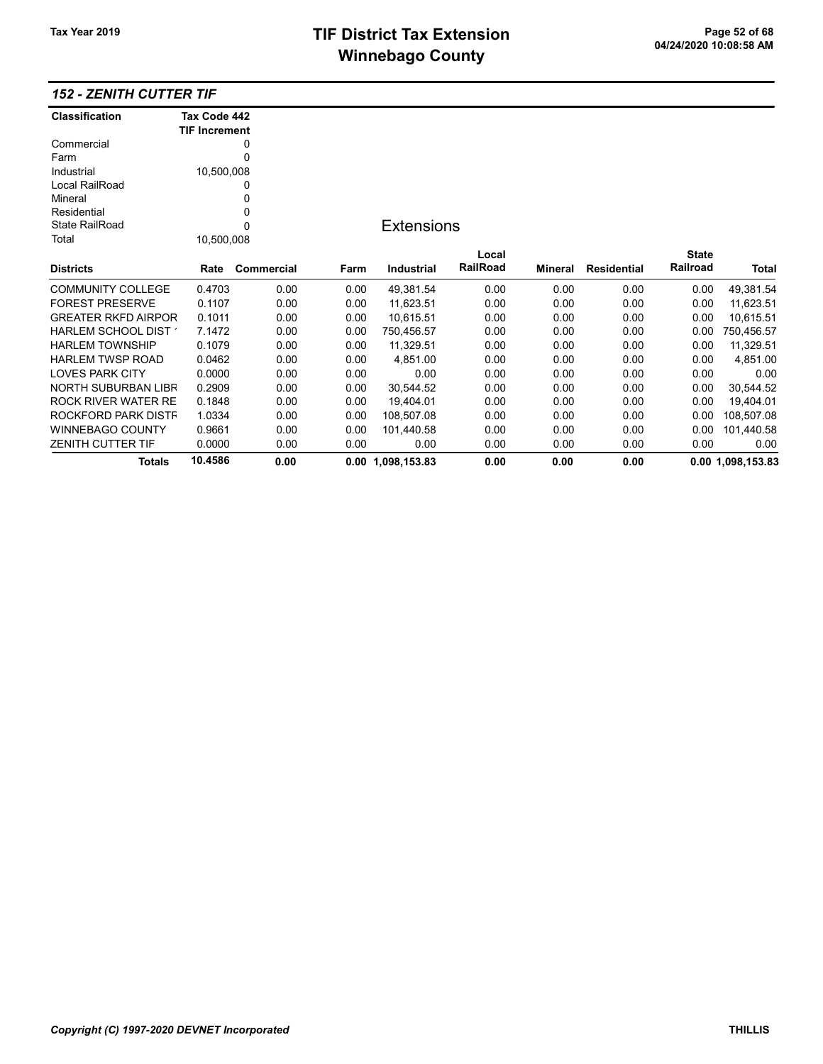## 152 - ZENITH CUTTER TIF

| <b>Classification</b>      | Tax Code 442         |            |      |                   |          |         |                    |                 |                   |
|----------------------------|----------------------|------------|------|-------------------|----------|---------|--------------------|-----------------|-------------------|
|                            | <b>TIF Increment</b> |            |      |                   |          |         |                    |                 |                   |
| Commercial                 |                      | 0          |      |                   |          |         |                    |                 |                   |
| Farm                       |                      | 0          |      |                   |          |         |                    |                 |                   |
| Industrial                 | 10,500,008           |            |      |                   |          |         |                    |                 |                   |
| Local RailRoad             |                      | 0          |      |                   |          |         |                    |                 |                   |
| Mineral                    |                      | 0          |      |                   |          |         |                    |                 |                   |
| Residential                |                      | 0          |      |                   |          |         |                    |                 |                   |
| <b>State RailRoad</b>      |                      | 0          |      | <b>Extensions</b> |          |         |                    |                 |                   |
| Total                      | 10,500,008           |            |      |                   |          |         |                    |                 |                   |
|                            |                      |            |      |                   | Local    |         |                    | <b>State</b>    |                   |
| <b>Districts</b>           | Rate                 | Commercial | Farm | Industrial        | RailRoad | Mineral | <b>Residential</b> | <b>Railroad</b> | <b>Total</b>      |
| <b>COMMUNITY COLLEGE</b>   | 0.4703               | 0.00       | 0.00 | 49,381.54         | 0.00     | 0.00    | 0.00               | 0.00            | 49,381.54         |
| <b>FOREST PRESERVE</b>     | 0.1107               | 0.00       | 0.00 | 11,623.51         | 0.00     | 0.00    | 0.00               | 0.00            | 11,623.51         |
| <b>GREATER RKFD AIRPOR</b> | 0.1011               | 0.00       | 0.00 | 10,615.51         | 0.00     | 0.00    | 0.00               | 0.00            | 10,615.51         |
| HARLEM SCHOOL DIST 1       | 7.1472               | 0.00       | 0.00 | 750,456.57        | 0.00     | 0.00    | 0.00               | 0.00            | 750,456.57        |
| <b>HARLEM TOWNSHIP</b>     | 0.1079               | 0.00       | 0.00 | 11,329.51         | 0.00     | 0.00    | 0.00               | 0.00            | 11,329.51         |
| <b>HARLEM TWSP ROAD</b>    | 0.0462               | 0.00       | 0.00 | 4,851.00          | 0.00     | 0.00    | 0.00               | 0.00            | 4,851.00          |
| <b>LOVES PARK CITY</b>     | 0.0000               | 0.00       | 0.00 | 0.00              | 0.00     | 0.00    | 0.00               | 0.00            | 0.00              |
| <b>NORTH SUBURBAN LIBR</b> | 0.2909               | 0.00       | 0.00 | 30,544.52         | 0.00     | 0.00    | 0.00               | 0.00            | 30,544.52         |
| ROCK RIVER WATER RE        | 0.1848               | 0.00       | 0.00 | 19,404.01         | 0.00     | 0.00    | 0.00               | 0.00            | 19,404.01         |
| ROCKFORD PARK DISTF        | 1.0334               | 0.00       | 0.00 | 108,507.08        | 0.00     | 0.00    | 0.00               | 0.00            | 108,507.08        |
| <b>WINNEBAGO COUNTY</b>    | 0.9661               | 0.00       | 0.00 | 101,440.58        | 0.00     | 0.00    | 0.00               | 0.00            | 101,440.58        |
| <b>ZENITH CUTTER TIF</b>   | 0.0000               | 0.00       | 0.00 | 0.00              | 0.00     | 0.00    | 0.00               | 0.00            | 0.00              |
| Totals                     | 10.4586              | 0.00       |      | 0.00 1,098,153.83 | 0.00     | 0.00    | 0.00               |                 | 0.00 1,098,153.83 |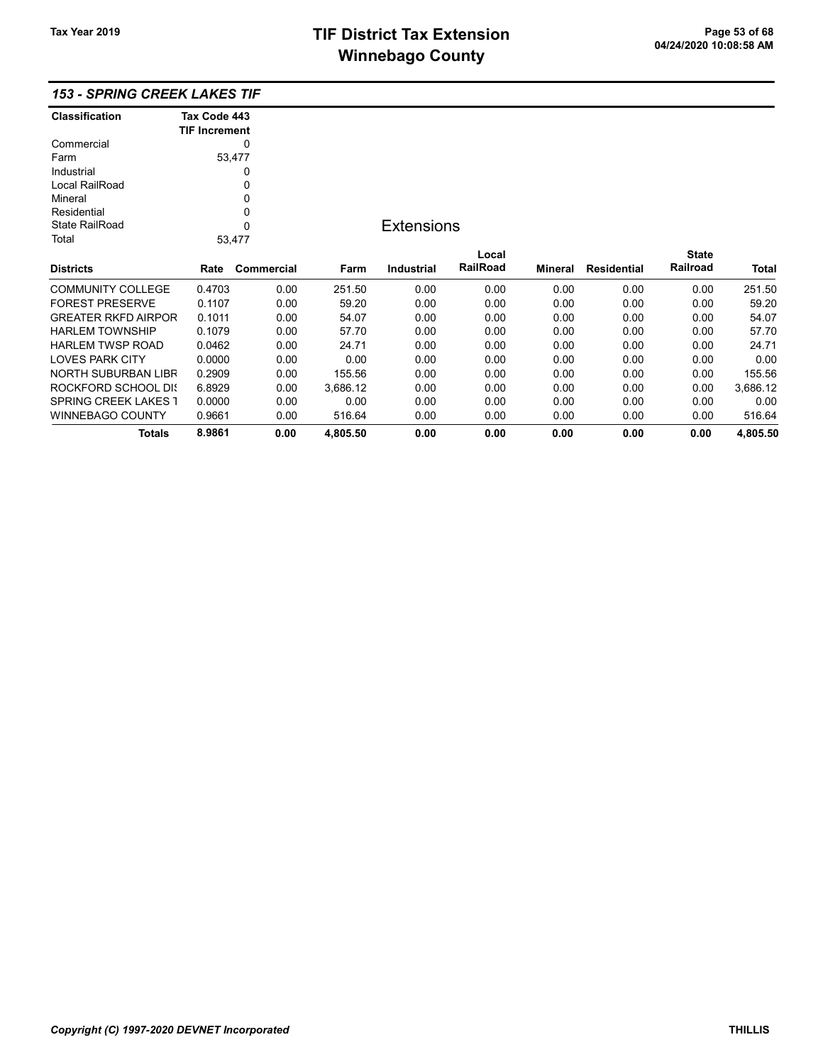# TIF District Tax Extension<br>
M's sales and Octube 11 of the Page 53 of 68<br>
M's sales and Octube 11 of the Page 2011 of the Page 2011 of the Page 11 of the Page 11 of the Page 11 of the **Winnebago County**

|  | <b>153 - SPRING CREEK LAKES TIF</b> |  |  |  |
|--|-------------------------------------|--|--|--|
|--|-------------------------------------|--|--|--|

| <b>Classification</b> | Tax Code 443         |  |
|-----------------------|----------------------|--|
|                       | <b>TIF Increment</b> |  |
| Commercial            |                      |  |
| Farm                  | 53,477               |  |
| Industrial            |                      |  |
| Local RailRoad        | 0                    |  |
| Mineral               | ŋ                    |  |
| Residential           | ŋ                    |  |
| State RailRoad        | U                    |  |
| Total                 | 53.477               |  |
|                       |                      |  |

## **Extensions**

| <b>Districts</b>            | Rate   | Commercial | Farm     | <b>Industrial</b> | Local<br><b>RailRoad</b> | Mineral | <b>Residential</b> | <b>State</b><br>Railroad | <b>Total</b> |
|-----------------------------|--------|------------|----------|-------------------|--------------------------|---------|--------------------|--------------------------|--------------|
| <b>COMMUNITY COLLEGE</b>    | 0.4703 | 0.00       | 251.50   | 0.00              | 0.00                     | 0.00    | 0.00               | 0.00                     | 251.50       |
| <b>FOREST PRESERVE</b>      | 0.1107 | 0.00       | 59.20    | 0.00              | 0.00                     | 0.00    | 0.00               | 0.00                     | 59.20        |
| <b>GREATER RKFD AIRPOR</b>  | 0.1011 | 0.00       | 54.07    | 0.00              | 0.00                     | 0.00    | 0.00               | 0.00                     | 54.07        |
| <b>HARLEM TOWNSHIP</b>      | 0.1079 | 0.00       | 57.70    | 0.00              | 0.00                     | 0.00    | 0.00               | 0.00                     | 57.70        |
| <b>HARLEM TWSP ROAD</b>     | 0.0462 | 0.00       | 24.71    | 0.00              | 0.00                     | 0.00    | 0.00               | 0.00                     | 24.71        |
| <b>LOVES PARK CITY</b>      | 0.0000 | 0.00       | 0.00     | 0.00              | 0.00                     | 0.00    | 0.00               | 0.00                     | 0.00         |
| NORTH SUBURBAN LIBR         | 0.2909 | 0.00       | 155.56   | 0.00              | 0.00                     | 0.00    | 0.00               | 0.00                     | 155.56       |
| ROCKFORD SCHOOL DIS         | 6.8929 | 0.00       | 3.686.12 | 0.00              | 0.00                     | 0.00    | 0.00               | 0.00                     | 3.686.12     |
| <b>SPRING CREEK LAKES 1</b> | 0.0000 | 0.00       | 0.00     | 0.00              | 0.00                     | 0.00    | 0.00               | 0.00                     | 0.00         |
| WINNEBAGO COUNTY            | 0.9661 | 0.00       | 516.64   | 0.00              | 0.00                     | 0.00    | 0.00               | 0.00                     | 516.64       |
| Totals                      | 8.9861 | 0.00       | 4.805.50 | 0.00              | 0.00                     | 0.00    | 0.00               | 0.00                     | 4.805.50     |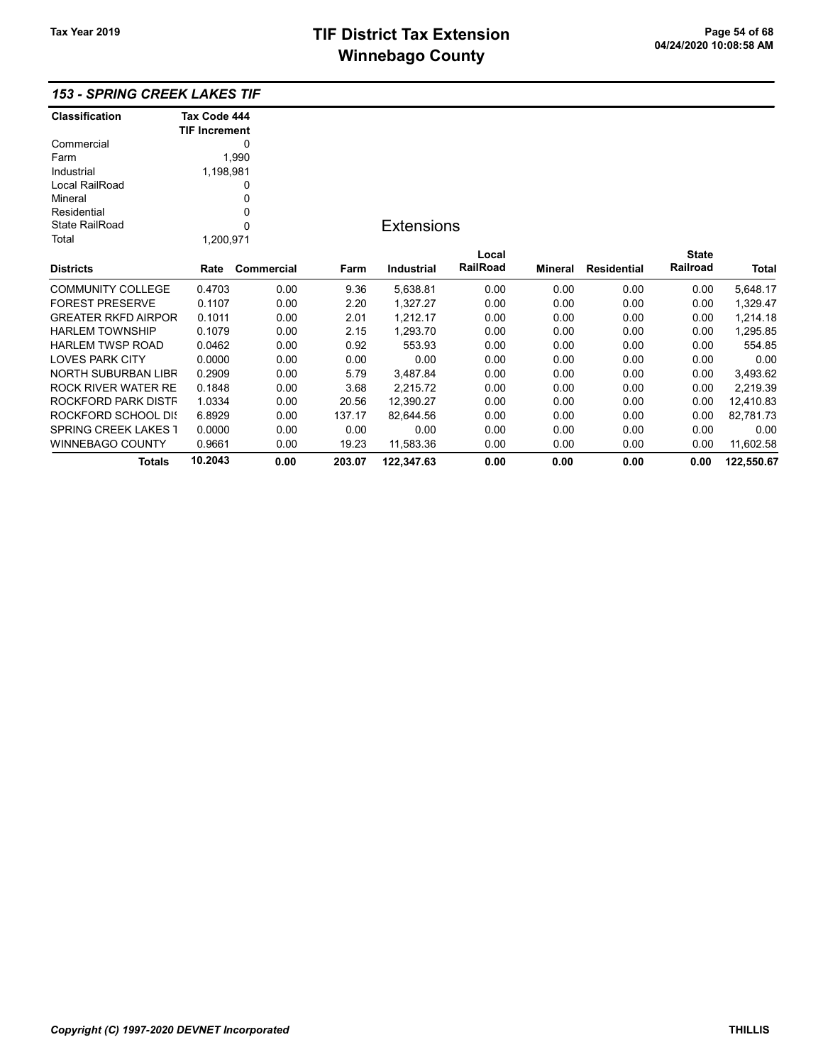## 153 - SPRING CREEK LAKES TIF

| <b>Classification</b>       | Tax Code 444         |            |        |                   |          |                |                    |              |            |
|-----------------------------|----------------------|------------|--------|-------------------|----------|----------------|--------------------|--------------|------------|
|                             | <b>TIF Increment</b> |            |        |                   |          |                |                    |              |            |
| Commercial                  |                      | 0          |        |                   |          |                |                    |              |            |
| Farm                        |                      | 1,990      |        |                   |          |                |                    |              |            |
| Industrial                  | 1,198,981            |            |        |                   |          |                |                    |              |            |
| Local RailRoad              |                      | 0          |        |                   |          |                |                    |              |            |
| Mineral                     |                      | 0          |        |                   |          |                |                    |              |            |
| Residential                 |                      | 0          |        |                   |          |                |                    |              |            |
| <b>State RailRoad</b>       |                      | $\Omega$   |        | <b>Extensions</b> |          |                |                    |              |            |
| Total                       | 1,200,971            |            |        |                   |          |                |                    |              |            |
|                             |                      |            |        |                   | Local    |                |                    | <b>State</b> |            |
| <b>Districts</b>            | Rate                 | Commercial | Farm   | <b>Industrial</b> | RailRoad | <b>Mineral</b> | <b>Residential</b> | Railroad     | Total      |
| <b>COMMUNITY COLLEGE</b>    | 0.4703               | 0.00       | 9.36   | 5,638.81          | 0.00     | 0.00           | 0.00               | 0.00         | 5,648.17   |
| <b>FOREST PRESERVE</b>      | 0.1107               | 0.00       | 2.20   | 1,327.27          | 0.00     | 0.00           | 0.00               | 0.00         | 1,329.47   |
| <b>GREATER RKFD AIRPOR</b>  | 0.1011               | 0.00       | 2.01   | 1,212.17          | 0.00     | 0.00           | 0.00               | 0.00         | 1,214.18   |
| <b>HARLEM TOWNSHIP</b>      | 0.1079               | 0.00       | 2.15   | 1,293.70          | 0.00     | 0.00           | 0.00               | 0.00         | 1,295.85   |
| <b>HARLEM TWSP ROAD</b>     | 0.0462               | 0.00       | 0.92   | 553.93            | 0.00     | 0.00           | 0.00               | 0.00         | 554.85     |
| <b>LOVES PARK CITY</b>      | 0.0000               | 0.00       | 0.00   | 0.00              | 0.00     | 0.00           | 0.00               | 0.00         | 0.00       |
| <b>NORTH SUBURBAN LIBR</b>  | 0.2909               | 0.00       | 5.79   | 3,487.84          | 0.00     | 0.00           | 0.00               | 0.00         | 3,493.62   |
| <b>ROCK RIVER WATER RE</b>  | 0.1848               | 0.00       | 3.68   | 2,215.72          | 0.00     | 0.00           | 0.00               | 0.00         | 2,219.39   |
| ROCKFORD PARK DISTF         | 1.0334               | 0.00       | 20.56  | 12,390.27         | 0.00     | 0.00           | 0.00               | 0.00         | 12,410.83  |
| ROCKFORD SCHOOL DIS         | 6.8929               | 0.00       | 137.17 | 82,644.56         | 0.00     | 0.00           | 0.00               | 0.00         | 82,781.73  |
| <b>SPRING CREEK LAKES 1</b> | 0.0000               | 0.00       | 0.00   | 0.00              | 0.00     | 0.00           | 0.00               | 0.00         | 0.00       |
| <b>WINNEBAGO COUNTY</b>     | 0.9661               | 0.00       | 19.23  | 11,583.36         | 0.00     | 0.00           | 0.00               | 0.00         | 11,602.58  |
| Totals                      | 10.2043              | 0.00       | 203.07 | 122,347.63        | 0.00     | 0.00           | 0.00               | 0.00         | 122,550.67 |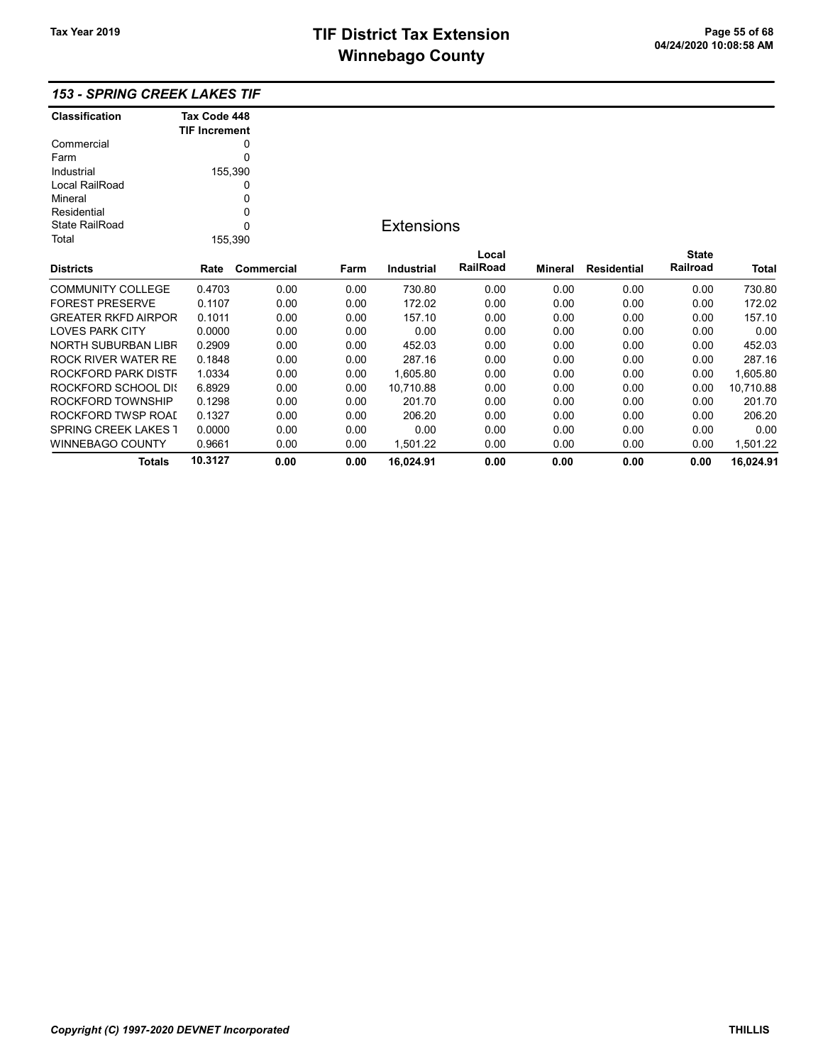## 153 - SPRING CREEK LAKES TIF

| Classification              | Tax Code 448         |            |      |                   |                 |                |                    |              |              |
|-----------------------------|----------------------|------------|------|-------------------|-----------------|----------------|--------------------|--------------|--------------|
|                             | <b>TIF Increment</b> |            |      |                   |                 |                |                    |              |              |
| Commercial                  |                      | 0          |      |                   |                 |                |                    |              |              |
| Farm                        |                      | 0          |      |                   |                 |                |                    |              |              |
| Industrial                  |                      | 155,390    |      |                   |                 |                |                    |              |              |
| Local RailRoad              |                      | 0          |      |                   |                 |                |                    |              |              |
| Mineral                     |                      | 0          |      |                   |                 |                |                    |              |              |
| Residential                 |                      | 0          |      |                   |                 |                |                    |              |              |
| <b>State RailRoad</b>       | 0                    |            |      | <b>Extensions</b> |                 |                |                    |              |              |
| Total                       |                      | 155,390    |      |                   |                 |                |                    |              |              |
|                             |                      |            |      |                   | Local           |                |                    | <b>State</b> |              |
| <b>Districts</b>            | Rate                 | Commercial | Farm | <b>Industrial</b> | <b>RailRoad</b> | <b>Mineral</b> | <b>Residential</b> | Railroad     | <b>Total</b> |
| <b>COMMUNITY COLLEGE</b>    | 0.4703               | 0.00       | 0.00 | 730.80            | 0.00            | 0.00           | 0.00               | 0.00         | 730.80       |
| <b>FOREST PRESERVE</b>      | 0.1107               | 0.00       | 0.00 | 172.02            | 0.00            | 0.00           | 0.00               | 0.00         | 172.02       |
| <b>GREATER RKFD AIRPOR</b>  | 0.1011               | 0.00       | 0.00 | 157.10            | 0.00            | 0.00           | 0.00               | 0.00         | 157.10       |
| <b>LOVES PARK CITY</b>      | 0.0000               | 0.00       | 0.00 | 0.00              | 0.00            | 0.00           | 0.00               | 0.00         | 0.00         |
| NORTH SUBURBAN LIBR         | 0.2909               | 0.00       | 0.00 | 452.03            | 0.00            | 0.00           | 0.00               | 0.00         | 452.03       |
| ROCK RIVER WATER RE         | 0.1848               | 0.00       | 0.00 | 287.16            | 0.00            | 0.00           | 0.00               | 0.00         | 287.16       |
| ROCKFORD PARK DISTF         | 1.0334               | 0.00       | 0.00 | 1,605.80          | 0.00            | 0.00           | 0.00               | 0.00         | 1,605.80     |
| ROCKFORD SCHOOL DIS         | 6.8929               | 0.00       | 0.00 | 10,710.88         | 0.00            | 0.00           | 0.00               | 0.00         | 10,710.88    |
| ROCKFORD TOWNSHIP           | 0.1298               | 0.00       | 0.00 | 201.70            | 0.00            | 0.00           | 0.00               | 0.00         | 201.70       |
| ROCKFORD TWSP ROAD          | 0.1327               | 0.00       | 0.00 | 206.20            | 0.00            | 0.00           | 0.00               | 0.00         | 206.20       |
| <b>SPRING CREEK LAKES 1</b> | 0.0000               | 0.00       | 0.00 | 0.00              | 0.00            | 0.00           | 0.00               | 0.00         | 0.00         |
| WINNEBAGO COUNTY            | 0.9661               | 0.00       | 0.00 | 1,501.22          | 0.00            | 0.00           | 0.00               | 0.00         | 1,501.22     |
| <b>Totals</b>               | 10.3127              | 0.00       | 0.00 | 16,024.91         | 0.00            | 0.00           | 0.00               | 0.00         | 16,024.91    |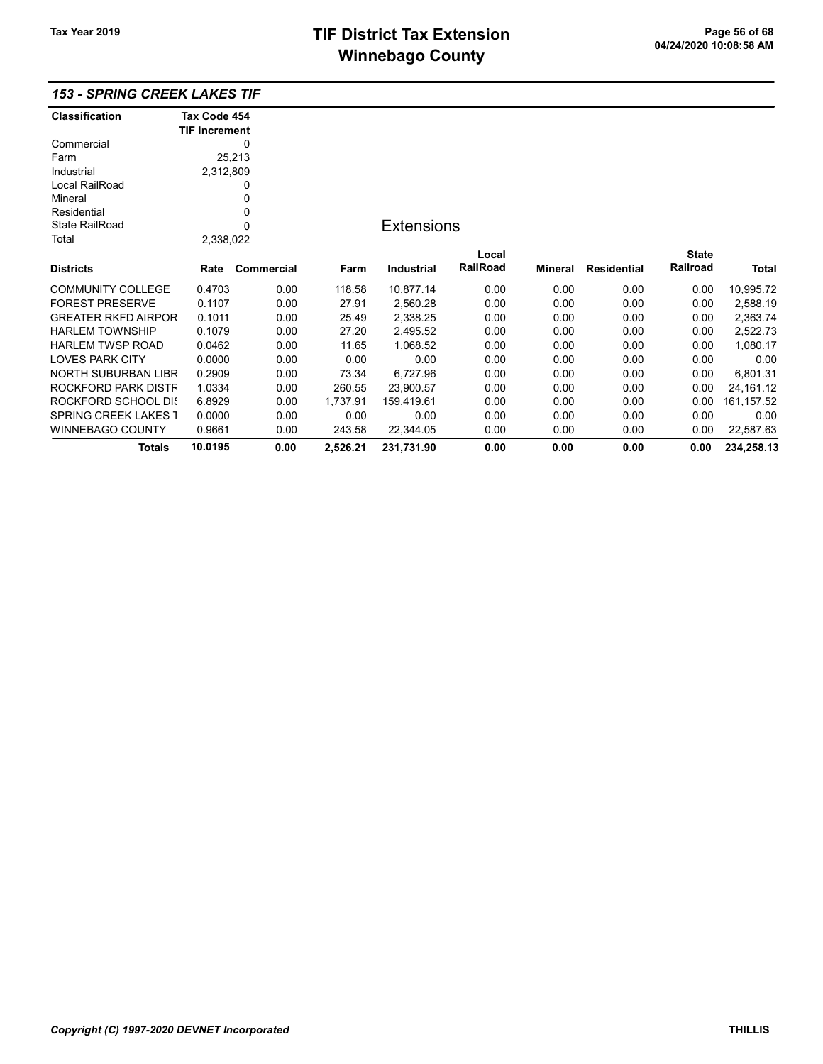## 153 - SPRING CREEK LAKES TIF

| Classification              | Tax Code 454         |            |          |                   |          |                |                    |              |             |
|-----------------------------|----------------------|------------|----------|-------------------|----------|----------------|--------------------|--------------|-------------|
|                             | <b>TIF Increment</b> |            |          |                   |          |                |                    |              |             |
| Commercial                  |                      | 0          |          |                   |          |                |                    |              |             |
| Farm                        |                      | 25,213     |          |                   |          |                |                    |              |             |
| Industrial                  | 2,312,809            |            |          |                   |          |                |                    |              |             |
| Local RailRoad              |                      | 0          |          |                   |          |                |                    |              |             |
| Mineral                     |                      | 0          |          |                   |          |                |                    |              |             |
| Residential                 |                      | 0          |          |                   |          |                |                    |              |             |
| <b>State RailRoad</b>       |                      | 0          |          | <b>Extensions</b> |          |                |                    |              |             |
| Total                       | 2,338,022            |            |          |                   |          |                |                    |              |             |
|                             |                      |            |          |                   | Local    |                |                    | <b>State</b> |             |
| <b>Districts</b>            | Rate                 | Commercial | Farm     | Industrial        | RailRoad | <b>Mineral</b> | <b>Residential</b> | Railroad     | Total       |
| <b>COMMUNITY COLLEGE</b>    | 0.4703               | 0.00       | 118.58   | 10,877.14         | 0.00     | 0.00           | 0.00               | 0.00         | 10,995.72   |
| <b>FOREST PRESERVE</b>      | 0.1107               | 0.00       | 27.91    | 2,560.28          | 0.00     | 0.00           | 0.00               | 0.00         | 2,588.19    |
| <b>GREATER RKFD AIRPOR</b>  | 0.1011               | 0.00       | 25.49    | 2,338.25          | 0.00     | 0.00           | 0.00               | 0.00         | 2,363.74    |
| <b>HARLEM TOWNSHIP</b>      | 0.1079               | 0.00       | 27.20    | 2,495.52          | 0.00     | 0.00           | 0.00               | 0.00         | 2,522.73    |
| <b>HARLEM TWSP ROAD</b>     | 0.0462               | 0.00       | 11.65    | 1,068.52          | 0.00     | 0.00           | 0.00               | 0.00         | 1,080.17    |
| <b>LOVES PARK CITY</b>      | 0.0000               | 0.00       | 0.00     | 0.00              | 0.00     | 0.00           | 0.00               | 0.00         | 0.00        |
| NORTH SUBURBAN LIBR         | 0.2909               | 0.00       | 73.34    | 6,727.96          | 0.00     | 0.00           | 0.00               | 0.00         | 6,801.31    |
| ROCKFORD PARK DISTF         | 1.0334               | 0.00       | 260.55   | 23,900.57         | 0.00     | 0.00           | 0.00               | 0.00         | 24, 161. 12 |
| <b>ROCKFORD SCHOOL DIS</b>  | 6.8929               | 0.00       | 1,737.91 | 159,419.61        | 0.00     | 0.00           | 0.00               | 0.00         | 161, 157.52 |
| <b>SPRING CREEK LAKES 1</b> | 0.0000               | 0.00       | 0.00     | 0.00              | 0.00     | 0.00           | 0.00               | 0.00         | 0.00        |
| WINNEBAGO COUNTY            | 0.9661               | 0.00       | 243.58   | 22,344.05         | 0.00     | 0.00           | 0.00               | 0.00         | 22,587.63   |
| <b>Totals</b>               | 10.0195              | 0.00       | 2,526.21 | 231,731.90        | 0.00     | 0.00           | 0.00               | 0.00         | 234,258.13  |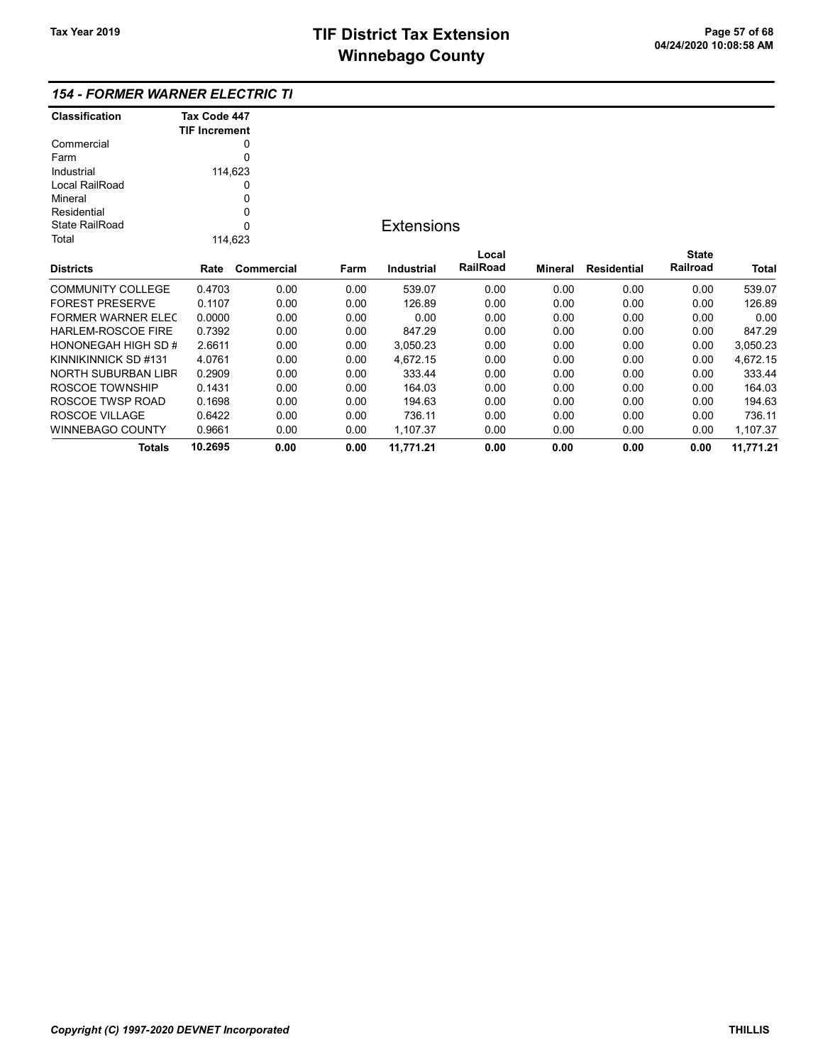## 154 - FORMER WARNER ELECTRIC TIF

| <b>Classification</b>      | Tax Code 447         |             |      |                   |          |         |                    |              |           |
|----------------------------|----------------------|-------------|------|-------------------|----------|---------|--------------------|--------------|-----------|
|                            | <b>TIF Increment</b> |             |      |                   |          |         |                    |              |           |
| Commercial                 |                      | 0           |      |                   |          |         |                    |              |           |
| Farm                       |                      | $\Omega$    |      |                   |          |         |                    |              |           |
| Industrial                 |                      | 114,623     |      |                   |          |         |                    |              |           |
| Local RailRoad             |                      | 0           |      |                   |          |         |                    |              |           |
| Mineral                    |                      | 0           |      |                   |          |         |                    |              |           |
| Residential                |                      | 0           |      |                   |          |         |                    |              |           |
| <b>State RailRoad</b>      |                      | $\mathbf 0$ |      | <b>Extensions</b> |          |         |                    |              |           |
| Total                      |                      | 114,623     |      |                   |          |         |                    |              |           |
|                            |                      |             |      |                   | Local    |         |                    | <b>State</b> |           |
| <b>Districts</b>           | Rate                 | Commercial  | Farm | <b>Industrial</b> | RailRoad | Mineral | <b>Residential</b> | Railroad     | Total     |
| <b>COMMUNITY COLLEGE</b>   | 0.4703               | 0.00        | 0.00 | 539.07            | 0.00     | 0.00    | 0.00               | 0.00         | 539.07    |
| <b>FOREST PRESERVE</b>     | 0.1107               | 0.00        | 0.00 | 126.89            | 0.00     | 0.00    | 0.00               | 0.00         | 126.89    |
| FORMER WARNER ELEC         | 0.0000               | 0.00        | 0.00 | 0.00              | 0.00     | 0.00    | 0.00               | 0.00         | 0.00      |
| <b>HARLEM-ROSCOE FIRE</b>  | 0.7392               | 0.00        | 0.00 | 847.29            | 0.00     | 0.00    | 0.00               | 0.00         | 847.29    |
| <b>HONONEGAH HIGH SD #</b> | 2.6611               | 0.00        | 0.00 | 3,050.23          | 0.00     | 0.00    | 0.00               | 0.00         | 3,050.23  |
| KINNIKINNICK SD #131       | 4.0761               | 0.00        | 0.00 | 4,672.15          | 0.00     | 0.00    | 0.00               | 0.00         | 4,672.15  |
| NORTH SUBURBAN LIBR        | 0.2909               | 0.00        | 0.00 | 333.44            | 0.00     | 0.00    | 0.00               | 0.00         | 333.44    |
| ROSCOE TOWNSHIP            | 0.1431               | 0.00        | 0.00 | 164.03            | 0.00     | 0.00    | 0.00               | 0.00         | 164.03    |
| ROSCOE TWSP ROAD           | 0.1698               | 0.00        | 0.00 | 194.63            | 0.00     | 0.00    | 0.00               | 0.00         | 194.63    |
| ROSCOE VILLAGE             | 0.6422               | 0.00        | 0.00 | 736.11            | 0.00     | 0.00    | 0.00               | 0.00         | 736.11    |
| <b>WINNEBAGO COUNTY</b>    | 0.9661               | 0.00        | 0.00 | 1,107.37          | 0.00     | 0.00    | 0.00               | 0.00         | 1,107.37  |
| Totals                     | 10.2695              | 0.00        | 0.00 | 11,771.21         | 0.00     | 0.00    | 0.00               | 0.00         | 11,771.21 |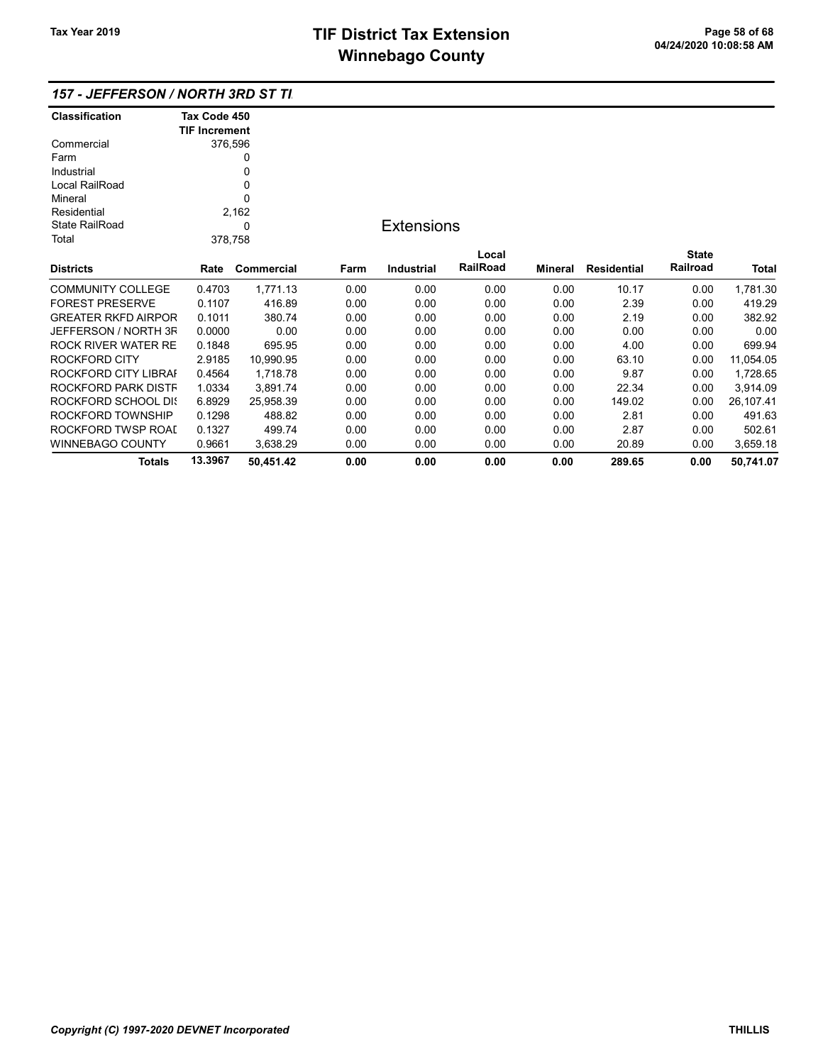| <b>Classification</b>      | Tax Code 450         |              |      |                   |          |         |                    |              |           |
|----------------------------|----------------------|--------------|------|-------------------|----------|---------|--------------------|--------------|-----------|
|                            | <b>TIF Increment</b> |              |      |                   |          |         |                    |              |           |
| Commercial                 |                      | 376,596      |      |                   |          |         |                    |              |           |
| Farm                       |                      | 0            |      |                   |          |         |                    |              |           |
| Industrial                 |                      | 0            |      |                   |          |         |                    |              |           |
| Local RailRoad             | 0                    |              |      |                   |          |         |                    |              |           |
| Mineral                    |                      | $\mathbf{0}$ |      |                   |          |         |                    |              |           |
| Residential                |                      | 2,162        |      |                   |          |         |                    |              |           |
| <b>State RailRoad</b><br>0 |                      |              |      | <b>Extensions</b> |          |         |                    |              |           |
| Total                      |                      | 378,758      |      |                   |          |         |                    |              |           |
|                            |                      |              |      |                   | Local    |         |                    | <b>State</b> |           |
| <b>Districts</b>           | Rate                 | Commercial   | Farm | <b>Industrial</b> | RailRoad | Mineral | <b>Residential</b> | Railroad     | Total     |
| <b>COMMUNITY COLLEGE</b>   | 0.4703               | 1,771.13     | 0.00 | 0.00              | 0.00     | 0.00    | 10.17              | 0.00         | 1,781.30  |
| <b>FOREST PRESERVE</b>     | 0.1107               | 416.89       | 0.00 | 0.00              | 0.00     | 0.00    | 2.39               | 0.00         | 419.29    |
| <b>GREATER RKFD AIRPOR</b> | 0.1011               | 380.74       | 0.00 | 0.00              | 0.00     | 0.00    | 2.19               | 0.00         | 382.92    |
| JEFFERSON / NORTH 3F       | 0.0000               | 0.00         | 0.00 | 0.00              | 0.00     | 0.00    | 0.00               | 0.00         | 0.00      |
| ROCK RIVER WATER RE        | 0.1848               | 695.95       | 0.00 | 0.00              | 0.00     | 0.00    | 4.00               | 0.00         | 699.94    |
| <b>ROCKFORD CITY</b>       | 2.9185               | 10,990.95    | 0.00 | 0.00              | 0.00     | 0.00    | 63.10              | 0.00         | 11,054.05 |
| ROCKFORD CITY LIBRAI       | 0.4564               | 1,718.78     | 0.00 | 0.00              | 0.00     | 0.00    | 9.87               | 0.00         | 1,728.65  |
| ROCKFORD PARK DISTF        | 1.0334               | 3,891.74     | 0.00 | 0.00              | 0.00     | 0.00    | 22.34              | 0.00         | 3,914.09  |
| ROCKFORD SCHOOL DIS        | 6.8929               | 25,958.39    | 0.00 | 0.00              | 0.00     | 0.00    | 149.02             | 0.00         | 26,107.41 |
| ROCKFORD TOWNSHIP          | 0.1298               | 488.82       | 0.00 | 0.00              | 0.00     | 0.00    | 2.81               | 0.00         | 491.63    |
| ROCKFORD TWSP ROAI         | 0.1327               | 499.74       | 0.00 | 0.00              | 0.00     | 0.00    | 2.87               | 0.00         | 502.61    |
| WINNEBAGO COUNTY           | 0.9661               | 3,638.29     | 0.00 | 0.00              | 0.00     | 0.00    | 20.89              | 0.00         | 3,659.18  |
| <b>Totals</b>              | 13.3967              | 50,451.42    | 0.00 | 0.00              | 0.00     | 0.00    | 289.65             | 0.00         | 50,741.07 |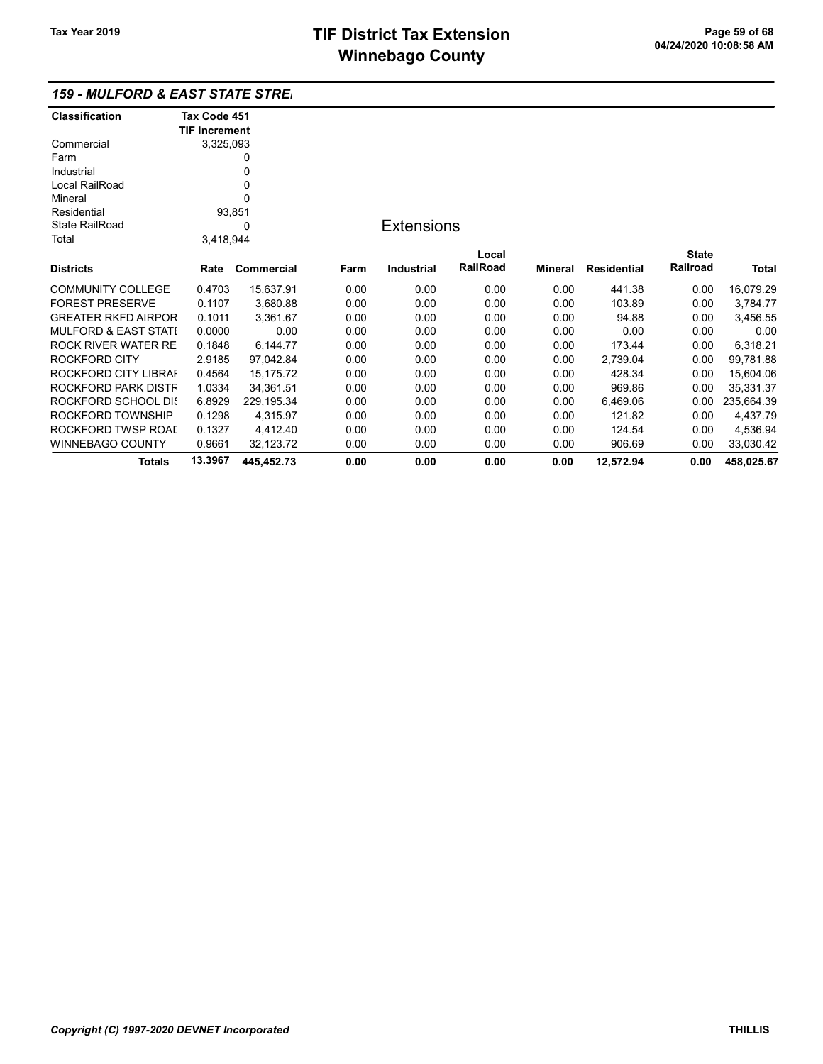| <b>159 - MULFORD &amp; EAST STATE STREI</b> |  |
|---------------------------------------------|--|
|---------------------------------------------|--|

| <b>Classification</b>  | Tax Code 451         |             |      |                   |          |         |                    |              |              |
|------------------------|----------------------|-------------|------|-------------------|----------|---------|--------------------|--------------|--------------|
|                        | <b>TIF Increment</b> |             |      |                   |          |         |                    |              |              |
| Commercial             | 3,325,093            |             |      |                   |          |         |                    |              |              |
| Farm                   |                      | 0           |      |                   |          |         |                    |              |              |
| Industrial             |                      |             |      |                   |          |         |                    |              |              |
| Local RailRoad         | 0                    |             |      |                   |          |         |                    |              |              |
| Mineral                |                      |             |      |                   |          |         |                    |              |              |
| Residential            | 93,851               |             |      |                   |          |         |                    |              |              |
| <b>State RailRoad</b>  |                      | 0           |      | <b>Extensions</b> |          |         |                    |              |              |
| Total                  | 3,418,944            |             |      |                   |          |         |                    |              |              |
|                        |                      |             |      |                   | Local    |         |                    | <b>State</b> |              |
| Districts              | Rate                 | Commercial  | Farm | <b>Industrial</b> | RailRoad | Mineral | <b>Residential</b> | Railroad     | <b>Total</b> |
| COMMUNITY COLLEGE      | 0.4703               | 15,637.91   | 0.00 | 0.00              | 0.00     | 0.00    | 441.38             | 0.00         | 16,079.29    |
| <b>FOREST PRESERVE</b> | 0.1107               | 3,680.88    | 0.00 | 0.00              | 0.00     | 0.00    | 103.89             | 0.00         | 3,784.77     |
| GREATER RKFD AIRPOR    | 0.1011               | 3,361.67    | 0.00 | 0.00              | 0.00     | 0.00    | 94.88              | 0.00         | 3,456.55     |
| MULFORD & EAST STATI   | 0.0000               | 0.00        | 0.00 | 0.00              | 0.00     | 0.00    | 0.00               | 0.00         | 0.00         |
| ROCK RIVER WATER RE    | 0.1848               | 6,144.77    | 0.00 | 0.00              | 0.00     | 0.00    | 173.44             | 0.00         | 6,318.21     |
| ROCKFORD CITY          | 2.9185               | 97,042.84   | 0.00 | 0.00              | 0.00     | 0.00    | 2,739.04           | 0.00         | 99,781.88    |
| ROCKFORD CITY LIBRAI   | 0.4564               | 15,175.72   | 0.00 | 0.00              | 0.00     | 0.00    | 428.34             | 0.00         | 15,604.06    |
| ROCKFORD PARK DISTF    | 1.0334               | 34,361.51   | 0.00 | 0.00              | 0.00     | 0.00    | 969.86             | 0.00         | 35,331.37    |
| ROCKFORD SCHOOL DI{    | 6.8929               | 229, 195.34 | 0.00 | 0.00              | 0.00     | 0.00    | 6,469.06           | 0.00         | 235,664.39   |
| ROCKFORD TOWNSHIP      | 0.1298               | 4,315.97    | 0.00 | 0.00              | 0.00     | 0.00    | 121.82             | 0.00         | 4,437.79     |
| ROCKFORD TWSP ROAI     | 0.1327               | 4,412.40    | 0.00 | 0.00              | 0.00     | 0.00    | 124.54             | 0.00         | 4,536.94     |
| WINNEBAGO COUNTY       | 0.9661               | 32,123.72   | 0.00 | 0.00              | 0.00     | 0.00    | 906.69             | 0.00         | 33,030.42    |
| Totals                 | 13.3967              | 445.452.73  | 0.00 | 0.00              | 0.00     | 0.00    | 12,572.94          | 0.00         | 458,025.67   |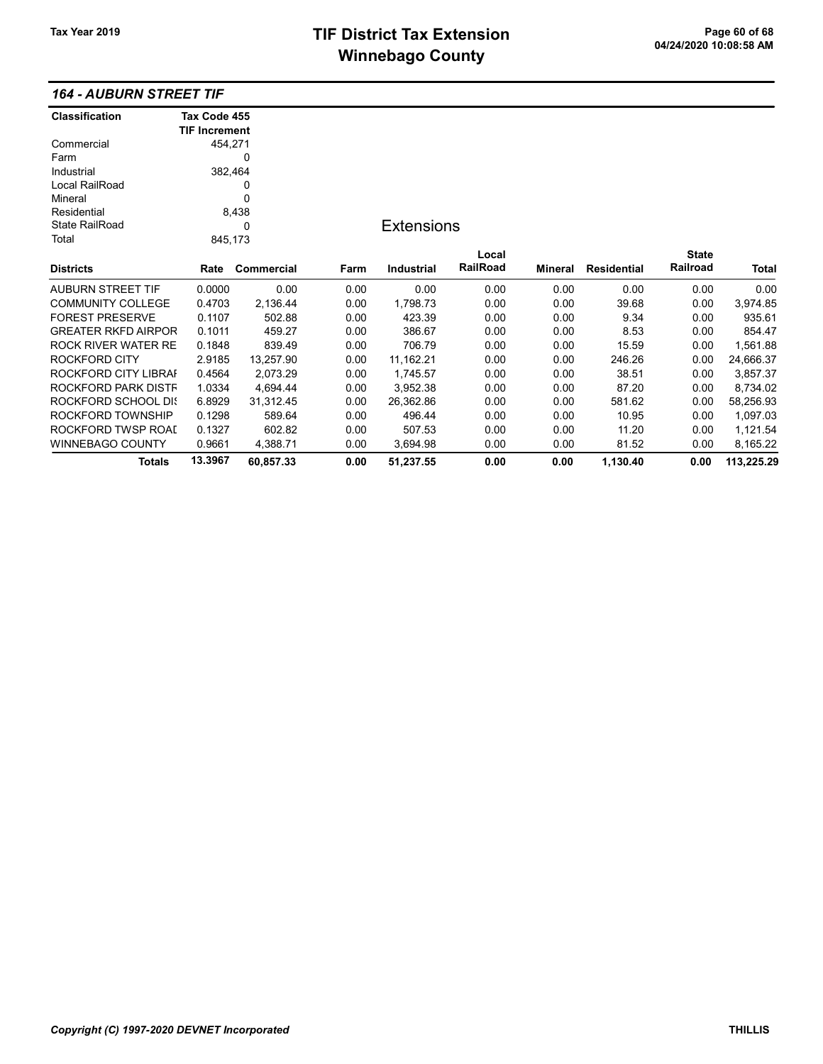|  |  |  | <b>164 - AUBURN STREET TIF</b> |  |
|--|--|--|--------------------------------|--|
|--|--|--|--------------------------------|--|

| <b>Classification</b>      | Tax Code 455         |            |      |                   |                 |         |                    |              |              |
|----------------------------|----------------------|------------|------|-------------------|-----------------|---------|--------------------|--------------|--------------|
|                            | <b>TIF Increment</b> |            |      |                   |                 |         |                    |              |              |
| Commercial                 | 454,271              |            |      |                   |                 |         |                    |              |              |
| Farm                       |                      | 0          |      |                   |                 |         |                    |              |              |
| Industrial                 | 382,464              |            |      |                   |                 |         |                    |              |              |
| Local RailRoad             | 0<br>0               |            |      |                   |                 |         |                    |              |              |
| Mineral                    |                      |            |      |                   |                 |         |                    |              |              |
| Residential                |                      | 8,438      |      |                   |                 |         |                    |              |              |
| <b>State RailRoad</b>      | 0                    |            |      | <b>Extensions</b> |                 |         |                    |              |              |
| Total                      | 845,173              |            |      |                   |                 |         |                    |              |              |
|                            |                      |            |      |                   | Local           |         |                    | <b>State</b> |              |
| <b>Districts</b>           | Rate                 | Commercial | Farm | Industrial        | <b>RailRoad</b> | Mineral | <b>Residential</b> | Railroad     | <b>Total</b> |
| <b>AUBURN STREET TIF</b>   | 0.0000               | 0.00       | 0.00 | 0.00              | 0.00            | 0.00    | 0.00               | 0.00         | 0.00         |
| <b>COMMUNITY COLLEGE</b>   | 0.4703               | 2,136.44   | 0.00 | 1,798.73          | 0.00            | 0.00    | 39.68              | 0.00         | 3,974.85     |
| <b>FOREST PRESERVE</b>     | 0.1107               | 502.88     | 0.00 | 423.39            | 0.00            | 0.00    | 9.34               | 0.00         | 935.61       |
| <b>GREATER RKFD AIRPOR</b> | 0.1011               | 459.27     | 0.00 | 386.67            | 0.00            | 0.00    | 8.53               | 0.00         | 854.47       |
| <b>ROCK RIVER WATER RE</b> | 0.1848               | 839.49     | 0.00 | 706.79            | 0.00            | 0.00    | 15.59              | 0.00         | 1,561.88     |
| ROCKFORD CITY              | 2.9185               | 13,257.90  | 0.00 | 11,162.21         | 0.00            | 0.00    | 246.26             | 0.00         | 24,666.37    |
| ROCKFORD CITY LIBRAI       | 0.4564               | 2,073.29   | 0.00 | 1,745.57          | 0.00            | 0.00    | 38.51              | 0.00         | 3,857.37     |
| ROCKFORD PARK DISTF        | 1.0334               | 4,694.44   | 0.00 | 3,952.38          | 0.00            | 0.00    | 87.20              | 0.00         | 8,734.02     |
| ROCKFORD SCHOOL DIS        | 6.8929               | 31,312.45  | 0.00 | 26,362.86         | 0.00            | 0.00    | 581.62             | 0.00         | 58,256.93    |
| ROCKFORD TOWNSHIP          | 0.1298               | 589.64     | 0.00 | 496.44            | 0.00            | 0.00    | 10.95              | 0.00         | 1,097.03     |
| ROCKFORD TWSP ROAI         | 0.1327               | 602.82     | 0.00 | 507.53            | 0.00            | 0.00    | 11.20              | 0.00         | 1,121.54     |
| WINNEBAGO COUNTY           | 0.9661               | 4,388.71   | 0.00 | 3,694.98          | 0.00            | 0.00    | 81.52              | 0.00         | 8,165.22     |
| <b>Totals</b>              | 13.3967              | 60,857.33  | 0.00 | 51,237.55         | 0.00            | 0.00    | 1,130.40           | 0.00         | 113,225.29   |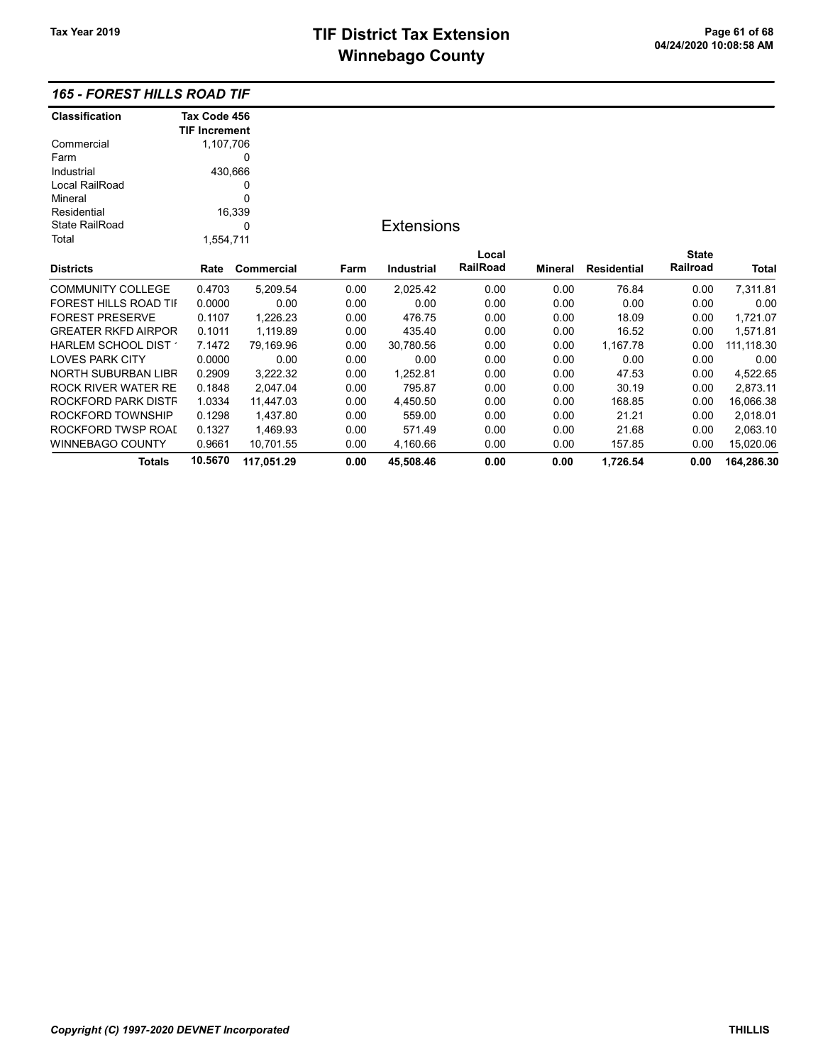## 165 - FOREST HILLS ROAD TIF

| <b>Classification</b>      | Tax Code 456         |            |      |                   |          |         |                    |              |            |
|----------------------------|----------------------|------------|------|-------------------|----------|---------|--------------------|--------------|------------|
|                            | <b>TIF Increment</b> |            |      |                   |          |         |                    |              |            |
| Commercial                 | 1,107,706            |            |      |                   |          |         |                    |              |            |
| Farm                       |                      | 0          |      |                   |          |         |                    |              |            |
| Industrial                 | 430,666              |            |      |                   |          |         |                    |              |            |
| Local RailRoad             | 0                    |            |      |                   |          |         |                    |              |            |
| Mineral                    |                      | 0          |      |                   |          |         |                    |              |            |
| Residential                |                      | 16,339     |      |                   |          |         |                    |              |            |
| <b>State RailRoad</b>      | 0                    |            |      | <b>Extensions</b> |          |         |                    |              |            |
| Total                      | 1,554,711            |            |      |                   |          |         |                    |              |            |
|                            |                      |            |      |                   | Local    |         |                    | <b>State</b> |            |
| <b>Districts</b>           | Rate                 | Commercial | Farm | Industrial        | RailRoad | Mineral | <b>Residential</b> | Railroad     | Total      |
| <b>COMMUNITY COLLEGE</b>   | 0.4703               | 5,209.54   | 0.00 | 2,025.42          | 0.00     | 0.00    | 76.84              | 0.00         | 7,311.81   |
| FOREST HILLS ROAD TII      | 0.0000               | 0.00       | 0.00 | 0.00              | 0.00     | 0.00    | 0.00               | 0.00         | 0.00       |
| <b>FOREST PRESERVE</b>     | 0.1107               | 1,226.23   | 0.00 | 476.75            | 0.00     | 0.00    | 18.09              | 0.00         | 1,721.07   |
| <b>GREATER RKFD AIRPOR</b> | 0.1011               | 1,119.89   | 0.00 | 435.40            | 0.00     | 0.00    | 16.52              | 0.00         | 1,571.81   |
| HARLEM SCHOOL DIST         | 7.1472               | 79,169.96  | 0.00 | 30,780.56         | 0.00     | 0.00    | 1,167.78           | 0.00         | 111,118.30 |
| <b>LOVES PARK CITY</b>     | 0.0000               | 0.00       | 0.00 | 0.00              | 0.00     | 0.00    | 0.00               | 0.00         | 0.00       |
| NORTH SUBURBAN LIBR        | 0.2909               | 3,222.32   | 0.00 | 1,252.81          | 0.00     | 0.00    | 47.53              | 0.00         | 4,522.65   |
| <b>ROCK RIVER WATER RE</b> | 0.1848               | 2,047.04   | 0.00 | 795.87            | 0.00     | 0.00    | 30.19              | 0.00         | 2,873.11   |
| ROCKFORD PARK DISTF        | 1.0334               | 11,447.03  | 0.00 | 4,450.50          | 0.00     | 0.00    | 168.85             | 0.00         | 16,066.38  |
| ROCKFORD TOWNSHIP          | 0.1298               | 1,437.80   | 0.00 | 559.00            | 0.00     | 0.00    | 21.21              | 0.00         | 2,018.01   |
| ROCKFORD TWSP ROAI         | 0.1327               | 1,469.93   | 0.00 | 571.49            | 0.00     | 0.00    | 21.68              | 0.00         | 2,063.10   |
| <b>WINNEBAGO COUNTY</b>    | 0.9661               | 10,701.55  | 0.00 | 4,160.66          | 0.00     | 0.00    | 157.85             | 0.00         | 15,020.06  |
| <b>Totals</b>              | 10.5670              | 117,051.29 | 0.00 | 45,508.46         | 0.00     | 0.00    | 1,726.54           | 0.00         | 164,286.30 |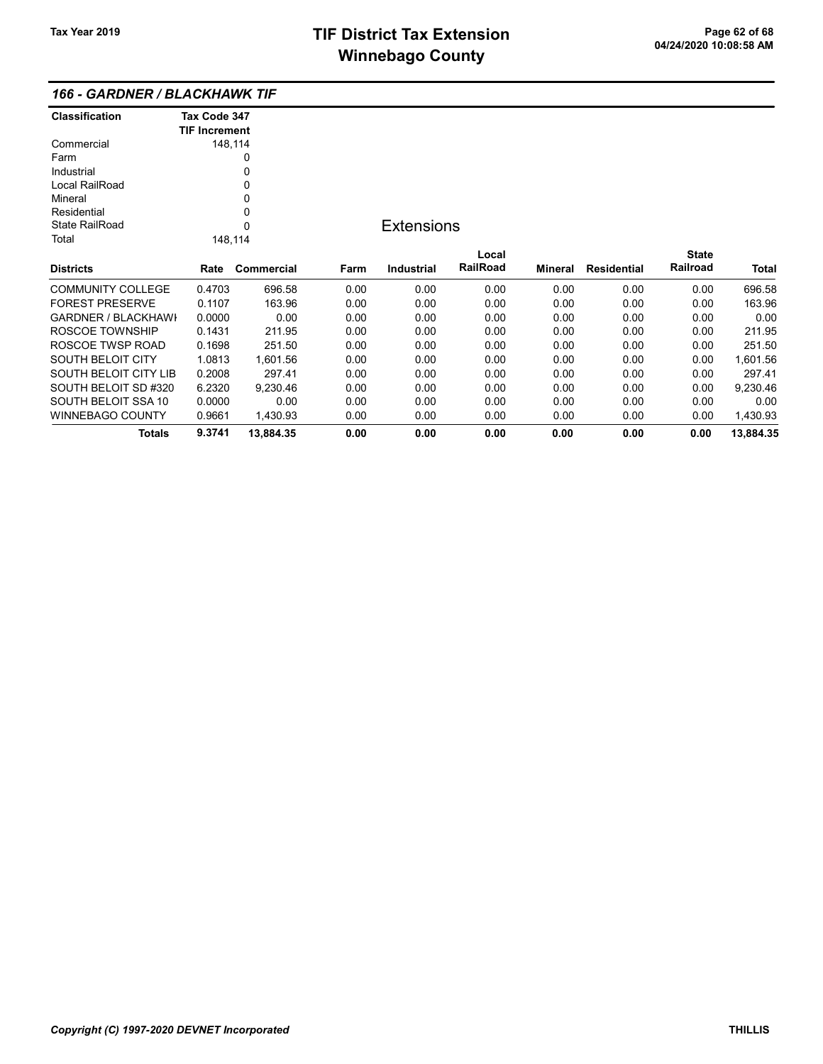| 166 - GARDNER / BLACKHAWK TIF |  |
|-------------------------------|--|
|-------------------------------|--|

| Classification             | Tax Code 347         |            |      |                   |          |                |                    |              |           |
|----------------------------|----------------------|------------|------|-------------------|----------|----------------|--------------------|--------------|-----------|
|                            | <b>TIF Increment</b> |            |      |                   |          |                |                    |              |           |
| Commercial                 |                      | 148,114    |      |                   |          |                |                    |              |           |
| Farm                       |                      | 0          |      |                   |          |                |                    |              |           |
| Industrial                 |                      | 0          |      |                   |          |                |                    |              |           |
| Local RailRoad             |                      | 0          |      |                   |          |                |                    |              |           |
| Mineral                    |                      | 0          |      |                   |          |                |                    |              |           |
| Residential                |                      | 0          |      |                   |          |                |                    |              |           |
| <b>State RailRoad</b><br>0 |                      |            |      | <b>Extensions</b> |          |                |                    |              |           |
| Total                      |                      | 148,114    |      |                   |          |                |                    |              |           |
|                            |                      |            |      |                   | Local    |                |                    | <b>State</b> |           |
| Districts                  | Rate                 | Commercial | Farm | <b>Industrial</b> | RailRoad | <b>Mineral</b> | <b>Residential</b> | Railroad     | Total     |
| COMMUNITY COLLEGE          | 0.4703               | 696.58     | 0.00 | 0.00              | 0.00     | 0.00           | 0.00               | 0.00         | 696.58    |
| FOREST PRESERVE            | 0.1107               | 163.96     | 0.00 | 0.00              | 0.00     | 0.00           | 0.00               | 0.00         | 163.96    |
| GARDNER / BLACKHAWI        | 0.0000               | 0.00       | 0.00 | 0.00              | 0.00     | 0.00           | 0.00               | 0.00         | 0.00      |
| ROSCOE TOWNSHIP            | 0.1431               | 211.95     | 0.00 | 0.00              | 0.00     | 0.00           | 0.00               | 0.00         | 211.95    |
| ROSCOE TWSP ROAD           | 0.1698               | 251.50     | 0.00 | 0.00              | 0.00     | 0.00           | 0.00               | 0.00         | 251.50    |
| SOUTH BELOIT CITY          | 1.0813               | 1,601.56   | 0.00 | 0.00              | 0.00     | 0.00           | 0.00               | 0.00         | 1,601.56  |
| SOUTH BELOIT CITY LIB      | 0.2008               | 297.41     | 0.00 | 0.00              | 0.00     | 0.00           | 0.00               | 0.00         | 297.41    |
| SOUTH BELOIT SD #320       | 6.2320               | 9,230.46   | 0.00 | 0.00              | 0.00     | 0.00           | 0.00               | 0.00         | 9,230.46  |
| SOUTH BELOIT SSA 10        | 0.0000               | 0.00       | 0.00 | 0.00              | 0.00     | 0.00           | 0.00               | 0.00         | 0.00      |
| WINNEBAGO COUNTY           | 0.9661               | 1,430.93   | 0.00 | 0.00              | 0.00     | 0.00           | 0.00               | 0.00         | 1,430.93  |
| <b>Totals</b>              | 9.3741               | 13,884.35  | 0.00 | 0.00              | 0.00     | 0.00           | 0.00               | 0.00         | 13,884.35 |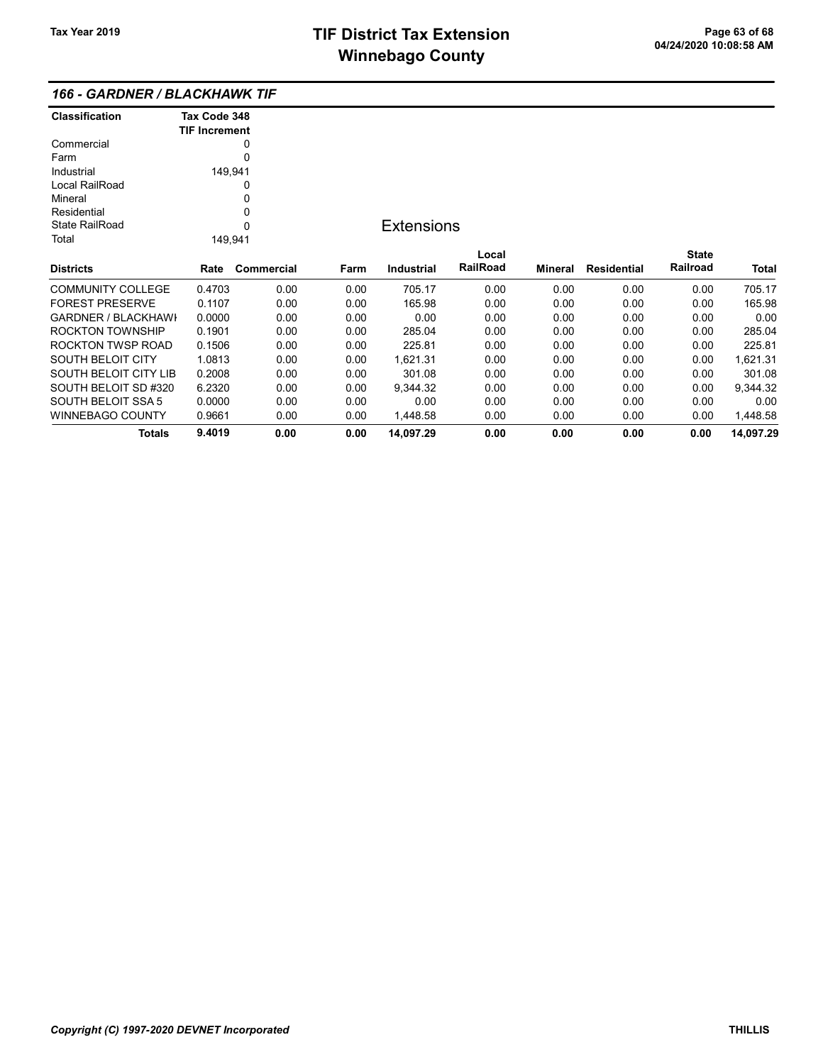### 166 - GARDNER / BLACKHAWK TIF

| <b>Classification</b>      | Tax Code 348         |            |      |                   |                 |                |                    |              |           |
|----------------------------|----------------------|------------|------|-------------------|-----------------|----------------|--------------------|--------------|-----------|
|                            | <b>TIF Increment</b> |            |      |                   |                 |                |                    |              |           |
| Commercial                 |                      | 0          |      |                   |                 |                |                    |              |           |
| Farm                       | 0                    |            |      |                   |                 |                |                    |              |           |
| Industrial                 | 149,941              |            |      |                   |                 |                |                    |              |           |
| Local RailRoad             |                      | 0          |      |                   |                 |                |                    |              |           |
| Mineral                    |                      | 0          |      |                   |                 |                |                    |              |           |
| Residential                |                      | 0          |      |                   |                 |                |                    |              |           |
| <b>State RailRoad</b>      |                      | 0          |      | <b>Extensions</b> |                 |                |                    |              |           |
| Total                      | 149,941              |            |      |                   |                 |                |                    |              |           |
|                            |                      |            |      |                   | Local           |                |                    | <b>State</b> |           |
| <b>Districts</b>           | Rate                 | Commercial | Farm | <b>Industrial</b> | <b>RailRoad</b> | <b>Mineral</b> | <b>Residential</b> | Railroad     | Total     |
| <b>COMMUNITY COLLEGE</b>   | 0.4703               | 0.00       | 0.00 | 705.17            | 0.00            | 0.00           | 0.00               | 0.00         | 705.17    |
| <b>FOREST PRESERVE</b>     | 0.1107               | 0.00       | 0.00 | 165.98            | 0.00            | 0.00           | 0.00               | 0.00         | 165.98    |
| <b>GARDNER / BLACKHAWI</b> | 0.0000               | 0.00       | 0.00 | 0.00              | 0.00            | 0.00           | 0.00               | 0.00         | 0.00      |
| ROCKTON TOWNSHIP           | 0.1901               | 0.00       | 0.00 | 285.04            | 0.00            | 0.00           | 0.00               | 0.00         | 285.04    |
| ROCKTON TWSP ROAD          | 0.1506               | 0.00       | 0.00 | 225.81            | 0.00            | 0.00           | 0.00               | 0.00         | 225.81    |
| SOUTH BELOIT CITY          | 1.0813               | 0.00       | 0.00 | 1,621.31          | 0.00            | 0.00           | 0.00               | 0.00         | 1,621.31  |
| SOUTH BELOIT CITY LIB      | 0.2008               | 0.00       | 0.00 | 301.08            | 0.00            | 0.00           | 0.00               | 0.00         | 301.08    |
| SOUTH BELOIT SD #320       | 6.2320               | 0.00       | 0.00 | 9,344.32          | 0.00            | 0.00           | 0.00               | 0.00         | 9,344.32  |
| SOUTH BELOIT SSA 5         | 0.0000               | 0.00       | 0.00 | 0.00              | 0.00            | 0.00           | 0.00               | 0.00         | 0.00      |
| WINNEBAGO COUNTY           | 0.9661               | 0.00       | 0.00 | 1,448.58          | 0.00            | 0.00           | 0.00               | 0.00         | 1,448.58  |
| <b>Totals</b>              | 9.4019               | 0.00       | 0.00 | 14,097.29         | 0.00            | 0.00           | 0.00               | 0.00         | 14,097.29 |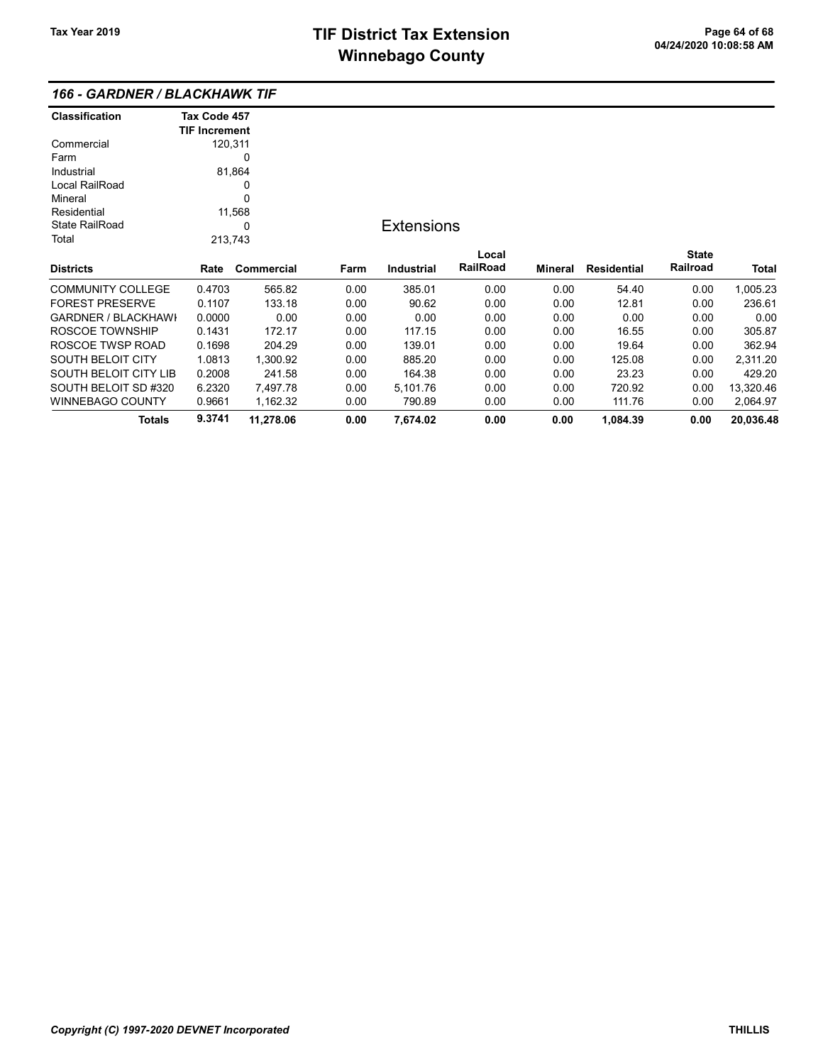## 166 - GARDNER / BLACKHAWK TIF

| <b>Classification</b>      | Tax Code 457         |            |      |                   |          |         |                    |              |           |
|----------------------------|----------------------|------------|------|-------------------|----------|---------|--------------------|--------------|-----------|
|                            | <b>TIF Increment</b> |            |      |                   |          |         |                    |              |           |
| Commercial                 | 120,311              |            |      |                   |          |         |                    |              |           |
| Farm                       |                      | 0          |      |                   |          |         |                    |              |           |
| Industrial                 |                      | 81,864     |      |                   |          |         |                    |              |           |
| Local RailRoad             |                      | 0          |      |                   |          |         |                    |              |           |
| Mineral                    |                      | 0          |      |                   |          |         |                    |              |           |
| Residential                |                      | 11,568     |      |                   |          |         |                    |              |           |
| <b>State RailRoad</b>      |                      | 0          |      | <b>Extensions</b> |          |         |                    |              |           |
| Total                      | 213,743              |            |      |                   |          |         |                    |              |           |
|                            |                      |            |      |                   | Local    |         |                    | <b>State</b> |           |
| <b>Districts</b>           | Rate                 | Commercial | Farm | <b>Industrial</b> | RailRoad | Mineral | <b>Residential</b> | Railroad     | Total     |
| <b>COMMUNITY COLLEGE</b>   | 0.4703               | 565.82     | 0.00 | 385.01            | 0.00     | 0.00    | 54.40              | 0.00         | 1,005.23  |
| <b>FOREST PRESERVE</b>     | 0.1107               | 133.18     | 0.00 | 90.62             | 0.00     | 0.00    | 12.81              | 0.00         | 236.61    |
| <b>GARDNER / BLACKHAWI</b> | 0.0000               | 0.00       | 0.00 | 0.00              | 0.00     | 0.00    | 0.00               | 0.00         | 0.00      |
| ROSCOE TOWNSHIP            | 0.1431               | 172.17     | 0.00 | 117.15            | 0.00     | 0.00    | 16.55              | 0.00         | 305.87    |
| ROSCOE TWSP ROAD           | 0.1698               | 204.29     | 0.00 | 139.01            | 0.00     | 0.00    | 19.64              | 0.00         | 362.94    |
| SOUTH BELOIT CITY          | 1.0813               | 1,300.92   | 0.00 | 885.20            | 0.00     | 0.00    | 125.08             | 0.00         | 2,311.20  |
| SOUTH BELOIT CITY LIB      | 0.2008               | 241.58     | 0.00 | 164.38            | 0.00     | 0.00    | 23.23              | 0.00         | 429.20    |
| SOUTH BELOIT SD #320       | 6.2320               | 7,497.78   | 0.00 | 5,101.76          | 0.00     | 0.00    | 720.92             | 0.00         | 13,320.46 |
| <b>WINNEBAGO COUNTY</b>    | 0.9661               | 1,162.32   | 0.00 | 790.89            | 0.00     | 0.00    | 111.76             | 0.00         | 2,064.97  |
| <b>Totals</b>              | 9.3741               | 11,278.06  | 0.00 | 7,674.02          | 0.00     | 0.00    | 1,084.39           | 0.00         | 20,036.48 |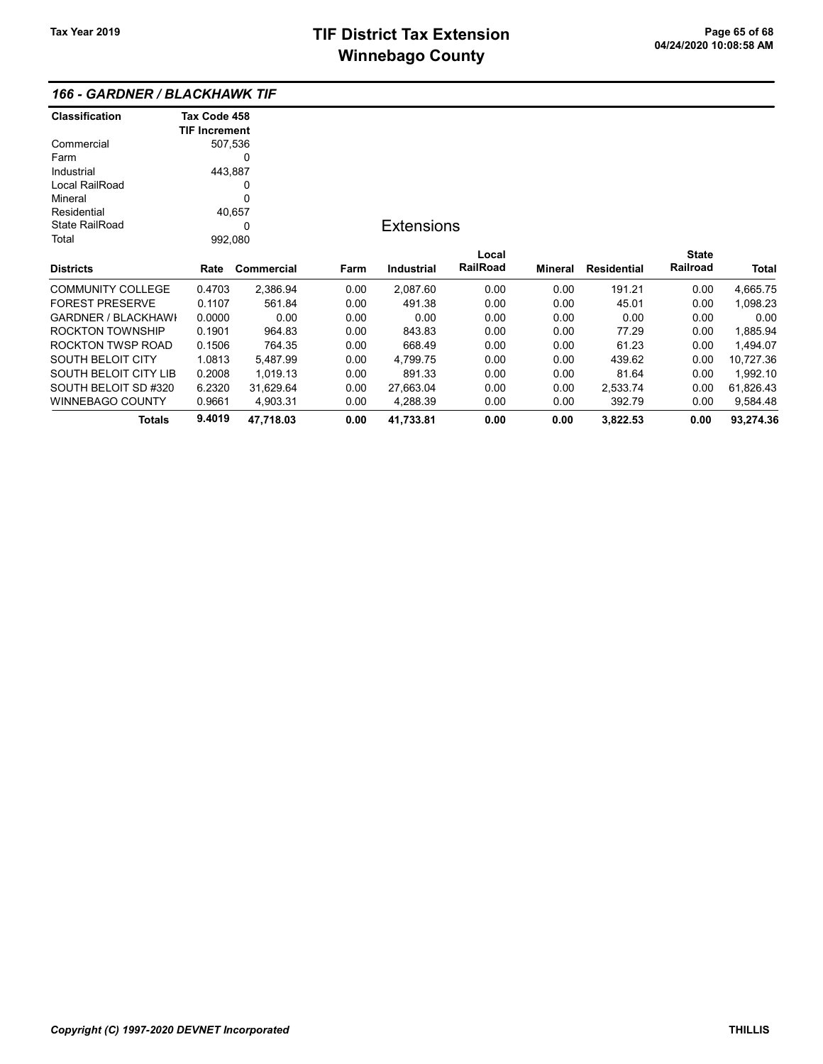## 166 - GARDNER / BLACKHAWK TIF

| <b>Classification</b>      | Tax Code 458         |                   |      |                   |                 |         |                    |              |           |
|----------------------------|----------------------|-------------------|------|-------------------|-----------------|---------|--------------------|--------------|-----------|
|                            | <b>TIF Increment</b> |                   |      |                   |                 |         |                    |              |           |
| Commercial                 |                      | 507,536           |      |                   |                 |         |                    |              |           |
| Farm                       | 0                    |                   |      |                   |                 |         |                    |              |           |
| Industrial                 | 443,887              |                   |      |                   |                 |         |                    |              |           |
| Local RailRoad             |                      | 0                 |      |                   |                 |         |                    |              |           |
| Mineral                    |                      | 0                 |      |                   |                 |         |                    |              |           |
| Residential                |                      | 40,657            |      |                   |                 |         |                    |              |           |
| <b>State RailRoad</b>      |                      | <b>Extensions</b> |      |                   |                 |         |                    |              |           |
| Total                      | 992,080              |                   |      |                   |                 |         |                    |              |           |
|                            |                      |                   |      |                   | Local           |         |                    | <b>State</b> |           |
| <b>Districts</b>           | Rate                 | Commercial        | Farm | <b>Industrial</b> | <b>RailRoad</b> | Mineral | <b>Residential</b> | Railroad     | Total     |
| <b>COMMUNITY COLLEGE</b>   | 0.4703               | 2,386.94          | 0.00 | 2,087.60          | 0.00            | 0.00    | 191.21             | 0.00         | 4,665.75  |
| <b>FOREST PRESERVE</b>     | 0.1107               | 561.84            | 0.00 | 491.38            | 0.00            | 0.00    | 45.01              | 0.00         | 1,098.23  |
| <b>GARDNER / BLACKHAWI</b> | 0.0000               | 0.00              | 0.00 | 0.00              | 0.00            | 0.00    | 0.00               | 0.00         | 0.00      |
| <b>ROCKTON TOWNSHIP</b>    | 0.1901               | 964.83            | 0.00 | 843.83            | 0.00            | 0.00    | 77.29              | 0.00         | 1,885.94  |
| <b>ROCKTON TWSP ROAD</b>   | 0.1506               | 764.35            | 0.00 | 668.49            | 0.00            | 0.00    | 61.23              | 0.00         | 1,494.07  |
| <b>SOUTH BELOIT CITY</b>   | 1.0813               | 5,487.99          | 0.00 | 4,799.75          | 0.00            | 0.00    | 439.62             | 0.00         | 10,727.36 |
| SOUTH BELOIT CITY LIB      | 0.2008               | 1,019.13          | 0.00 | 891.33            | 0.00            | 0.00    | 81.64              | 0.00         | 1,992.10  |
| SOUTH BELOIT SD #320       | 6.2320               | 31,629.64         | 0.00 | 27,663.04         | 0.00            | 0.00    | 2,533.74           | 0.00         | 61,826.43 |
| <b>WINNEBAGO COUNTY</b>    | 0.9661               | 4,903.31          | 0.00 | 4,288.39          | 0.00            | 0.00    | 392.79             | 0.00         | 9,584.48  |
| Totals                     | 9.4019               | 47,718.03         | 0.00 | 41,733.81         | 0.00            | 0.00    | 3,822.53           | 0.00         | 93,274.36 |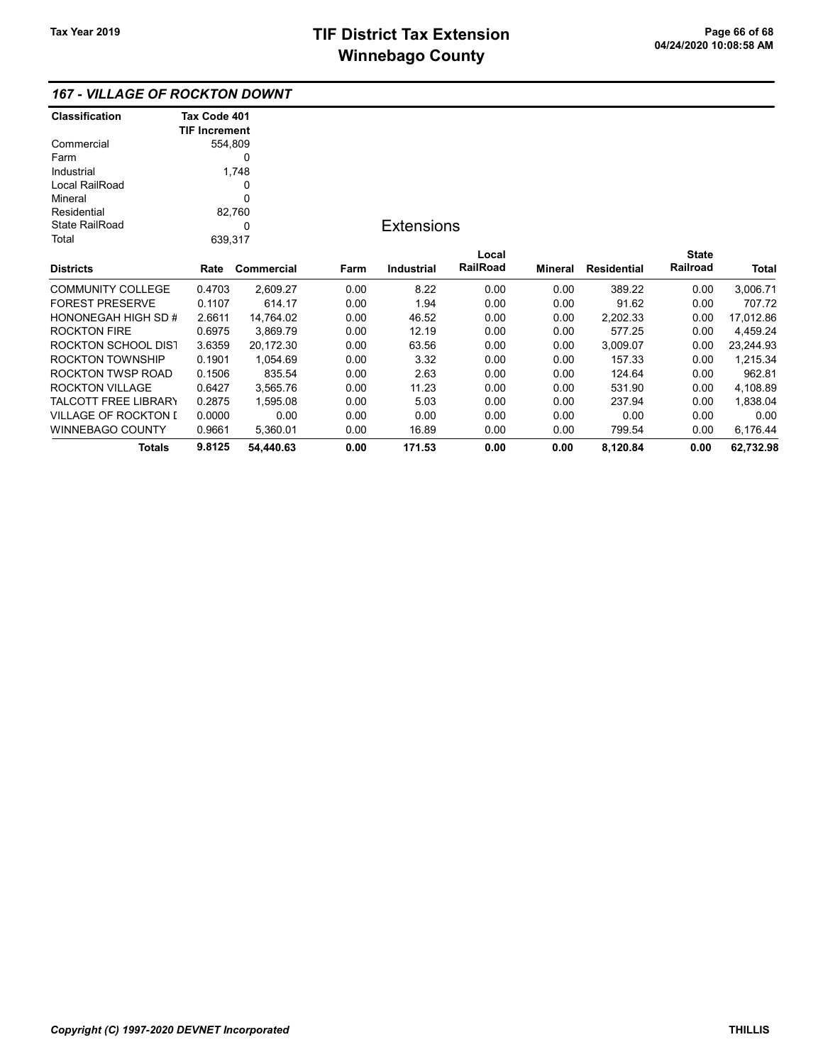| <b>Classification</b>  | Tax Code 401         |            |      |                   |          |                |                    |              |           |
|------------------------|----------------------|------------|------|-------------------|----------|----------------|--------------------|--------------|-----------|
|                        | <b>TIF Increment</b> |            |      |                   |          |                |                    |              |           |
| Commercial             |                      | 554,809    |      |                   |          |                |                    |              |           |
| Farm                   | 0                    |            |      |                   |          |                |                    |              |           |
| Industrial             |                      | 1,748      |      |                   |          |                |                    |              |           |
| Local RailRoad         |                      | 0          |      |                   |          |                |                    |              |           |
| Mineral                |                      | 0          |      |                   |          |                |                    |              |           |
| Residential            |                      | 82,760     |      |                   |          |                |                    |              |           |
| <b>State RailRoad</b>  |                      | 0          |      | <b>Extensions</b> |          |                |                    |              |           |
| Total                  | 639,317              |            |      |                   |          |                |                    |              |           |
|                        |                      |            |      |                   | Local    |                |                    | <b>State</b> |           |
| <b>Districts</b>       | Rate                 | Commercial | Farm | <b>Industrial</b> | RailRoad | <b>Mineral</b> | <b>Residential</b> | Railroad     | Total     |
| COMMUNITY COLLEGE      | 0.4703               | 2,609.27   | 0.00 | 8.22              | 0.00     | 0.00           | 389.22             | 0.00         | 3,006.71  |
| <b>FOREST PRESERVE</b> | 0.1107               | 614.17     | 0.00 | 1.94              | 0.00     | 0.00           | 91.62              | 0.00         | 707.72    |
| HONONEGAH HIGH SD #    | 2.6611               | 14,764.02  | 0.00 | 46.52             | 0.00     | 0.00           | 2,202.33           | 0.00         | 17,012.86 |
| ROCKTON FIRE           | 0.6975               | 3,869.79   | 0.00 | 12.19             | 0.00     | 0.00           | 577.25             | 0.00         | 4,459.24  |
| ROCKTON SCHOOL DIS1    | 3.6359               | 20,172.30  | 0.00 | 63.56             | 0.00     | 0.00           | 3,009.07           | 0.00         | 23,244.93 |
| ROCKTON TOWNSHIP       | 0.1901               | 1,054.69   | 0.00 | 3.32              | 0.00     | 0.00           | 157.33             | 0.00         | 1,215.34  |
| ROCKTON TWSP ROAD      | 0.1506               | 835.54     | 0.00 | 2.63              | 0.00     | 0.00           | 124.64             | 0.00         | 962.81    |
| ROCKTON VILLAGE        | 0.6427               | 3,565.76   | 0.00 | 11.23             | 0.00     | 0.00           | 531.90             | 0.00         | 4,108.89  |
| TALCOTT FREE LIBRARY   | 0.2875               | 1,595.08   | 0.00 | 5.03              | 0.00     | 0.00           | 237.94             | 0.00         | 1,838.04  |
| VILLAGE OF ROCKTON I   | 0.0000               | 0.00       | 0.00 | 0.00              | 0.00     | 0.00           | 0.00               | 0.00         | 0.00      |
| WINNEBAGO COUNTY       | 0.9661               | 5,360.01   | 0.00 | 16.89             | 0.00     | 0.00           | 799.54             | 0.00         | 6,176.44  |
| <b>Totals</b>          | 9.8125               | 54,440.63  | 0.00 | 171.53            | 0.00     | 0.00           | 8,120.84           | 0.00         | 62,732.98 |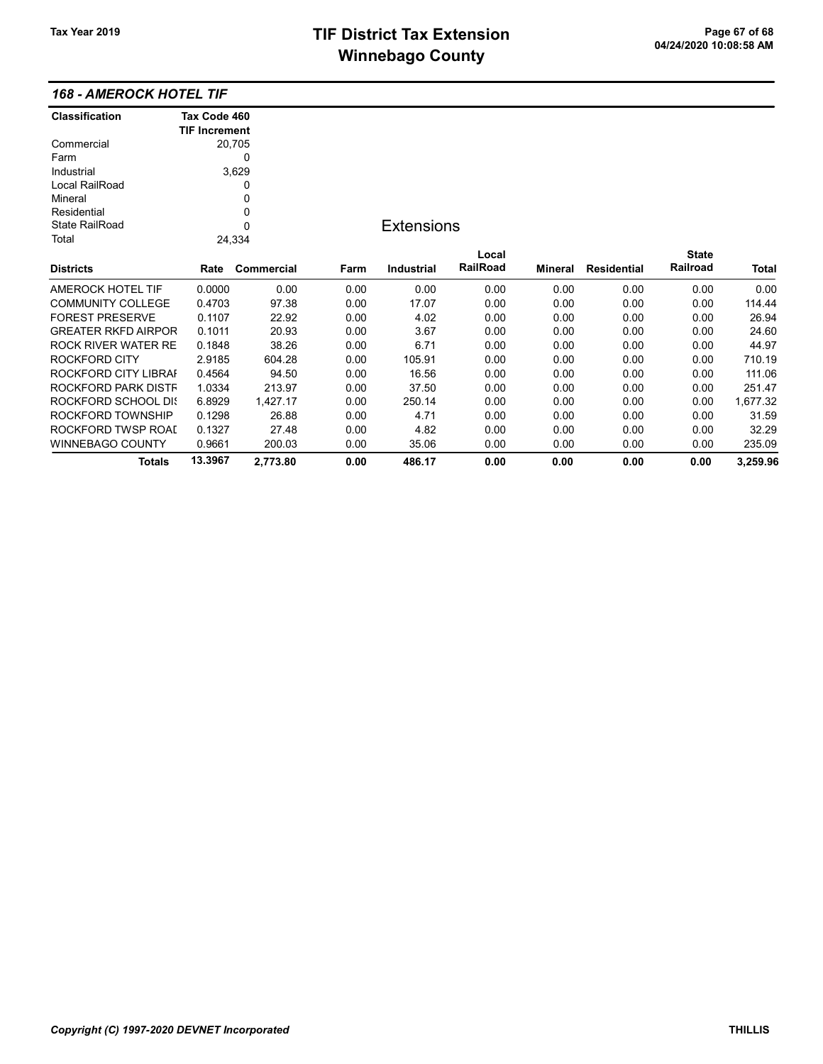Totals 13.3967 2,773.80 0.00 486.17 0.00 0.00 0.00 0.00 3,259.96

| <b>Classification</b>      | Tax Code 460<br><b>TIF Increment</b> |            |      |                   |          |         |                    |              |              |
|----------------------------|--------------------------------------|------------|------|-------------------|----------|---------|--------------------|--------------|--------------|
| Commercial                 |                                      | 20,705     |      |                   |          |         |                    |              |              |
| Farm                       |                                      | 0          |      |                   |          |         |                    |              |              |
| Industrial                 |                                      | 3,629      |      |                   |          |         |                    |              |              |
| Local RailRoad             |                                      | 0          |      |                   |          |         |                    |              |              |
| Mineral                    |                                      | 0          |      |                   |          |         |                    |              |              |
| Residential                |                                      | 0          |      |                   |          |         |                    |              |              |
| <b>State RailRoad</b>      |                                      | 0          |      | <b>Extensions</b> |          |         |                    |              |              |
| Total                      |                                      | 24,334     |      |                   |          |         |                    |              |              |
|                            |                                      |            |      |                   | Local    |         |                    | <b>State</b> |              |
| <b>Districts</b>           | Rate                                 | Commercial | Farm | <b>Industrial</b> | RailRoad | Mineral | <b>Residential</b> | Railroad     | <b>Total</b> |
| AMEROCK HOTEL TIF          | 0.0000                               | 0.00       | 0.00 | 0.00              | 0.00     | 0.00    | 0.00               | 0.00         | 0.00         |
| <b>COMMUNITY COLLEGE</b>   | 0.4703                               | 97.38      | 0.00 | 17.07             | 0.00     | 0.00    | 0.00               | 0.00         | 114.44       |
| <b>FOREST PRESERVE</b>     | 0.1107                               | 22.92      | 0.00 | 4.02              | 0.00     | 0.00    | 0.00               | 0.00         | 26.94        |
| <b>GREATER RKFD AIRPOR</b> | 0.1011                               | 20.93      | 0.00 | 3.67              | 0.00     | 0.00    | 0.00               | 0.00         | 24.60        |
| <b>ROCK RIVER WATER RE</b> | 0.1848                               | 38.26      | 0.00 | 6.71              | 0.00     | 0.00    | 0.00               | 0.00         | 44.97        |
| ROCKFORD CITY              | 2.9185                               | 604.28     | 0.00 | 105.91            | 0.00     | 0.00    | 0.00               | 0.00         | 710.19       |
| ROCKFORD CITY LIBRAI       | 0.4564                               | 94.50      | 0.00 | 16.56             | 0.00     | 0.00    | 0.00               | 0.00         | 111.06       |
| ROCKFORD PARK DISTF        | 1.0334                               | 213.97     | 0.00 | 37.50             | 0.00     | 0.00    | 0.00               | 0.00         | 251.47       |
| ROCKFORD SCHOOL DIS        | 6.8929                               | 1,427.17   | 0.00 | 250.14            | 0.00     | 0.00    | 0.00               | 0.00         | 1,677.32     |
| ROCKFORD TOWNSHIP          | 0.1298                               | 26.88      | 0.00 | 4.71              | 0.00     | 0.00    | 0.00               | 0.00         | 31.59        |
| ROCKFORD TWSP ROAI         | 0.1327                               | 27.48      | 0.00 | 4.82              | 0.00     | 0.00    | 0.00               | 0.00         | 32.29        |
| <b>WINNEBAGO COUNTY</b>    | 0.9661                               | 200.03     | 0.00 | 35.06             | 0.00     | 0.00    | 0.00               | 0.00         | 235.09       |